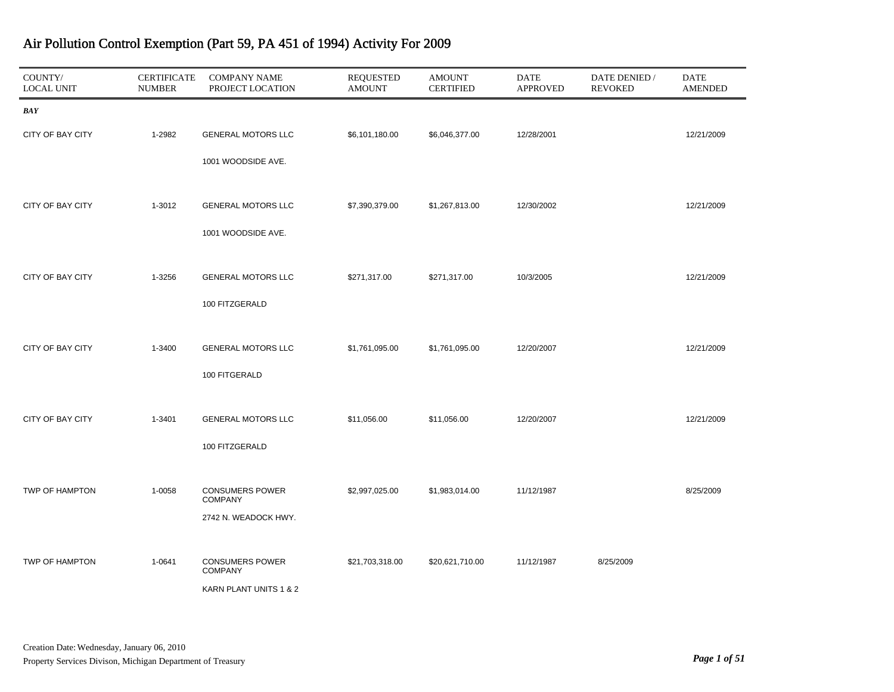| COUNTY/<br><b>LOCAL UNIT</b> | <b>CERTIFICATE</b><br><b>NUMBER</b> | <b>COMPANY NAME</b><br>PROJECT LOCATION  | REQUESTED<br><b>AMOUNT</b> | <b>AMOUNT</b><br><b>CERTIFIED</b> | DATE<br><b>APPROVED</b> | DATE DENIED /<br><b>REVOKED</b> | DATE<br><b>AMENDED</b> |
|------------------------------|-------------------------------------|------------------------------------------|----------------------------|-----------------------------------|-------------------------|---------------------------------|------------------------|
| <b>BAY</b>                   |                                     |                                          |                            |                                   |                         |                                 |                        |
| CITY OF BAY CITY             | 1-2982                              | <b>GENERAL MOTORS LLC</b>                | \$6,101,180.00             | \$6,046,377.00                    | 12/28/2001              |                                 | 12/21/2009             |
|                              |                                     | 1001 WOODSIDE AVE.                       |                            |                                   |                         |                                 |                        |
| CITY OF BAY CITY             | 1-3012                              | <b>GENERAL MOTORS LLC</b>                | \$7,390,379.00             | \$1,267,813.00                    | 12/30/2002              |                                 | 12/21/2009             |
|                              |                                     | 1001 WOODSIDE AVE.                       |                            |                                   |                         |                                 |                        |
|                              |                                     |                                          |                            |                                   |                         |                                 |                        |
| CITY OF BAY CITY             | 1-3256                              | <b>GENERAL MOTORS LLC</b>                | \$271,317.00               | \$271,317.00                      | 10/3/2005               |                                 | 12/21/2009             |
|                              |                                     | 100 FITZGERALD                           |                            |                                   |                         |                                 |                        |
| CITY OF BAY CITY             |                                     | <b>GENERAL MOTORS LLC</b>                |                            |                                   | 12/20/2007              |                                 | 12/21/2009             |
|                              | 1-3400                              |                                          | \$1,761,095.00             | \$1,761,095.00                    |                         |                                 |                        |
|                              |                                     | 100 FITGERALD                            |                            |                                   |                         |                                 |                        |
| CITY OF BAY CITY             | 1-3401                              | <b>GENERAL MOTORS LLC</b>                | \$11,056.00                | \$11,056.00                       | 12/20/2007              |                                 | 12/21/2009             |
|                              |                                     | 100 FITZGERALD                           |                            |                                   |                         |                                 |                        |
|                              |                                     |                                          |                            |                                   |                         |                                 |                        |
| TWP OF HAMPTON               | 1-0058                              | <b>CONSUMERS POWER</b><br><b>COMPANY</b> | \$2,997,025.00             | \$1,983,014.00                    | 11/12/1987              |                                 | 8/25/2009              |
|                              |                                     | 2742 N. WEADOCK HWY.                     |                            |                                   |                         |                                 |                        |
|                              |                                     |                                          |                            |                                   |                         |                                 |                        |
| TWP OF HAMPTON               | 1-0641                              | <b>CONSUMERS POWER</b><br><b>COMPANY</b> | \$21,703,318.00            | \$20,621,710.00                   | 11/12/1987              | 8/25/2009                       |                        |
|                              |                                     | KARN PLANT UNITS 1 & 2                   |                            |                                   |                         |                                 |                        |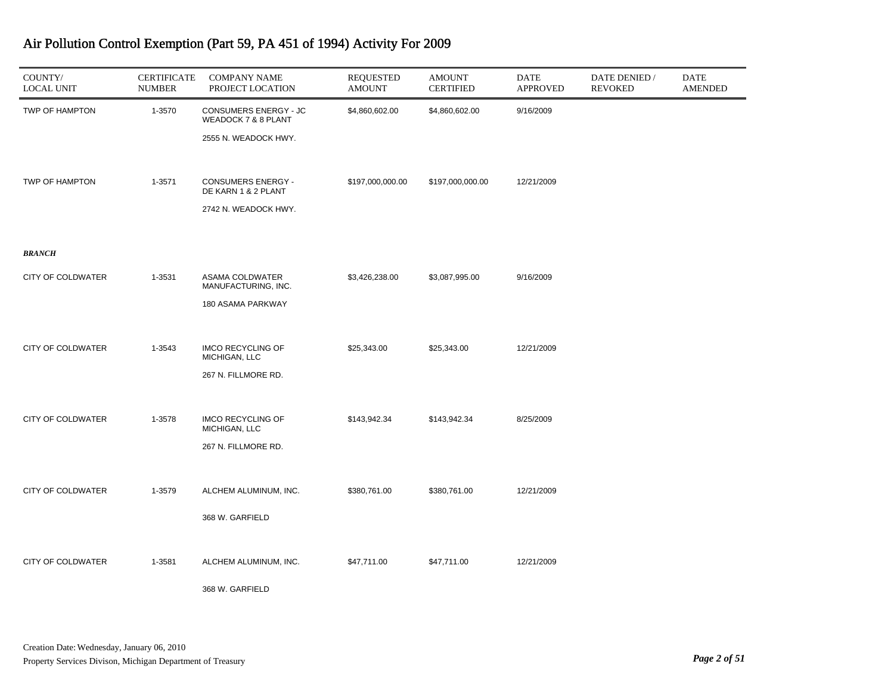| COUNTY/<br><b>LOCAL UNIT</b> | <b>CERTIFICATE</b><br><b>NUMBER</b> | <b>COMPANY NAME</b><br>PROJECT LOCATION          | <b>REQUESTED</b><br><b>AMOUNT</b> | <b>AMOUNT</b><br><b>CERTIFIED</b> | <b>DATE</b><br><b>APPROVED</b> | DATE DENIED /<br><b>REVOKED</b> | DATE<br><b>AMENDED</b> |
|------------------------------|-------------------------------------|--------------------------------------------------|-----------------------------------|-----------------------------------|--------------------------------|---------------------------------|------------------------|
| TWP OF HAMPTON               | 1-3570                              | CONSUMERS ENERGY - JC<br>WEADOCK 7 & 8 PLANT     | \$4,860,602.00                    | \$4,860,602.00                    | 9/16/2009                      |                                 |                        |
|                              |                                     | 2555 N. WEADOCK HWY.                             |                                   |                                   |                                |                                 |                        |
| TWP OF HAMPTON               | 1-3571                              | <b>CONSUMERS ENERGY -</b><br>DE KARN 1 & 2 PLANT | \$197,000,000.00                  | \$197,000,000.00                  | 12/21/2009                     |                                 |                        |
|                              |                                     | 2742 N. WEADOCK HWY.                             |                                   |                                   |                                |                                 |                        |
| <b>BRANCH</b>                |                                     |                                                  |                                   |                                   |                                |                                 |                        |
| <b>CITY OF COLDWATER</b>     | 1-3531                              | ASAMA COLDWATER<br>MANUFACTURING, INC.           | \$3,426,238.00                    | \$3,087,995.00                    | 9/16/2009                      |                                 |                        |
|                              |                                     | 180 ASAMA PARKWAY                                |                                   |                                   |                                |                                 |                        |
| <b>CITY OF COLDWATER</b>     | 1-3543                              | <b>IMCO RECYCLING OF</b><br>MICHIGAN, LLC        | \$25,343.00                       | \$25,343.00                       | 12/21/2009                     |                                 |                        |
|                              |                                     | 267 N. FILLMORE RD.                              |                                   |                                   |                                |                                 |                        |
| <b>CITY OF COLDWATER</b>     | 1-3578                              | <b>IMCO RECYCLING OF</b><br>MICHIGAN, LLC        | \$143,942.34                      | \$143,942.34                      | 8/25/2009                      |                                 |                        |
|                              |                                     | 267 N. FILLMORE RD.                              |                                   |                                   |                                |                                 |                        |
| <b>CITY OF COLDWATER</b>     | 1-3579                              | ALCHEM ALUMINUM, INC.                            | \$380,761.00                      | \$380,761.00                      | 12/21/2009                     |                                 |                        |
|                              |                                     | 368 W. GARFIELD                                  |                                   |                                   |                                |                                 |                        |
| CITY OF COLDWATER            | 1-3581                              | ALCHEM ALUMINUM, INC.                            | \$47,711.00                       | \$47,711.00                       | 12/21/2009                     |                                 |                        |
|                              |                                     | 368 W. GARFIELD                                  |                                   |                                   |                                |                                 |                        |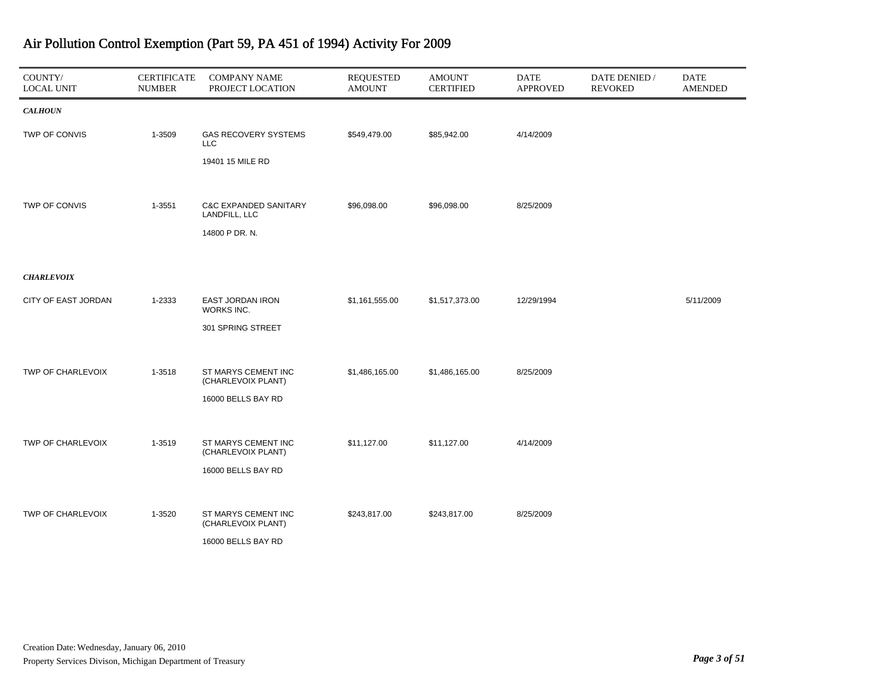| COUNTY/<br><b>LOCAL UNIT</b> | <b>CERTIFICATE</b><br><b>NUMBER</b> | <b>COMPANY NAME</b><br>PROJECT LOCATION           | REQUESTED<br><b>AMOUNT</b> | <b>AMOUNT</b><br><b>CERTIFIED</b> | DATE<br><b>APPROVED</b> | DATE DENIED /<br><b>REVOKED</b> | <b>DATE</b><br><b>AMENDED</b> |
|------------------------------|-------------------------------------|---------------------------------------------------|----------------------------|-----------------------------------|-------------------------|---------------------------------|-------------------------------|
| <b>CALHOUN</b>               |                                     |                                                   |                            |                                   |                         |                                 |                               |
| TWP OF CONVIS                | 1-3509                              | <b>GAS RECOVERY SYSTEMS</b><br><b>LLC</b>         | \$549,479.00               | \$85,942.00                       | 4/14/2009               |                                 |                               |
|                              |                                     | 19401 15 MILE RD                                  |                            |                                   |                         |                                 |                               |
|                              |                                     |                                                   |                            |                                   |                         |                                 |                               |
| <b>TWP OF CONVIS</b>         | 1-3551                              | <b>C&amp;C EXPANDED SANITARY</b><br>LANDFILL, LLC | \$96,098.00                | \$96,098.00                       | 8/25/2009               |                                 |                               |
|                              |                                     | 14800 P DR. N.                                    |                            |                                   |                         |                                 |                               |
|                              |                                     |                                                   |                            |                                   |                         |                                 |                               |
| <b>CHARLEVOIX</b>            |                                     |                                                   |                            |                                   |                         |                                 |                               |
| CITY OF EAST JORDAN          | 1-2333                              | EAST JORDAN IRON<br>WORKS INC.                    | \$1,161,555.00             | \$1,517,373.00                    | 12/29/1994              |                                 | 5/11/2009                     |
|                              |                                     | 301 SPRING STREET                                 |                            |                                   |                         |                                 |                               |
|                              |                                     |                                                   |                            |                                   |                         |                                 |                               |
| TWP OF CHARLEVOIX            | 1-3518                              | ST MARYS CEMENT INC<br>(CHARLEVOIX PLANT)         | \$1,486,165.00             | \$1,486,165.00                    | 8/25/2009               |                                 |                               |
|                              |                                     | 16000 BELLS BAY RD                                |                            |                                   |                         |                                 |                               |
|                              |                                     |                                                   |                            |                                   |                         |                                 |                               |
| TWP OF CHARLEVOIX            | 1-3519                              | ST MARYS CEMENT INC<br>(CHARLEVOIX PLANT)         | \$11,127.00                | \$11,127.00                       | 4/14/2009               |                                 |                               |
|                              |                                     | 16000 BELLS BAY RD                                |                            |                                   |                         |                                 |                               |
|                              |                                     |                                                   |                            |                                   |                         |                                 |                               |
| TWP OF CHARLEVOIX            | 1-3520                              | ST MARYS CEMENT INC<br>(CHARLEVOIX PLANT)         | \$243,817.00               | \$243,817.00                      | 8/25/2009               |                                 |                               |
|                              |                                     | 16000 BELLS BAY RD                                |                            |                                   |                         |                                 |                               |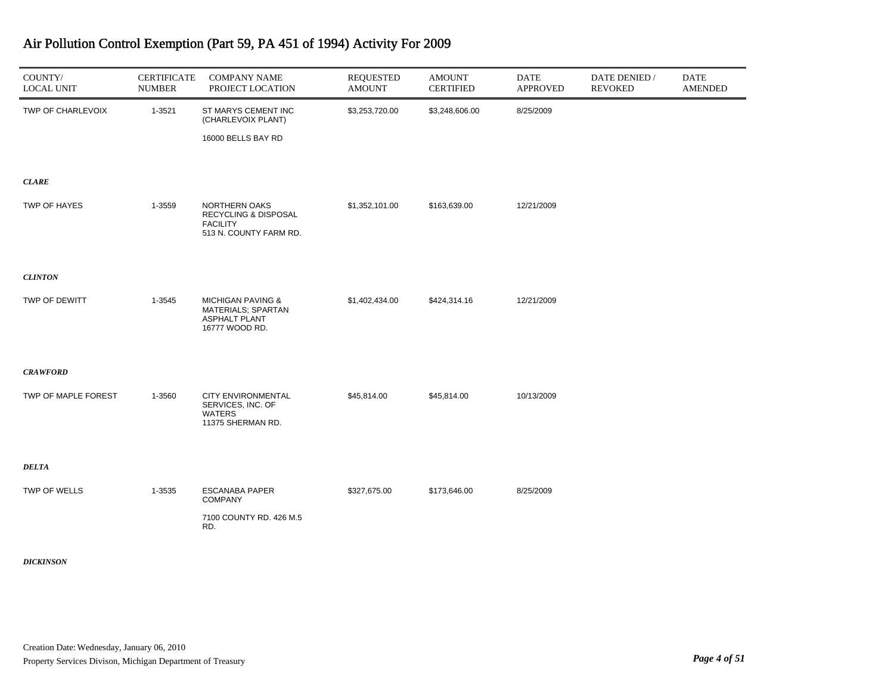| COUNTY/<br><b>LOCAL UNIT</b> | <b>CERTIFICATE</b><br><b>NUMBER</b> | <b>COMPANY NAME</b><br>PROJECT LOCATION                                                      | <b>REQUESTED</b><br><b>AMOUNT</b> | <b>AMOUNT</b><br><b>CERTIFIED</b> | <b>DATE</b><br><b>APPROVED</b> | DATE DENIED /<br><b>REVOKED</b> | <b>DATE</b><br><b>AMENDED</b> |
|------------------------------|-------------------------------------|----------------------------------------------------------------------------------------------|-----------------------------------|-----------------------------------|--------------------------------|---------------------------------|-------------------------------|
| TWP OF CHARLEVOIX            | 1-3521                              | ST MARYS CEMENT INC<br>(CHARLEVOIX PLANT)                                                    | \$3,253,720.00                    | \$3,248,606.00                    | 8/25/2009                      |                                 |                               |
|                              |                                     | 16000 BELLS BAY RD                                                                           |                                   |                                   |                                |                                 |                               |
| <b>CLARE</b>                 |                                     |                                                                                              |                                   |                                   |                                |                                 |                               |
| TWP OF HAYES                 | 1-3559                              | NORTHERN OAKS<br>RECYCLING & DISPOSAL<br><b>FACILITY</b><br>513 N. COUNTY FARM RD.           | \$1,352,101.00                    | \$163,639.00                      | 12/21/2009                     |                                 |                               |
| <b>CLINTON</b>               |                                     |                                                                                              |                                   |                                   |                                |                                 |                               |
| TWP OF DEWITT                | 1-3545                              | <b>MICHIGAN PAVING &amp;</b><br>MATERIALS; SPARTAN<br><b>ASPHALT PLANT</b><br>16777 WOOD RD. | \$1,402,434.00                    | \$424,314.16                      | 12/21/2009                     |                                 |                               |
| <b>CRAWFORD</b>              |                                     |                                                                                              |                                   |                                   |                                |                                 |                               |
| TWP OF MAPLE FOREST          | 1-3560                              | <b>CITY ENVIRONMENTAL</b><br>SERVICES, INC. OF<br><b>WATERS</b><br>11375 SHERMAN RD.         | \$45,814.00                       | \$45,814.00                       | 10/13/2009                     |                                 |                               |
| <b>DELTA</b>                 |                                     |                                                                                              |                                   |                                   |                                |                                 |                               |
| TWP OF WELLS                 | 1-3535                              | <b>ESCANABA PAPER</b><br><b>COMPANY</b>                                                      | \$327,675.00                      | \$173,646.00                      | 8/25/2009                      |                                 |                               |
|                              |                                     | 7100 COUNTY RD. 426 M.5<br>RD.                                                               |                                   |                                   |                                |                                 |                               |
| <b>DICKINSON</b>             |                                     |                                                                                              |                                   |                                   |                                |                                 |                               |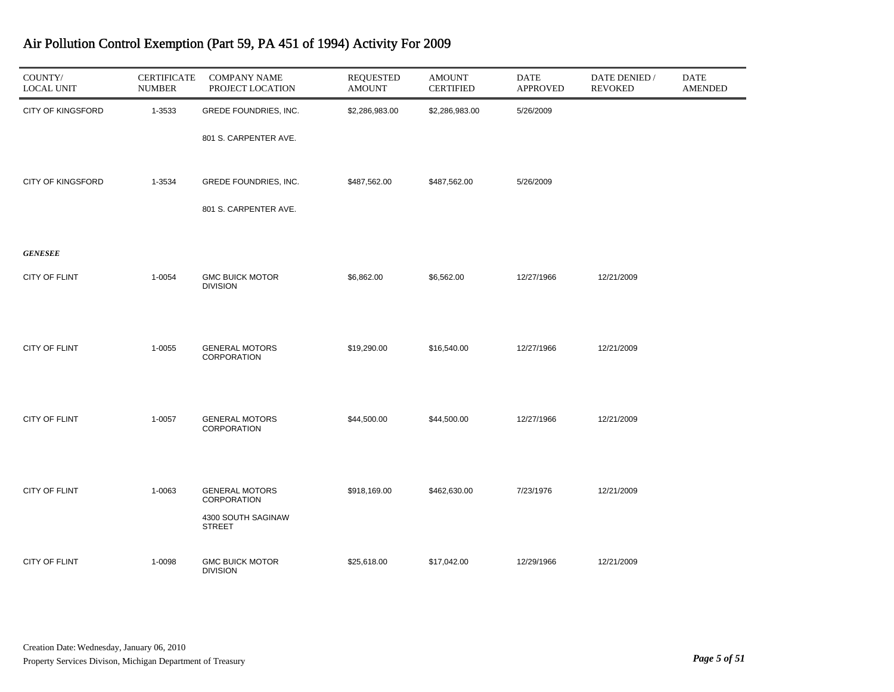| COUNTY/<br><b>LOCAL UNIT</b> | <b>CERTIFICATE</b><br><b>NUMBER</b> | <b>COMPANY NAME</b><br>PROJECT LOCATION   | <b>REQUESTED</b><br><b>AMOUNT</b> | <b>AMOUNT</b><br><b>CERTIFIED</b> | <b>DATE</b><br><b>APPROVED</b> | DATE DENIED /<br><b>REVOKED</b> | <b>DATE</b><br><b>AMENDED</b> |
|------------------------------|-------------------------------------|-------------------------------------------|-----------------------------------|-----------------------------------|--------------------------------|---------------------------------|-------------------------------|
| <b>CITY OF KINGSFORD</b>     | 1-3533                              | GREDE FOUNDRIES, INC.                     | \$2,286,983.00                    | \$2,286,983.00                    | 5/26/2009                      |                                 |                               |
|                              |                                     | 801 S. CARPENTER AVE.                     |                                   |                                   |                                |                                 |                               |
| <b>CITY OF KINGSFORD</b>     | 1-3534                              | GREDE FOUNDRIES, INC.                     | \$487,562.00                      | \$487,562.00                      | 5/26/2009                      |                                 |                               |
|                              |                                     | 801 S. CARPENTER AVE.                     |                                   |                                   |                                |                                 |                               |
| <b>GENESEE</b>               |                                     |                                           |                                   |                                   |                                |                                 |                               |
| CITY OF FLINT                | 1-0054                              | <b>GMC BUICK MOTOR</b><br><b>DIVISION</b> | \$6,862.00                        | \$6,562.00                        | 12/27/1966                     | 12/21/2009                      |                               |
|                              |                                     |                                           |                                   |                                   |                                |                                 |                               |
| <b>CITY OF FLINT</b>         | 1-0055                              | <b>GENERAL MOTORS</b><br>CORPORATION      | \$19,290.00                       | \$16,540.00                       | 12/27/1966                     | 12/21/2009                      |                               |
|                              |                                     |                                           |                                   |                                   |                                |                                 |                               |
| CITY OF FLINT                | 1-0057                              | <b>GENERAL MOTORS</b><br>CORPORATION      | \$44,500.00                       | \$44,500.00                       | 12/27/1966                     | 12/21/2009                      |                               |
|                              |                                     |                                           |                                   |                                   |                                |                                 |                               |
| CITY OF FLINT                | 1-0063                              | <b>GENERAL MOTORS</b><br>CORPORATION      | \$918,169.00                      | \$462,630.00                      | 7/23/1976                      | 12/21/2009                      |                               |
|                              |                                     | 4300 SOUTH SAGINAW<br><b>STREET</b>       |                                   |                                   |                                |                                 |                               |
| CITY OF FLINT                | 1-0098                              | <b>GMC BUICK MOTOR</b><br><b>DIVISION</b> | \$25,618.00                       | \$17,042.00                       | 12/29/1966                     | 12/21/2009                      |                               |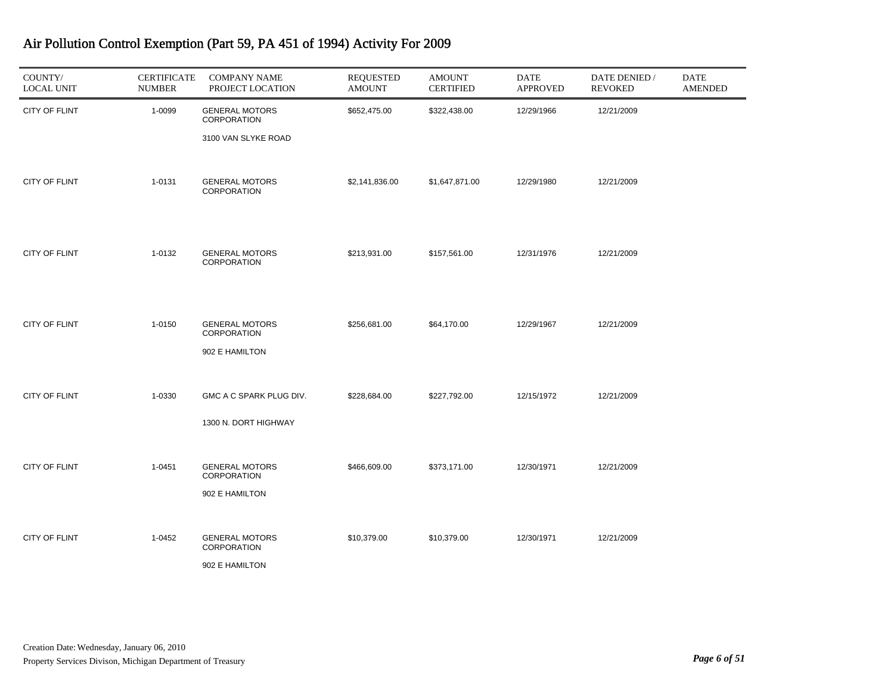| COUNTY/<br><b>LOCAL UNIT</b> | <b>CERTIFICATE</b><br><b>NUMBER</b> | <b>COMPANY NAME</b><br>PROJECT LOCATION                     | <b>REQUESTED</b><br><b>AMOUNT</b> | <b>AMOUNT</b><br><b>CERTIFIED</b> | DATE<br><b>APPROVED</b> | DATE DENIED /<br><b>REVOKED</b> | <b>DATE</b><br><b>AMENDED</b> |
|------------------------------|-------------------------------------|-------------------------------------------------------------|-----------------------------------|-----------------------------------|-------------------------|---------------------------------|-------------------------------|
| CITY OF FLINT                | 1-0099                              | <b>GENERAL MOTORS</b><br>CORPORATION<br>3100 VAN SLYKE ROAD | \$652,475.00                      | \$322,438.00                      | 12/29/1966              | 12/21/2009                      |                               |
| CITY OF FLINT                | 1-0131                              | <b>GENERAL MOTORS</b><br><b>CORPORATION</b>                 | \$2,141,836.00                    | \$1,647,871.00                    | 12/29/1980              | 12/21/2009                      |                               |
| CITY OF FLINT                | 1-0132                              | <b>GENERAL MOTORS</b><br>CORPORATION                        | \$213,931.00                      | \$157,561.00                      | 12/31/1976              | 12/21/2009                      |                               |
| <b>CITY OF FLINT</b>         | 1-0150                              | <b>GENERAL MOTORS</b><br>CORPORATION<br>902 E HAMILTON      | \$256,681.00                      | \$64,170.00                       | 12/29/1967              | 12/21/2009                      |                               |
| CITY OF FLINT                | 1-0330                              | GMC A C SPARK PLUG DIV.<br>1300 N. DORT HIGHWAY             | \$228,684.00                      | \$227,792.00                      | 12/15/1972              | 12/21/2009                      |                               |
| CITY OF FLINT                | 1-0451                              | <b>GENERAL MOTORS</b><br>CORPORATION<br>902 E HAMILTON      | \$466,609.00                      | \$373,171.00                      | 12/30/1971              | 12/21/2009                      |                               |
| <b>CITY OF FLINT</b>         | 1-0452                              | <b>GENERAL MOTORS</b><br>CORPORATION<br>902 E HAMILTON      | \$10,379.00                       | \$10,379.00                       | 12/30/1971              | 12/21/2009                      |                               |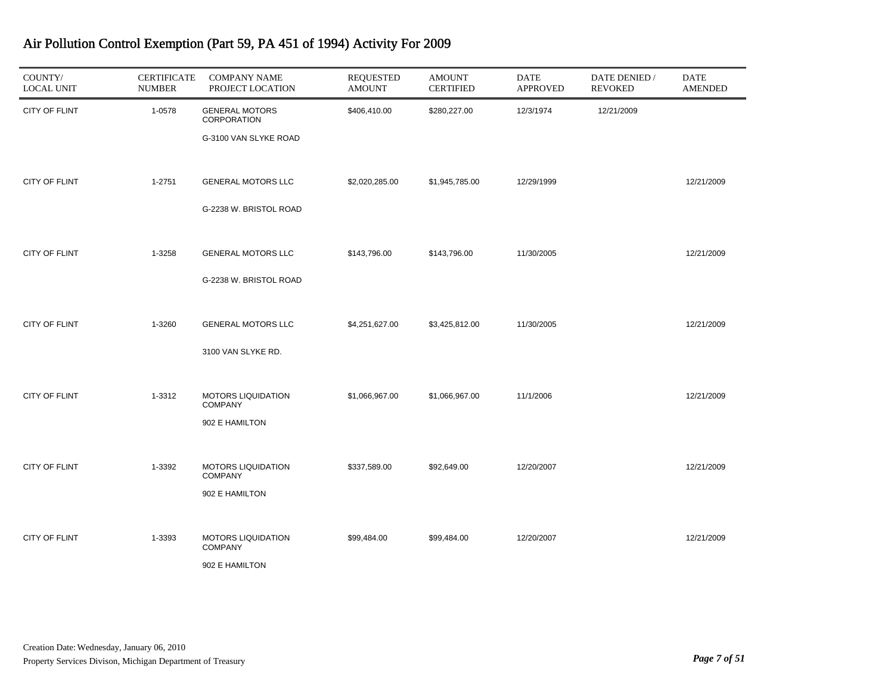| COUNTY/<br><b>LOCAL UNIT</b> | <b>CERTIFICATE</b><br><b>NUMBER</b> | <b>COMPANY NAME</b><br>PROJECT LOCATION                              | REQUESTED<br><b>AMOUNT</b> | <b>AMOUNT</b><br><b>CERTIFIED</b> | <b>DATE</b><br><b>APPROVED</b> | DATE DENIED /<br><b>REVOKED</b> | <b>DATE</b><br><b>AMENDED</b> |
|------------------------------|-------------------------------------|----------------------------------------------------------------------|----------------------------|-----------------------------------|--------------------------------|---------------------------------|-------------------------------|
| <b>CITY OF FLINT</b>         | 1-0578                              | <b>GENERAL MOTORS</b><br><b>CORPORATION</b><br>G-3100 VAN SLYKE ROAD | \$406,410.00               | \$280,227.00                      | 12/3/1974                      | 12/21/2009                      |                               |
| <b>CITY OF FLINT</b>         | 1-2751                              | <b>GENERAL MOTORS LLC</b><br>G-2238 W. BRISTOL ROAD                  | \$2,020,285.00             | \$1,945,785.00                    | 12/29/1999                     |                                 | 12/21/2009                    |
| <b>CITY OF FLINT</b>         | 1-3258                              | <b>GENERAL MOTORS LLC</b><br>G-2238 W. BRISTOL ROAD                  | \$143,796.00               | \$143,796.00                      | 11/30/2005                     |                                 | 12/21/2009                    |
| <b>CITY OF FLINT</b>         | 1-3260                              | <b>GENERAL MOTORS LLC</b><br>3100 VAN SLYKE RD.                      | \$4,251,627.00             | \$3,425,812.00                    | 11/30/2005                     |                                 | 12/21/2009                    |
| <b>CITY OF FLINT</b>         | 1-3312                              | <b>MOTORS LIQUIDATION</b><br><b>COMPANY</b><br>902 E HAMILTON        | \$1,066,967.00             | \$1,066,967.00                    | 11/1/2006                      |                                 | 12/21/2009                    |
| <b>CITY OF FLINT</b>         | 1-3392                              | <b>MOTORS LIQUIDATION</b><br><b>COMPANY</b><br>902 E HAMILTON        | \$337,589.00               | \$92,649.00                       | 12/20/2007                     |                                 | 12/21/2009                    |
| <b>CITY OF FLINT</b>         | 1-3393                              | <b>MOTORS LIQUIDATION</b><br><b>COMPANY</b><br>902 E HAMILTON        | \$99,484.00                | \$99,484.00                       | 12/20/2007                     |                                 | 12/21/2009                    |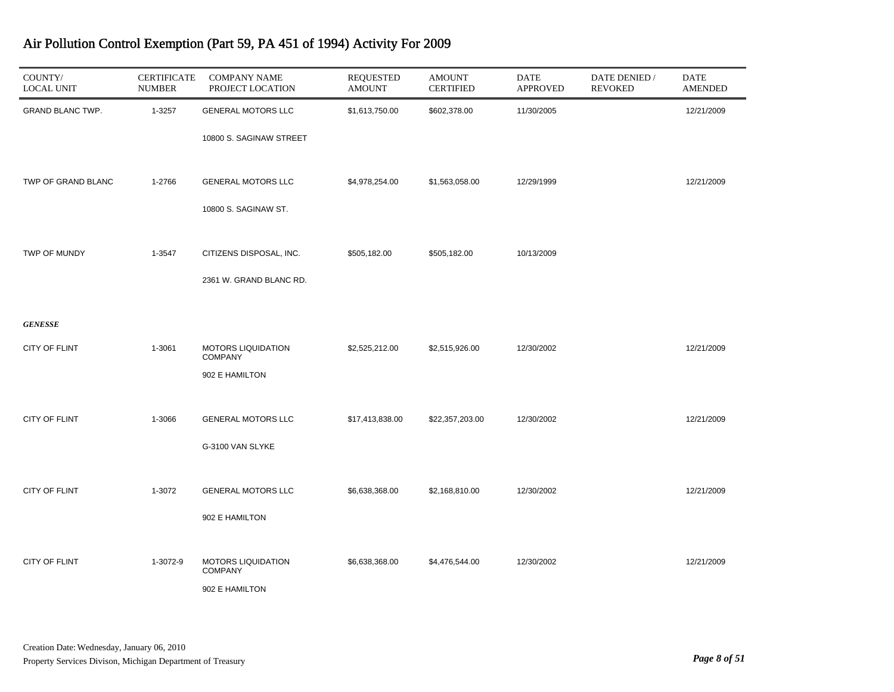| COUNTY/<br><b>LOCAL UNIT</b> | <b>CERTIFICATE</b><br><b>NUMBER</b> | <b>COMPANY NAME</b><br>PROJECT LOCATION     | <b>REQUESTED</b><br><b>AMOUNT</b> | <b>AMOUNT</b><br><b>CERTIFIED</b> | <b>DATE</b><br><b>APPROVED</b> | DATE DENIED /<br><b>REVOKED</b> | <b>DATE</b><br><b>AMENDED</b> |
|------------------------------|-------------------------------------|---------------------------------------------|-----------------------------------|-----------------------------------|--------------------------------|---------------------------------|-------------------------------|
| GRAND BLANC TWP.             | 1-3257                              | <b>GENERAL MOTORS LLC</b>                   | \$1,613,750.00                    | \$602,378.00                      | 11/30/2005                     |                                 | 12/21/2009                    |
|                              |                                     | 10800 S. SAGINAW STREET                     |                                   |                                   |                                |                                 |                               |
| TWP OF GRAND BLANC           | 1-2766                              | <b>GENERAL MOTORS LLC</b>                   | \$4,978,254.00                    | \$1,563,058.00                    | 12/29/1999                     |                                 | 12/21/2009                    |
|                              |                                     | 10800 S. SAGINAW ST.                        |                                   |                                   |                                |                                 |                               |
| TWP OF MUNDY                 | 1-3547                              | CITIZENS DISPOSAL, INC.                     | \$505,182.00                      | \$505,182.00                      | 10/13/2009                     |                                 |                               |
|                              |                                     | 2361 W. GRAND BLANC RD.                     |                                   |                                   |                                |                                 |                               |
| <b>GENESSE</b>               |                                     |                                             |                                   |                                   |                                |                                 |                               |
| CITY OF FLINT                | 1-3061                              | <b>MOTORS LIQUIDATION</b><br><b>COMPANY</b> | \$2,525,212.00                    | \$2,515,926.00                    | 12/30/2002                     |                                 | 12/21/2009                    |
|                              |                                     | 902 E HAMILTON                              |                                   |                                   |                                |                                 |                               |
| CITY OF FLINT                | 1-3066                              | <b>GENERAL MOTORS LLC</b>                   | \$17,413,838.00                   | \$22,357,203.00                   | 12/30/2002                     |                                 | 12/21/2009                    |
|                              |                                     | G-3100 VAN SLYKE                            |                                   |                                   |                                |                                 |                               |
| <b>CITY OF FLINT</b>         | 1-3072                              | <b>GENERAL MOTORS LLC</b>                   | \$6,638,368.00                    | \$2,168,810.00                    | 12/30/2002                     |                                 | 12/21/2009                    |
|                              |                                     | 902 E HAMILTON                              |                                   |                                   |                                |                                 |                               |
| CITY OF FLINT                | 1-3072-9                            | <b>MOTORS LIQUIDATION</b><br><b>COMPANY</b> | \$6,638,368.00                    | \$4,476,544.00                    | 12/30/2002                     |                                 | 12/21/2009                    |
|                              |                                     | 902 E HAMILTON                              |                                   |                                   |                                |                                 |                               |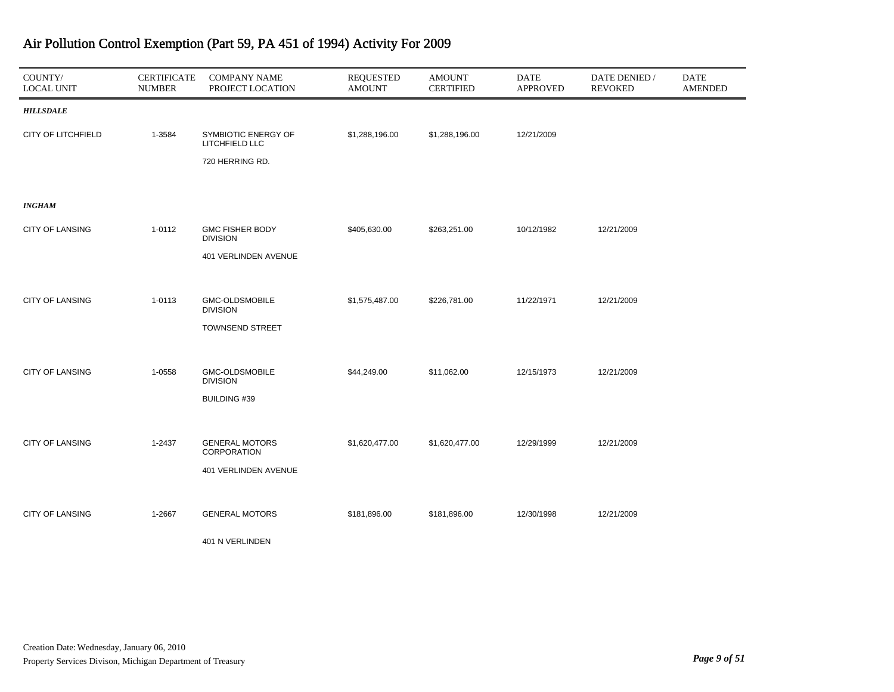| COUNTY/<br><b>LOCAL UNIT</b> | <b>CERTIFICATE</b><br><b>NUMBER</b> | <b>COMPANY NAME</b><br>PROJECT LOCATION     | <b>REQUESTED</b><br><b>AMOUNT</b> | <b>AMOUNT</b><br><b>CERTIFIED</b> | <b>DATE</b><br><b>APPROVED</b> | DATE DENIED /<br><b>REVOKED</b> | <b>DATE</b><br><b>AMENDED</b> |
|------------------------------|-------------------------------------|---------------------------------------------|-----------------------------------|-----------------------------------|--------------------------------|---------------------------------|-------------------------------|
| <b>HILLSDALE</b>             |                                     |                                             |                                   |                                   |                                |                                 |                               |
| CITY OF LITCHFIELD           | 1-3584                              | SYMBIOTIC ENERGY OF<br>LITCHFIELD LLC       | \$1,288,196.00                    | \$1,288,196.00                    | 12/21/2009                     |                                 |                               |
|                              |                                     | 720 HERRING RD.                             |                                   |                                   |                                |                                 |                               |
|                              |                                     |                                             |                                   |                                   |                                |                                 |                               |
| <b>INGHAM</b>                |                                     |                                             |                                   |                                   |                                |                                 |                               |
| <b>CITY OF LANSING</b>       | 1-0112                              | <b>GMC FISHER BODY</b><br><b>DIVISION</b>   | \$405,630.00                      | \$263,251.00                      | 10/12/1982                     | 12/21/2009                      |                               |
|                              |                                     | 401 VERLINDEN AVENUE                        |                                   |                                   |                                |                                 |                               |
|                              |                                     |                                             |                                   |                                   |                                |                                 |                               |
| <b>CITY OF LANSING</b>       | 1-0113                              | <b>GMC-OLDSMOBILE</b><br><b>DIVISION</b>    | \$1,575,487.00                    | \$226,781.00                      | 11/22/1971                     | 12/21/2009                      |                               |
|                              |                                     | <b>TOWNSEND STREET</b>                      |                                   |                                   |                                |                                 |                               |
|                              |                                     |                                             |                                   |                                   |                                |                                 |                               |
| <b>CITY OF LANSING</b>       | 1-0558                              | GMC-OLDSMOBILE<br><b>DIVISION</b>           | \$44,249.00                       | \$11,062.00                       | 12/15/1973                     | 12/21/2009                      |                               |
|                              |                                     | <b>BUILDING #39</b>                         |                                   |                                   |                                |                                 |                               |
|                              |                                     |                                             |                                   |                                   |                                |                                 |                               |
| <b>CITY OF LANSING</b>       | 1-2437                              | <b>GENERAL MOTORS</b><br><b>CORPORATION</b> | \$1,620,477.00                    | \$1,620,477.00                    | 12/29/1999                     | 12/21/2009                      |                               |
|                              |                                     | 401 VERLINDEN AVENUE                        |                                   |                                   |                                |                                 |                               |
|                              |                                     |                                             |                                   |                                   |                                |                                 |                               |
| <b>CITY OF LANSING</b>       | 1-2667                              | <b>GENERAL MOTORS</b>                       | \$181,896.00                      | \$181,896.00                      | 12/30/1998                     | 12/21/2009                      |                               |
|                              |                                     | 401 N VERLINDEN                             |                                   |                                   |                                |                                 |                               |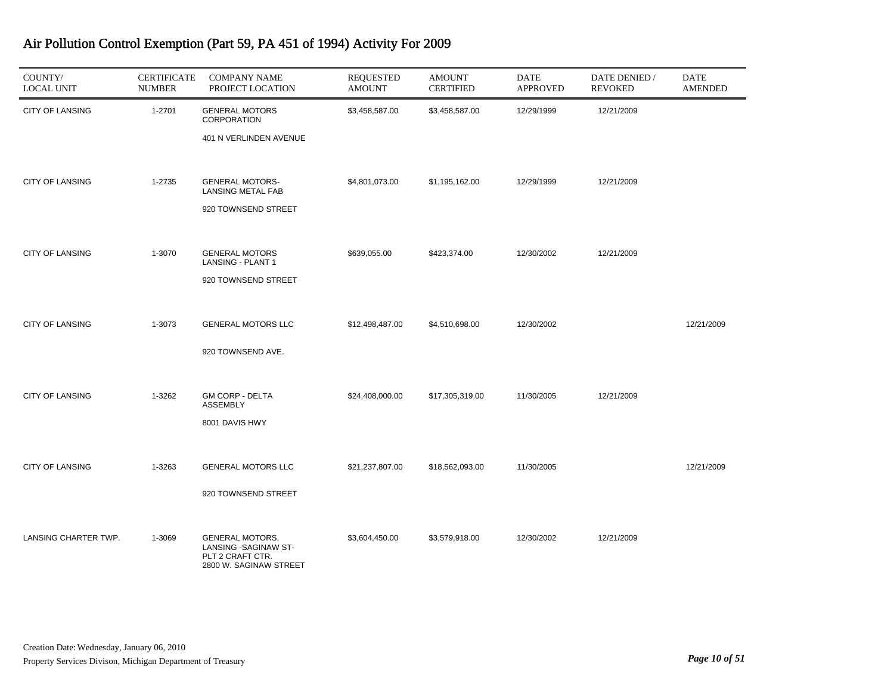| COUNTY/<br><b>LOCAL UNIT</b> | <b>CERTIFICATE</b><br><b>NUMBER</b> | <b>COMPANY NAME</b><br>PROJECT LOCATION                                                       | <b>REQUESTED</b><br><b>AMOUNT</b> | <b>AMOUNT</b><br><b>CERTIFIED</b> | <b>DATE</b><br><b>APPROVED</b> | DATE DENIED /<br><b>REVOKED</b> | DATE<br><b>AMENDED</b> |
|------------------------------|-------------------------------------|-----------------------------------------------------------------------------------------------|-----------------------------------|-----------------------------------|--------------------------------|---------------------------------|------------------------|
| <b>CITY OF LANSING</b>       | 1-2701                              | <b>GENERAL MOTORS</b><br><b>CORPORATION</b><br>401 N VERLINDEN AVENUE                         | \$3,458,587.00                    | \$3,458,587.00                    | 12/29/1999                     | 12/21/2009                      |                        |
| <b>CITY OF LANSING</b>       | 1-2735                              | <b>GENERAL MOTORS-</b><br><b>LANSING METAL FAB</b><br>920 TOWNSEND STREET                     | \$4,801,073.00                    | \$1,195,162.00                    | 12/29/1999                     | 12/21/2009                      |                        |
| <b>CITY OF LANSING</b>       | 1-3070                              | <b>GENERAL MOTORS</b><br>LANSING - PLANT 1<br>920 TOWNSEND STREET                             | \$639,055.00                      | \$423,374.00                      | 12/30/2002                     | 12/21/2009                      |                        |
| <b>CITY OF LANSING</b>       | 1-3073                              | <b>GENERAL MOTORS LLC</b><br>920 TOWNSEND AVE.                                                | \$12,498,487.00                   | \$4,510,698.00                    | 12/30/2002                     |                                 | 12/21/2009             |
| <b>CITY OF LANSING</b>       | 1-3262                              | <b>GM CORP - DELTA</b><br><b>ASSEMBLY</b><br>8001 DAVIS HWY                                   | \$24,408,000.00                   | \$17,305,319.00                   | 11/30/2005                     | 12/21/2009                      |                        |
| <b>CITY OF LANSING</b>       | 1-3263                              | <b>GENERAL MOTORS LLC</b><br>920 TOWNSEND STREET                                              | \$21,237,807.00                   | \$18,562,093.00                   | 11/30/2005                     |                                 | 12/21/2009             |
| LANSING CHARTER TWP.         | 1-3069                              | <b>GENERAL MOTORS,</b><br>LANSING - SAGINAW ST-<br>PLT 2 CRAFT CTR.<br>2800 W. SAGINAW STREET | \$3,604,450.00                    | \$3,579,918.00                    | 12/30/2002                     | 12/21/2009                      |                        |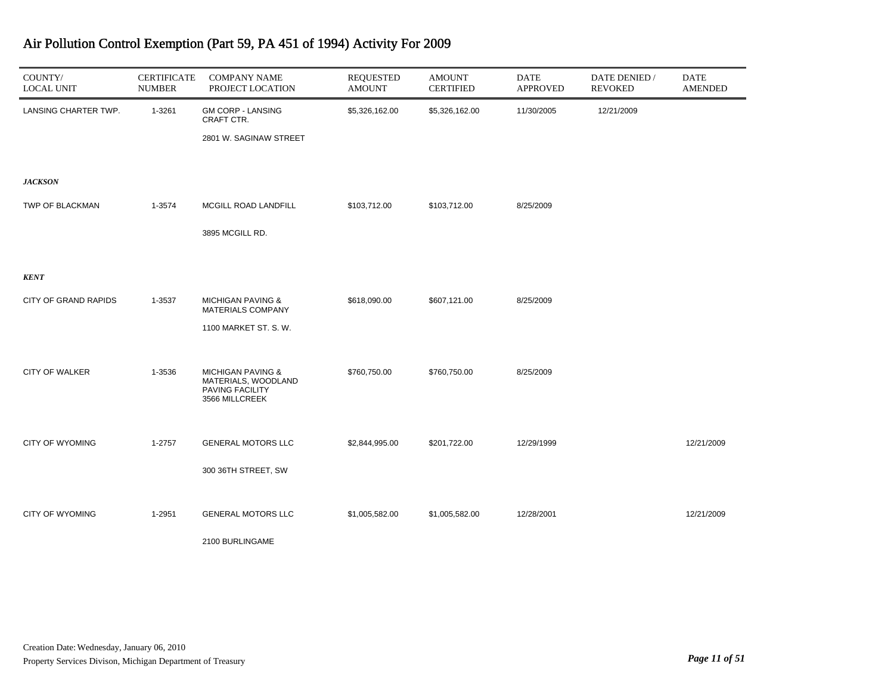| COUNTY/<br><b>LOCAL UNIT</b> | <b>CERTIFICATE</b><br><b>NUMBER</b> | <b>COMPANY NAME</b><br>PROJECT LOCATION                  | <b>REQUESTED</b><br><b>AMOUNT</b> | <b>AMOUNT</b><br><b>CERTIFIED</b> | <b>DATE</b><br><b>APPROVED</b> | DATE DENIED /<br><b>REVOKED</b> | <b>DATE</b><br><b>AMENDED</b> |
|------------------------------|-------------------------------------|----------------------------------------------------------|-----------------------------------|-----------------------------------|--------------------------------|---------------------------------|-------------------------------|
| LANSING CHARTER TWP.         | 1-3261                              | <b>GM CORP - LANSING</b><br>CRAFT CTR.                   | \$5,326,162.00                    | \$5,326,162.00                    | 11/30/2005                     | 12/21/2009                      |                               |
|                              |                                     | 2801 W. SAGINAW STREET                                   |                                   |                                   |                                |                                 |                               |
|                              |                                     |                                                          |                                   |                                   |                                |                                 |                               |
| <b>JACKSON</b>               |                                     |                                                          |                                   |                                   |                                |                                 |                               |
| TWP OF BLACKMAN              | 1-3574                              | MCGILL ROAD LANDFILL                                     | \$103,712.00                      | \$103,712.00                      | 8/25/2009                      |                                 |                               |
|                              |                                     | 3895 MCGILL RD.                                          |                                   |                                   |                                |                                 |                               |
|                              |                                     |                                                          |                                   |                                   |                                |                                 |                               |
| <b>KENT</b>                  |                                     |                                                          |                                   |                                   |                                |                                 |                               |
| <b>CITY OF GRAND RAPIDS</b>  | 1-3537                              | <b>MICHIGAN PAVING &amp;</b><br><b>MATERIALS COMPANY</b> | \$618,090.00                      | \$607,121.00                      | 8/25/2009                      |                                 |                               |
|                              |                                     | 1100 MARKET ST. S. W.                                    |                                   |                                   |                                |                                 |                               |
|                              |                                     |                                                          |                                   |                                   |                                |                                 |                               |
| <b>CITY OF WALKER</b>        | 1-3536                              | <b>MICHIGAN PAVING &amp;</b><br>MATERIALS, WOODLAND      | \$760,750.00                      | \$760,750.00                      | 8/25/2009                      |                                 |                               |
|                              |                                     | PAVING FACILITY<br>3566 MILLCREEK                        |                                   |                                   |                                |                                 |                               |
|                              |                                     |                                                          |                                   |                                   |                                |                                 |                               |
| <b>CITY OF WYOMING</b>       | 1-2757                              | <b>GENERAL MOTORS LLC</b>                                | \$2,844,995.00                    | \$201,722.00                      | 12/29/1999                     |                                 | 12/21/2009                    |
|                              |                                     | 300 36TH STREET, SW                                      |                                   |                                   |                                |                                 |                               |
|                              |                                     |                                                          |                                   |                                   |                                |                                 |                               |
| <b>CITY OF WYOMING</b>       | 1-2951                              | <b>GENERAL MOTORS LLC</b>                                | \$1,005,582.00                    | \$1,005,582.00                    | 12/28/2001                     |                                 | 12/21/2009                    |
|                              |                                     | 2100 BURLINGAME                                          |                                   |                                   |                                |                                 |                               |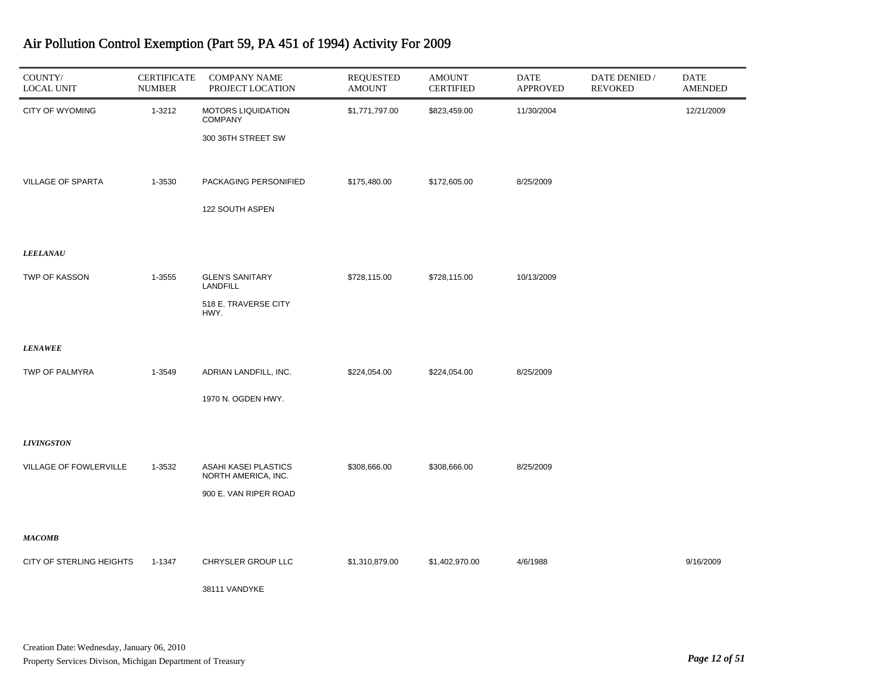| COUNTY/<br><b>LOCAL UNIT</b> | <b>CERTIFICATE</b><br><b>NUMBER</b> | <b>COMPANY NAME</b><br>PROJECT LOCATION     | <b>REQUESTED</b><br><b>AMOUNT</b> | <b>AMOUNT</b><br><b>CERTIFIED</b> | DATE<br><b>APPROVED</b> | DATE DENIED /<br><b>REVOKED</b> | DATE<br><b>AMENDED</b> |
|------------------------------|-------------------------------------|---------------------------------------------|-----------------------------------|-----------------------------------|-------------------------|---------------------------------|------------------------|
| CITY OF WYOMING              | 1-3212                              | MOTORS LIQUIDATION<br><b>COMPANY</b>        | \$1,771,797.00                    | \$823,459.00                      | 11/30/2004              |                                 | 12/21/2009             |
|                              |                                     | 300 36TH STREET SW                          |                                   |                                   |                         |                                 |                        |
|                              |                                     |                                             |                                   |                                   |                         |                                 |                        |
| <b>VILLAGE OF SPARTA</b>     | 1-3530                              | PACKAGING PERSONIFIED                       | \$175,480.00                      | \$172,605.00                      | 8/25/2009               |                                 |                        |
|                              |                                     | 122 SOUTH ASPEN                             |                                   |                                   |                         |                                 |                        |
|                              |                                     |                                             |                                   |                                   |                         |                                 |                        |
| <b>LEELANAU</b>              |                                     |                                             |                                   |                                   |                         |                                 |                        |
| TWP OF KASSON                | 1-3555                              | <b>GLEN'S SANITARY</b><br>LANDFILL          | \$728,115.00                      | \$728,115.00                      | 10/13/2009              |                                 |                        |
|                              |                                     | 518 E. TRAVERSE CITY<br>HWY.                |                                   |                                   |                         |                                 |                        |
|                              |                                     |                                             |                                   |                                   |                         |                                 |                        |
| <b>LENAWEE</b>               |                                     |                                             |                                   |                                   |                         |                                 |                        |
| TWP OF PALMYRA               | 1-3549                              | ADRIAN LANDFILL, INC.                       | \$224,054.00                      | \$224,054.00                      | 8/25/2009               |                                 |                        |
|                              |                                     | 1970 N. OGDEN HWY.                          |                                   |                                   |                         |                                 |                        |
|                              |                                     |                                             |                                   |                                   |                         |                                 |                        |
| <b>LIVINGSTON</b>            |                                     |                                             |                                   |                                   |                         |                                 |                        |
| VILLAGE OF FOWLERVILLE       | 1-3532                              | ASAHI KASEI PLASTICS<br>NORTH AMERICA, INC. | \$308,666.00                      | \$308,666.00                      | 8/25/2009               |                                 |                        |
|                              |                                     | 900 E. VAN RIPER ROAD                       |                                   |                                   |                         |                                 |                        |
|                              |                                     |                                             |                                   |                                   |                         |                                 |                        |
| <b>MACOMB</b>                |                                     |                                             |                                   |                                   |                         |                                 |                        |
| CITY OF STERLING HEIGHTS     | 1-1347                              | CHRYSLER GROUP LLC                          | \$1,310,879.00                    | \$1,402,970.00                    | 4/6/1988                |                                 | 9/16/2009              |
|                              |                                     | 38111 VANDYKE                               |                                   |                                   |                         |                                 |                        |
|                              |                                     |                                             |                                   |                                   |                         |                                 |                        |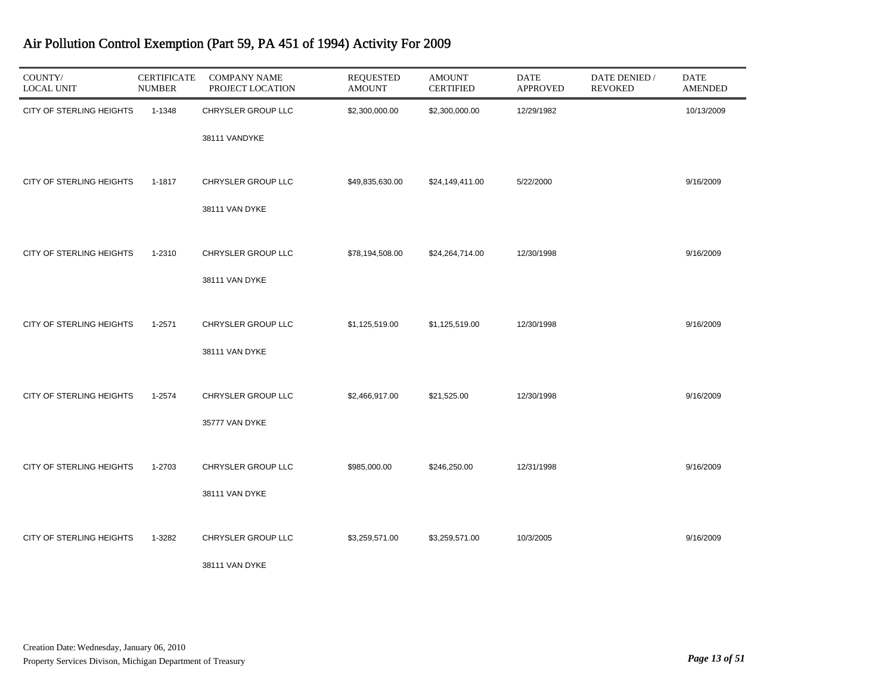| COUNTY/<br><b>LOCAL UNIT</b>    | <b>CERTIFICATE</b><br><b>NUMBER</b> | <b>COMPANY NAME</b><br>PROJECT LOCATION | <b>REQUESTED</b><br><b>AMOUNT</b> | <b>AMOUNT</b><br><b>CERTIFIED</b> | DATE<br><b>APPROVED</b> | DATE DENIED /<br><b>REVOKED</b> | DATE<br><b>AMENDED</b> |
|---------------------------------|-------------------------------------|-----------------------------------------|-----------------------------------|-----------------------------------|-------------------------|---------------------------------|------------------------|
| CITY OF STERLING HEIGHTS        | 1-1348                              | CHRYSLER GROUP LLC                      | \$2,300,000.00                    | \$2,300,000.00                    | 12/29/1982              |                                 | 10/13/2009             |
|                                 |                                     | 38111 VANDYKE                           |                                   |                                   |                         |                                 |                        |
| CITY OF STERLING HEIGHTS        | 1-1817                              | CHRYSLER GROUP LLC                      | \$49,835,630.00                   | \$24,149,411.00                   | 5/22/2000               |                                 | 9/16/2009              |
|                                 |                                     | 38111 VAN DYKE                          |                                   |                                   |                         |                                 |                        |
| <b>CITY OF STERLING HEIGHTS</b> | 1-2310                              | CHRYSLER GROUP LLC                      | \$78,194,508.00                   | \$24,264,714.00                   | 12/30/1998              |                                 | 9/16/2009              |
|                                 |                                     | 38111 VAN DYKE                          |                                   |                                   |                         |                                 |                        |
| <b>CITY OF STERLING HEIGHTS</b> | 1-2571                              | CHRYSLER GROUP LLC                      | \$1,125,519.00                    | \$1,125,519.00                    | 12/30/1998              |                                 | 9/16/2009              |
|                                 |                                     | 38111 VAN DYKE                          |                                   |                                   |                         |                                 |                        |
| CITY OF STERLING HEIGHTS        | 1-2574                              | CHRYSLER GROUP LLC                      | \$2,466,917.00                    | \$21,525.00                       | 12/30/1998              |                                 | 9/16/2009              |
|                                 |                                     | 35777 VAN DYKE                          |                                   |                                   |                         |                                 |                        |
| CITY OF STERLING HEIGHTS        | 1-2703                              | CHRYSLER GROUP LLC                      | \$985,000.00                      | \$246,250.00                      | 12/31/1998              |                                 | 9/16/2009              |
|                                 |                                     | 38111 VAN DYKE                          |                                   |                                   |                         |                                 |                        |
| <b>CITY OF STERLING HEIGHTS</b> | 1-3282                              | CHRYSLER GROUP LLC                      | \$3,259,571.00                    | \$3,259,571.00                    | 10/3/2005               |                                 | 9/16/2009              |
|                                 |                                     | 38111 VAN DYKE                          |                                   |                                   |                         |                                 |                        |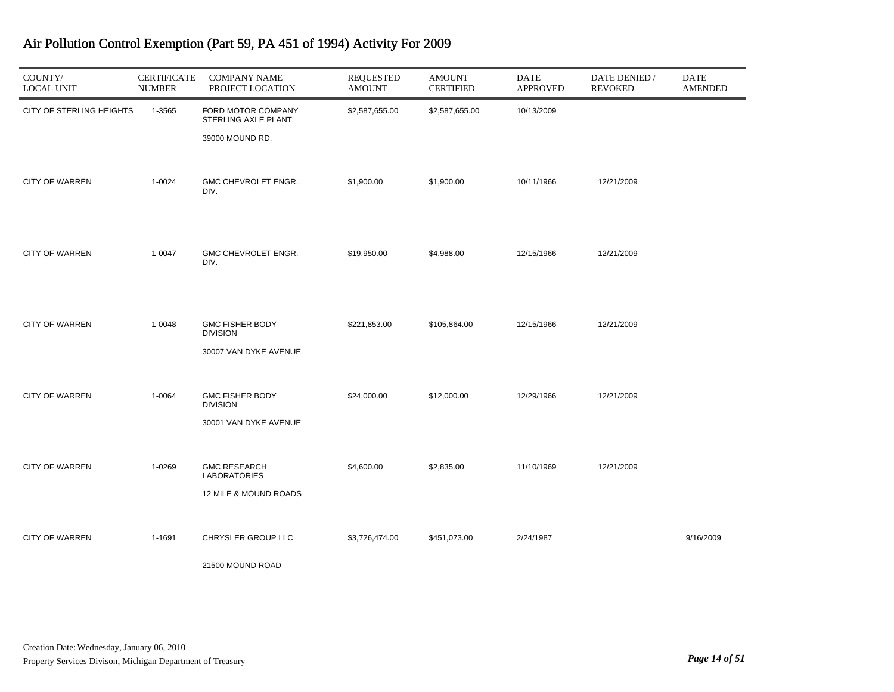| COUNTY/<br><b>LOCAL UNIT</b> | <b>CERTIFICATE</b><br><b>NUMBER</b> | <b>COMPANY NAME</b><br>PROJECT LOCATION                             | <b>REQUESTED</b><br><b>AMOUNT</b> | <b>AMOUNT</b><br><b>CERTIFIED</b> | DATE<br><b>APPROVED</b> | DATE DENIED /<br><b>REVOKED</b> | DATE<br><b>AMENDED</b> |
|------------------------------|-------------------------------------|---------------------------------------------------------------------|-----------------------------------|-----------------------------------|-------------------------|---------------------------------|------------------------|
| CITY OF STERLING HEIGHTS     | 1-3565                              | FORD MOTOR COMPANY<br>STERLING AXLE PLANT<br>39000 MOUND RD.        | \$2,587,655.00                    | \$2,587,655.00                    | 10/13/2009              |                                 |                        |
| <b>CITY OF WARREN</b>        | 1-0024                              | GMC CHEVROLET ENGR.<br>DIV.                                         | \$1,900.00                        | \$1,900.00                        | 10/11/1966              | 12/21/2009                      |                        |
| <b>CITY OF WARREN</b>        | 1-0047                              | GMC CHEVROLET ENGR.<br>DIV.                                         | \$19,950.00                       | \$4,988.00                        | 12/15/1966              | 12/21/2009                      |                        |
| <b>CITY OF WARREN</b>        | 1-0048                              | <b>GMC FISHER BODY</b><br><b>DIVISION</b><br>30007 VAN DYKE AVENUE  | \$221,853.00                      | \$105,864.00                      | 12/15/1966              | 12/21/2009                      |                        |
| <b>CITY OF WARREN</b>        | 1-0064                              | <b>GMC FISHER BODY</b><br><b>DIVISION</b><br>30001 VAN DYKE AVENUE  | \$24,000.00                       | \$12,000.00                       | 12/29/1966              | 12/21/2009                      |                        |
| <b>CITY OF WARREN</b>        | 1-0269                              | <b>GMC RESEARCH</b><br><b>LABORATORIES</b><br>12 MILE & MOUND ROADS | \$4,600.00                        | \$2,835.00                        | 11/10/1969              | 12/21/2009                      |                        |
| <b>CITY OF WARREN</b>        | 1-1691                              | CHRYSLER GROUP LLC<br>21500 MOUND ROAD                              | \$3,726,474.00                    | \$451,073.00                      | 2/24/1987               |                                 | 9/16/2009              |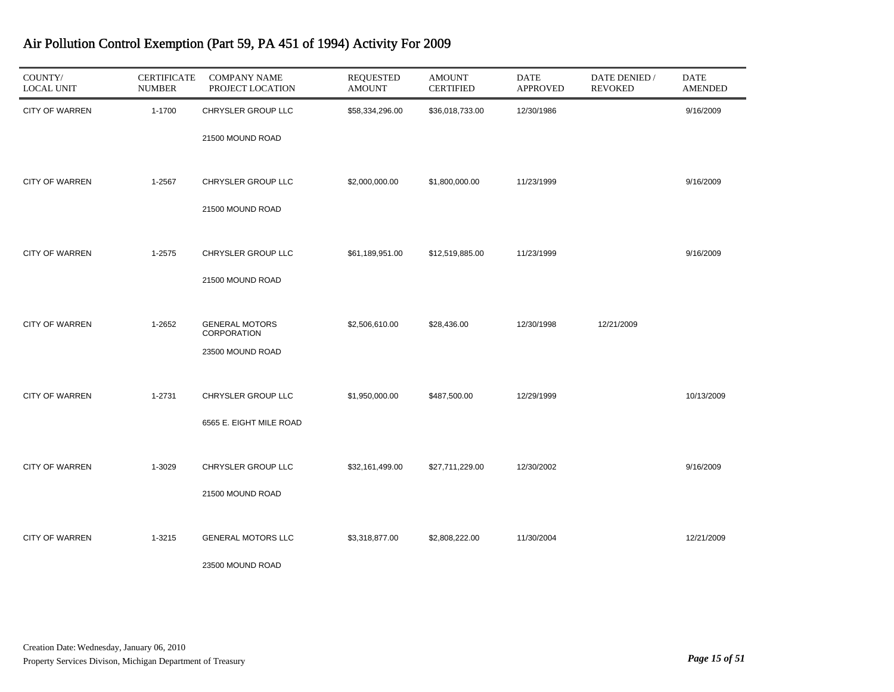| COUNTY/<br><b>LOCAL UNIT</b> | <b>CERTIFICATE</b><br><b>NUMBER</b> | <b>COMPANY NAME</b><br>PROJECT LOCATION | <b>REQUESTED</b><br><b>AMOUNT</b> | <b>AMOUNT</b><br><b>CERTIFIED</b> | <b>DATE</b><br><b>APPROVED</b> | DATE DENIED /<br><b>REVOKED</b> | <b>DATE</b><br><b>AMENDED</b> |
|------------------------------|-------------------------------------|-----------------------------------------|-----------------------------------|-----------------------------------|--------------------------------|---------------------------------|-------------------------------|
| <b>CITY OF WARREN</b>        | 1-1700                              | CHRYSLER GROUP LLC                      | \$58,334,296.00                   | \$36,018,733.00                   | 12/30/1986                     |                                 | 9/16/2009                     |
|                              |                                     | 21500 MOUND ROAD                        |                                   |                                   |                                |                                 |                               |
| <b>CITY OF WARREN</b>        | 1-2567                              | CHRYSLER GROUP LLC                      | \$2,000,000.00                    | \$1,800,000.00                    | 11/23/1999                     |                                 | 9/16/2009                     |
|                              |                                     | 21500 MOUND ROAD                        |                                   |                                   |                                |                                 |                               |
| <b>CITY OF WARREN</b>        | 1-2575                              | CHRYSLER GROUP LLC                      | \$61,189,951.00                   | \$12,519,885.00                   | 11/23/1999                     |                                 | 9/16/2009                     |
|                              |                                     | 21500 MOUND ROAD                        |                                   |                                   |                                |                                 |                               |
| <b>CITY OF WARREN</b>        | 1-2652                              | <b>GENERAL MOTORS</b><br>CORPORATION    | \$2,506,610.00                    | \$28,436.00                       | 12/30/1998                     | 12/21/2009                      |                               |
|                              |                                     | 23500 MOUND ROAD                        |                                   |                                   |                                |                                 |                               |
| <b>CITY OF WARREN</b>        | 1-2731                              | CHRYSLER GROUP LLC                      | \$1,950,000.00                    | \$487,500.00                      | 12/29/1999                     |                                 | 10/13/2009                    |
|                              |                                     | 6565 E. EIGHT MILE ROAD                 |                                   |                                   |                                |                                 |                               |
| <b>CITY OF WARREN</b>        | 1-3029                              | CHRYSLER GROUP LLC                      | \$32,161,499.00                   | \$27,711,229.00                   | 12/30/2002                     |                                 | 9/16/2009                     |
|                              |                                     | 21500 MOUND ROAD                        |                                   |                                   |                                |                                 |                               |
| <b>CITY OF WARREN</b>        | 1-3215                              | <b>GENERAL MOTORS LLC</b>               | \$3,318,877.00                    | \$2,808,222.00                    | 11/30/2004                     |                                 | 12/21/2009                    |
|                              |                                     | 23500 MOUND ROAD                        |                                   |                                   |                                |                                 |                               |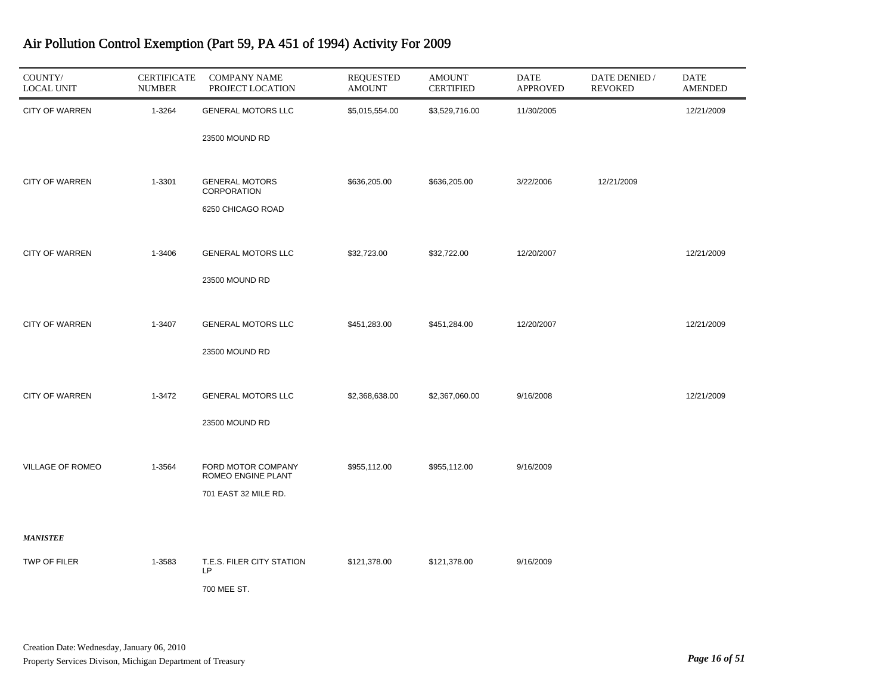| COUNTY/<br><b>LOCAL UNIT</b> | <b>CERTIFICATE</b><br><b>NUMBER</b> | <b>COMPANY NAME</b><br>PROJECT LOCATION  | <b>REQUESTED</b><br><b>AMOUNT</b> | <b>AMOUNT</b><br><b>CERTIFIED</b> | <b>DATE</b><br><b>APPROVED</b> | DATE DENIED /<br><b>REVOKED</b> | DATE<br><b>AMENDED</b> |
|------------------------------|-------------------------------------|------------------------------------------|-----------------------------------|-----------------------------------|--------------------------------|---------------------------------|------------------------|
| <b>CITY OF WARREN</b>        | 1-3264                              | <b>GENERAL MOTORS LLC</b>                | \$5,015,554.00                    | \$3,529,716.00                    | 11/30/2005                     |                                 | 12/21/2009             |
|                              |                                     | 23500 MOUND RD                           |                                   |                                   |                                |                                 |                        |
| <b>CITY OF WARREN</b>        | 1-3301                              | <b>GENERAL MOTORS</b>                    | \$636,205.00                      | \$636,205.00                      | 3/22/2006                      | 12/21/2009                      |                        |
|                              |                                     | <b>CORPORATION</b>                       |                                   |                                   |                                |                                 |                        |
|                              |                                     | 6250 CHICAGO ROAD                        |                                   |                                   |                                |                                 |                        |
| <b>CITY OF WARREN</b>        | 1-3406                              | <b>GENERAL MOTORS LLC</b>                | \$32,723.00                       | \$32,722.00                       | 12/20/2007                     |                                 | 12/21/2009             |
|                              |                                     | 23500 MOUND RD                           |                                   |                                   |                                |                                 |                        |
| <b>CITY OF WARREN</b>        | 1-3407                              | <b>GENERAL MOTORS LLC</b>                | \$451,283.00                      | \$451,284.00                      | 12/20/2007                     |                                 | 12/21/2009             |
|                              |                                     |                                          |                                   |                                   |                                |                                 |                        |
|                              |                                     | 23500 MOUND RD                           |                                   |                                   |                                |                                 |                        |
| <b>CITY OF WARREN</b>        | 1-3472                              | <b>GENERAL MOTORS LLC</b>                | \$2,368,638.00                    | \$2,367,060.00                    | 9/16/2008                      |                                 | 12/21/2009             |
|                              |                                     | 23500 MOUND RD                           |                                   |                                   |                                |                                 |                        |
|                              |                                     |                                          |                                   |                                   |                                |                                 |                        |
| VILLAGE OF ROMEO             | 1-3564                              | FORD MOTOR COMPANY<br>ROMEO ENGINE PLANT | \$955,112.00                      | \$955,112.00                      | 9/16/2009                      |                                 |                        |
|                              |                                     | 701 EAST 32 MILE RD.                     |                                   |                                   |                                |                                 |                        |
| <b>MANISTEE</b>              |                                     |                                          |                                   |                                   |                                |                                 |                        |
| TWP OF FILER                 | 1-3583                              | T.E.S. FILER CITY STATION                | \$121,378.00                      | \$121,378.00                      | 9/16/2009                      |                                 |                        |
|                              |                                     | <b>LP</b><br>700 MEE ST.                 |                                   |                                   |                                |                                 |                        |
|                              |                                     |                                          |                                   |                                   |                                |                                 |                        |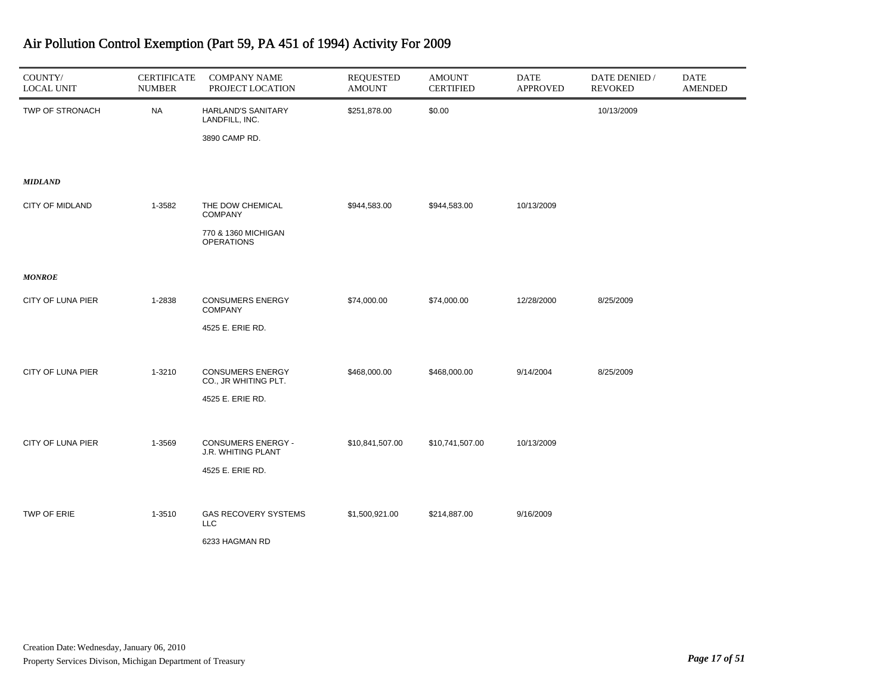| COUNTY/<br><b>LOCAL UNIT</b> | <b>CERTIFICATE</b><br><b>NUMBER</b> | <b>COMPANY NAME</b><br>PROJECT LOCATION                             | <b>REQUESTED</b><br><b>AMOUNT</b> | <b>AMOUNT</b><br><b>CERTIFIED</b> | <b>DATE</b><br><b>APPROVED</b> | DATE DENIED /<br><b>REVOKED</b> | <b>DATE</b><br><b>AMENDED</b> |
|------------------------------|-------------------------------------|---------------------------------------------------------------------|-----------------------------------|-----------------------------------|--------------------------------|---------------------------------|-------------------------------|
| TWP OF STRONACH              | <b>NA</b>                           | HARLAND'S SANITARY<br>LANDFILL, INC.<br>3890 CAMP RD.               | \$251,878.00                      | \$0.00                            |                                | 10/13/2009                      |                               |
| <b>MIDLAND</b>               |                                     |                                                                     |                                   |                                   |                                |                                 |                               |
| <b>CITY OF MIDLAND</b>       | 1-3582                              | THE DOW CHEMICAL<br><b>COMPANY</b>                                  | \$944,583.00                      | \$944,583.00                      | 10/13/2009                     |                                 |                               |
|                              |                                     | 770 & 1360 MICHIGAN<br><b>OPERATIONS</b>                            |                                   |                                   |                                |                                 |                               |
| <b>MONROE</b>                |                                     |                                                                     |                                   |                                   |                                |                                 |                               |
| CITY OF LUNA PIER            | 1-2838                              | <b>CONSUMERS ENERGY</b><br><b>COMPANY</b>                           | \$74,000.00                       | \$74,000.00                       | 12/28/2000                     | 8/25/2009                       |                               |
|                              |                                     | 4525 E. ERIE RD.                                                    |                                   |                                   |                                |                                 |                               |
| CITY OF LUNA PIER            | 1-3210                              | <b>CONSUMERS ENERGY</b><br>CO., JR WHITING PLT.<br>4525 E. ERIE RD. | \$468,000.00                      | \$468,000.00                      | 9/14/2004                      | 8/25/2009                       |                               |
|                              |                                     |                                                                     |                                   |                                   |                                |                                 |                               |
| CITY OF LUNA PIER            | 1-3569                              | <b>CONSUMERS ENERGY -</b><br><b>J.R. WHITING PLANT</b>              | \$10,841,507.00                   | \$10,741,507.00                   | 10/13/2009                     |                                 |                               |
|                              |                                     | 4525 E. ERIE RD.                                                    |                                   |                                   |                                |                                 |                               |
| TWP OF ERIE                  | 1-3510                              | <b>GAS RECOVERY SYSTEMS</b><br><b>LLC</b><br>6233 HAGMAN RD         | \$1,500,921.00                    | \$214,887.00                      | 9/16/2009                      |                                 |                               |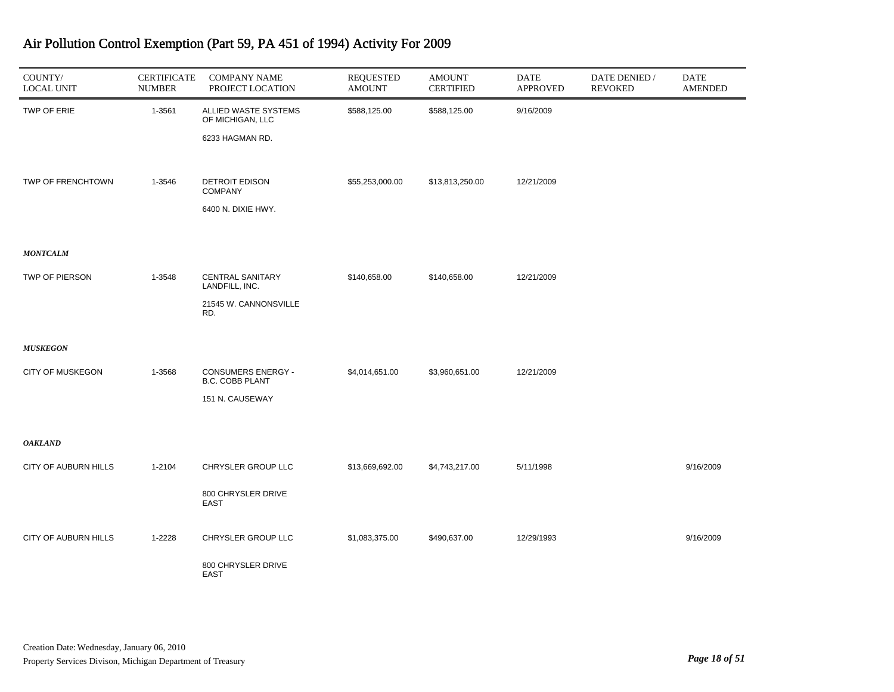| COUNTY/<br><b>LOCAL UNIT</b> | <b>CERTIFICATE</b><br><b>NUMBER</b> | <b>COMPANY NAME</b><br>PROJECT LOCATION             | <b>REQUESTED</b><br><b>AMOUNT</b> | <b>AMOUNT</b><br><b>CERTIFIED</b> | <b>DATE</b><br><b>APPROVED</b> | DATE DENIED /<br><b>REVOKED</b> | DATE<br><b>AMENDED</b> |
|------------------------------|-------------------------------------|-----------------------------------------------------|-----------------------------------|-----------------------------------|--------------------------------|---------------------------------|------------------------|
| TWP OF ERIE                  | 1-3561                              | ALLIED WASTE SYSTEMS<br>OF MICHIGAN, LLC            | \$588,125.00                      | \$588,125.00                      | 9/16/2009                      |                                 |                        |
|                              |                                     | 6233 HAGMAN RD.                                     |                                   |                                   |                                |                                 |                        |
| TWP OF FRENCHTOWN            | 1-3546                              | <b>DETROIT EDISON</b>                               | \$55,253,000.00                   | \$13,813,250.00                   | 12/21/2009                     |                                 |                        |
|                              |                                     | <b>COMPANY</b>                                      |                                   |                                   |                                |                                 |                        |
|                              |                                     | 6400 N. DIXIE HWY.                                  |                                   |                                   |                                |                                 |                        |
| <b>MONTCALM</b>              |                                     |                                                     |                                   |                                   |                                |                                 |                        |
| TWP OF PIERSON               | 1-3548                              | <b>CENTRAL SANITARY</b><br>LANDFILL, INC.           | \$140,658.00                      | \$140,658.00                      | 12/21/2009                     |                                 |                        |
|                              |                                     | 21545 W. CANNONSVILLE<br>RD.                        |                                   |                                   |                                |                                 |                        |
| <b>MUSKEGON</b>              |                                     |                                                     |                                   |                                   |                                |                                 |                        |
| CITY OF MUSKEGON             | 1-3568                              | <b>CONSUMERS ENERGY -</b><br><b>B.C. COBB PLANT</b> | \$4,014,651.00                    | \$3,960,651.00                    | 12/21/2009                     |                                 |                        |
|                              |                                     | 151 N. CAUSEWAY                                     |                                   |                                   |                                |                                 |                        |
| <b>OAKLAND</b>               |                                     |                                                     |                                   |                                   |                                |                                 |                        |
| CITY OF AUBURN HILLS         | 1-2104                              | CHRYSLER GROUP LLC                                  | \$13,669,692.00                   | \$4,743,217.00                    | 5/11/1998                      |                                 | 9/16/2009              |
|                              |                                     | 800 CHRYSLER DRIVE<br><b>EAST</b>                   |                                   |                                   |                                |                                 |                        |
| CITY OF AUBURN HILLS         | 1-2228                              | CHRYSLER GROUP LLC                                  | \$1,083,375.00                    | \$490,637.00                      | 12/29/1993                     |                                 | 9/16/2009              |
|                              |                                     | 800 CHRYSLER DRIVE<br><b>EAST</b>                   |                                   |                                   |                                |                                 |                        |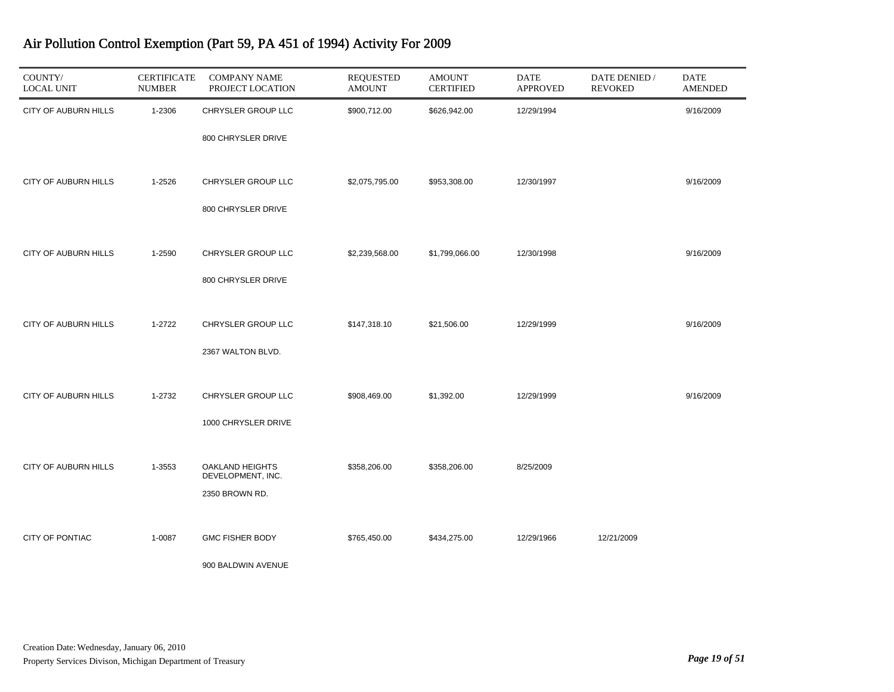| COUNTY/<br><b>LOCAL UNIT</b> | <b>CERTIFICATE</b><br><b>NUMBER</b> | <b>COMPANY NAME</b><br>PROJECT LOCATION | <b>REQUESTED</b><br><b>AMOUNT</b> | <b>AMOUNT</b><br><b>CERTIFIED</b> | <b>DATE</b><br><b>APPROVED</b> | DATE DENIED /<br><b>REVOKED</b> | DATE<br><b>AMENDED</b> |
|------------------------------|-------------------------------------|-----------------------------------------|-----------------------------------|-----------------------------------|--------------------------------|---------------------------------|------------------------|
| CITY OF AUBURN HILLS         | 1-2306                              | CHRYSLER GROUP LLC                      | \$900,712.00                      | \$626,942.00                      | 12/29/1994                     |                                 | 9/16/2009              |
|                              |                                     | 800 CHRYSLER DRIVE                      |                                   |                                   |                                |                                 |                        |
| CITY OF AUBURN HILLS         | 1-2526                              | CHRYSLER GROUP LLC                      | \$2,075,795.00                    | \$953,308.00                      | 12/30/1997                     |                                 | 9/16/2009              |
|                              |                                     | 800 CHRYSLER DRIVE                      |                                   |                                   |                                |                                 |                        |
| CITY OF AUBURN HILLS         | 1-2590                              | CHRYSLER GROUP LLC                      | \$2,239,568.00                    | \$1,799,066.00                    | 12/30/1998                     |                                 | 9/16/2009              |
|                              |                                     | 800 CHRYSLER DRIVE                      |                                   |                                   |                                |                                 |                        |
| CITY OF AUBURN HILLS         | 1-2722                              | CHRYSLER GROUP LLC                      | \$147,318.10                      | \$21,506.00                       | 12/29/1999                     |                                 | 9/16/2009              |
|                              |                                     | 2367 WALTON BLVD.                       |                                   |                                   |                                |                                 |                        |
| CITY OF AUBURN HILLS         | 1-2732                              | CHRYSLER GROUP LLC                      | \$908,469.00                      | \$1,392.00                        | 12/29/1999                     |                                 | 9/16/2009              |
|                              |                                     | 1000 CHRYSLER DRIVE                     |                                   |                                   |                                |                                 |                        |
| CITY OF AUBURN HILLS         | 1-3553                              | OAKLAND HEIGHTS                         | \$358,206.00                      | \$358,206.00                      | 8/25/2009                      |                                 |                        |
|                              |                                     | DEVELOPMENT, INC.<br>2350 BROWN RD.     |                                   |                                   |                                |                                 |                        |
| CITY OF PONTIAC              | 1-0087                              | <b>GMC FISHER BODY</b>                  | \$765,450.00                      | \$434,275.00                      | 12/29/1966                     | 12/21/2009                      |                        |
|                              |                                     | 900 BALDWIN AVENUE                      |                                   |                                   |                                |                                 |                        |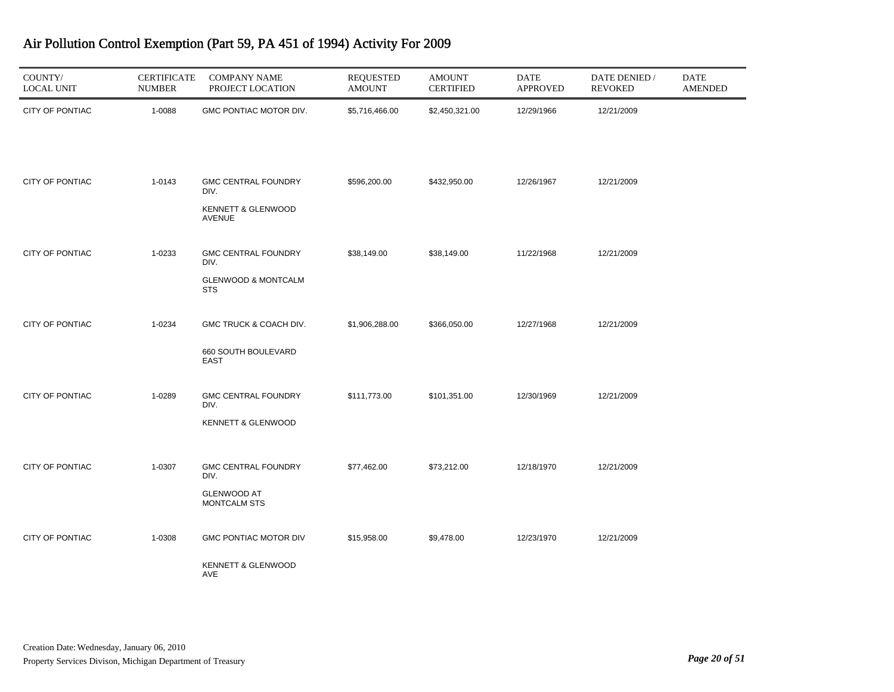| COUNTY/<br><b>LOCAL UNIT</b> | <b>CERTIFICATE</b><br><b>NUMBER</b> | <b>COMPANY NAME</b><br>PROJECT LOCATION                                            | <b>REQUESTED</b><br><b>AMOUNT</b> | <b>AMOUNT</b><br><b>CERTIFIED</b> | <b>DATE</b><br><b>APPROVED</b> | DATE DENIED /<br><b>REVOKED</b> | <b>DATE</b><br><b>AMENDED</b> |
|------------------------------|-------------------------------------|------------------------------------------------------------------------------------|-----------------------------------|-----------------------------------|--------------------------------|---------------------------------|-------------------------------|
| CITY OF PONTIAC              | 1-0088                              | GMC PONTIAC MOTOR DIV.                                                             | \$5,716,466.00                    | \$2,450,321.00                    | 12/29/1966                     | 12/21/2009                      |                               |
| CITY OF PONTIAC              | 1-0143                              | <b>GMC CENTRAL FOUNDRY</b><br>DIV.<br>KENNETT & GLENWOOD<br><b>AVENUE</b>          | \$596,200.00                      | \$432,950.00                      | 12/26/1967                     | 12/21/2009                      |                               |
| CITY OF PONTIAC              | 1-0233                              | <b>GMC CENTRAL FOUNDRY</b><br>DIV.<br><b>GLENWOOD &amp; MONTCALM</b><br><b>STS</b> | \$38,149.00                       | \$38,149.00                       | 11/22/1968                     | 12/21/2009                      |                               |
| CITY OF PONTIAC              | 1-0234                              | GMC TRUCK & COACH DIV.<br>660 SOUTH BOULEVARD<br>EAST                              | \$1,906,288.00                    | \$366,050.00                      | 12/27/1968                     | 12/21/2009                      |                               |
| CITY OF PONTIAC              | 1-0289                              | <b>GMC CENTRAL FOUNDRY</b><br>DIV.<br>KENNETT & GLENWOOD                           | \$111,773.00                      | \$101,351.00                      | 12/30/1969                     | 12/21/2009                      |                               |
| CITY OF PONTIAC              | 1-0307                              | <b>GMC CENTRAL FOUNDRY</b><br>DIV.<br><b>GLENWOOD AT</b><br><b>MONTCALM STS</b>    | \$77,462.00                       | \$73,212.00                       | 12/18/1970                     | 12/21/2009                      |                               |
| CITY OF PONTIAC              | 1-0308                              | <b>GMC PONTIAC MOTOR DIV</b><br>KENNETT & GLENWOOD<br>AVE                          | \$15,958.00                       | \$9,478.00                        | 12/23/1970                     | 12/21/2009                      |                               |

J.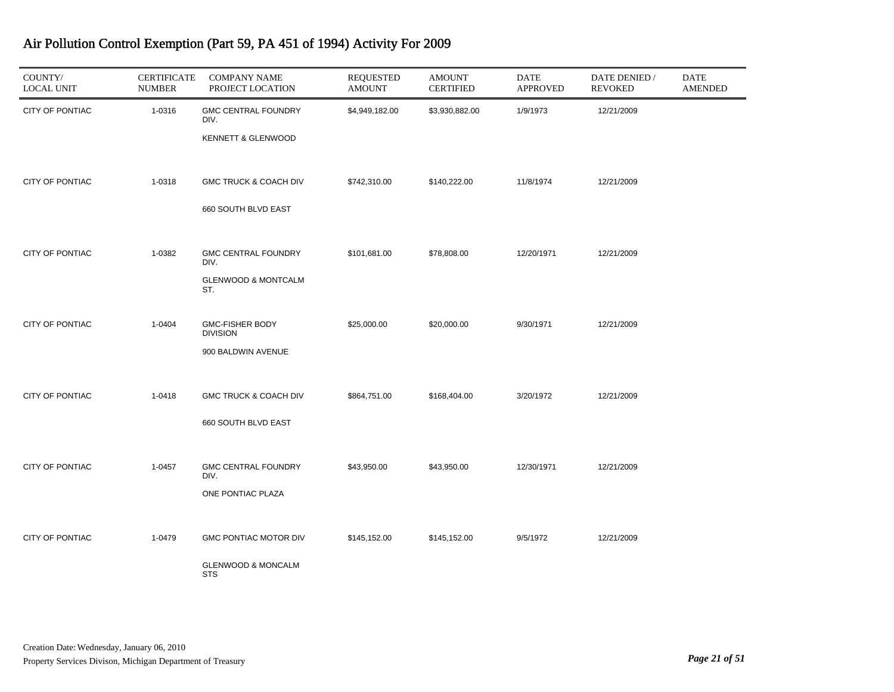| COUNTY/<br><b>LOCAL UNIT</b> | <b>CERTIFICATE</b><br><b>NUMBER</b> | <b>COMPANY NAME</b><br>PROJECT LOCATION                                     | <b>REQUESTED</b><br><b>AMOUNT</b> | <b>AMOUNT</b><br><b>CERTIFIED</b> | DATE<br><b>APPROVED</b> | DATE DENIED /<br><b>REVOKED</b> | <b>DATE</b><br><b>AMENDED</b> |
|------------------------------|-------------------------------------|-----------------------------------------------------------------------------|-----------------------------------|-----------------------------------|-------------------------|---------------------------------|-------------------------------|
| CITY OF PONTIAC              | 1-0316                              | <b>GMC CENTRAL FOUNDRY</b><br>DIV.<br>KENNETT & GLENWOOD                    | \$4,949,182.00                    | \$3,930,882.00                    | 1/9/1973                | 12/21/2009                      |                               |
| CITY OF PONTIAC              | 1-0318                              | GMC TRUCK & COACH DIV<br>660 SOUTH BLVD EAST                                | \$742,310.00                      | \$140,222.00                      | 11/8/1974               | 12/21/2009                      |                               |
| CITY OF PONTIAC              | 1-0382                              | <b>GMC CENTRAL FOUNDRY</b><br>DIV.<br><b>GLENWOOD &amp; MONTCALM</b><br>ST. | \$101,681.00                      | \$78,808.00                       | 12/20/1971              | 12/21/2009                      |                               |
| CITY OF PONTIAC              | 1-0404                              | GMC-FISHER BODY<br><b>DIVISION</b><br>900 BALDWIN AVENUE                    | \$25,000.00                       | \$20,000.00                       | 9/30/1971               | 12/21/2009                      |                               |
| <b>CITY OF PONTIAC</b>       | 1-0418                              | <b>GMC TRUCK &amp; COACH DIV</b><br>660 SOUTH BLVD EAST                     | \$864,751.00                      | \$168,404.00                      | 3/20/1972               | 12/21/2009                      |                               |
| CITY OF PONTIAC              | 1-0457                              | <b>GMC CENTRAL FOUNDRY</b><br>DIV.<br>ONE PONTIAC PLAZA                     | \$43,950.00                       | \$43,950.00                       | 12/30/1971              | 12/21/2009                      |                               |
| CITY OF PONTIAC              | 1-0479                              | <b>GMC PONTIAC MOTOR DIV</b><br><b>GLENWOOD &amp; MONCALM</b><br><b>STS</b> | \$145,152.00                      | \$145,152.00                      | 9/5/1972                | 12/21/2009                      |                               |

۰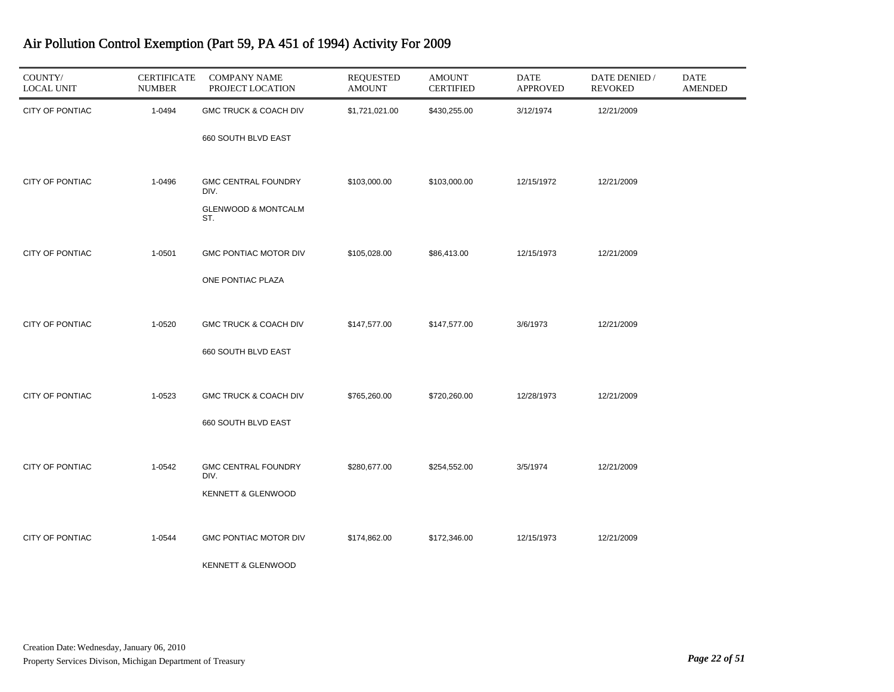| COUNTY/<br><b>LOCAL UNIT</b> | <b>CERTIFICATE</b><br><b>NUMBER</b> | <b>COMPANY NAME</b><br>PROJECT LOCATION | <b>REQUESTED</b><br><b>AMOUNT</b> | <b>AMOUNT</b><br><b>CERTIFIED</b> | <b>DATE</b><br><b>APPROVED</b> | DATE DENIED /<br><b>REVOKED</b> | <b>DATE</b><br><b>AMENDED</b> |
|------------------------------|-------------------------------------|-----------------------------------------|-----------------------------------|-----------------------------------|--------------------------------|---------------------------------|-------------------------------|
| CITY OF PONTIAC              | 1-0494                              | GMC TRUCK & COACH DIV                   | \$1,721,021.00                    | \$430,255.00                      | 3/12/1974                      | 12/21/2009                      |                               |
|                              |                                     | 660 SOUTH BLVD EAST                     |                                   |                                   |                                |                                 |                               |
| CITY OF PONTIAC              | 1-0496                              | <b>GMC CENTRAL FOUNDRY</b><br>DIV.      | \$103,000.00                      | \$103,000.00                      | 12/15/1972                     | 12/21/2009                      |                               |
|                              |                                     | <b>GLENWOOD &amp; MONTCALM</b><br>ST.   |                                   |                                   |                                |                                 |                               |
| CITY OF PONTIAC              | 1-0501                              | <b>GMC PONTIAC MOTOR DIV</b>            | \$105,028.00                      | \$86,413.00                       | 12/15/1973                     | 12/21/2009                      |                               |
|                              |                                     | ONE PONTIAC PLAZA                       |                                   |                                   |                                |                                 |                               |
| CITY OF PONTIAC              | 1-0520                              | GMC TRUCK & COACH DIV                   | \$147,577.00                      | \$147,577.00                      | 3/6/1973                       | 12/21/2009                      |                               |
|                              |                                     | 660 SOUTH BLVD EAST                     |                                   |                                   |                                |                                 |                               |
| CITY OF PONTIAC              | 1-0523                              | GMC TRUCK & COACH DIV                   | \$765,260.00                      | \$720,260.00                      | 12/28/1973                     | 12/21/2009                      |                               |
|                              |                                     | 660 SOUTH BLVD EAST                     |                                   |                                   |                                |                                 |                               |
| CITY OF PONTIAC              | 1-0542                              | <b>GMC CENTRAL FOUNDRY</b><br>DIV.      | \$280,677.00                      | \$254,552.00                      | 3/5/1974                       | 12/21/2009                      |                               |
|                              |                                     | <b>KENNETT &amp; GLENWOOD</b>           |                                   |                                   |                                |                                 |                               |
| CITY OF PONTIAC              | 1-0544                              | GMC PONTIAC MOTOR DIV                   | \$174,862.00                      | \$172,346.00                      | 12/15/1973                     | 12/21/2009                      |                               |
|                              |                                     | <b>KENNETT &amp; GLENWOOD</b>           |                                   |                                   |                                |                                 |                               |

۰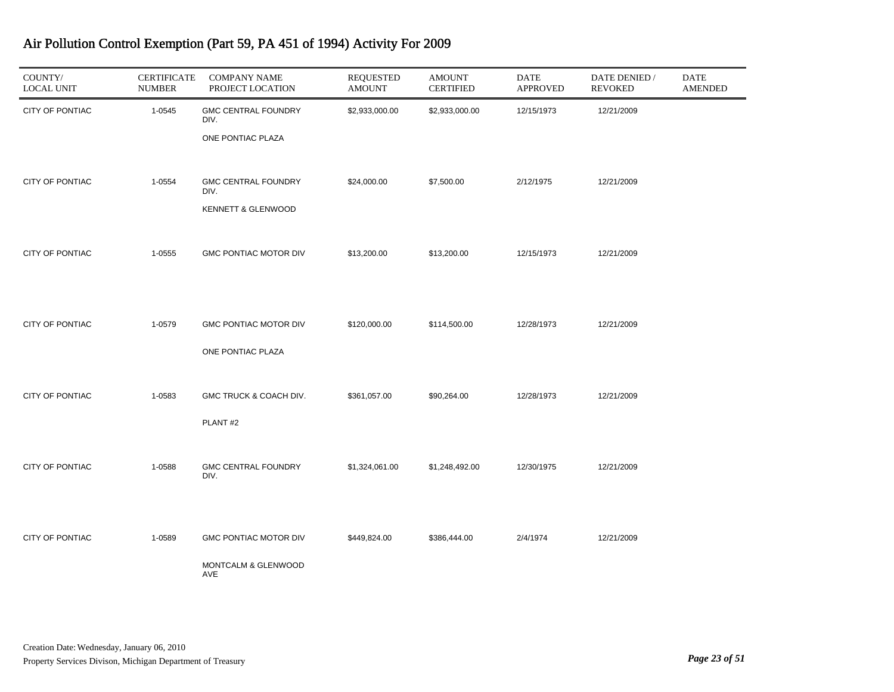| COUNTY/<br><b>LOCAL UNIT</b> | <b>CERTIFICATE</b><br><b>NUMBER</b> | <b>COMPANY NAME</b><br>PROJECT LOCATION                    | <b>REQUESTED</b><br><b>AMOUNT</b> | <b>AMOUNT</b><br><b>CERTIFIED</b> | <b>DATE</b><br><b>APPROVED</b> | DATE DENIED /<br><b>REVOKED</b> | $\mathop{\mathrm{DATE}}$<br><b>AMENDED</b> |
|------------------------------|-------------------------------------|------------------------------------------------------------|-----------------------------------|-----------------------------------|--------------------------------|---------------------------------|--------------------------------------------|
| CITY OF PONTIAC              | 1-0545                              | <b>GMC CENTRAL FOUNDRY</b><br>DIV.<br>ONE PONTIAC PLAZA    | \$2,933,000.00                    | \$2,933,000.00                    | 12/15/1973                     | 12/21/2009                      |                                            |
| <b>CITY OF PONTIAC</b>       | 1-0554                              | <b>GMC CENTRAL FOUNDRY</b><br>DIV.<br>KENNETT & GLENWOOD   | \$24,000.00                       | \$7,500.00                        | 2/12/1975                      | 12/21/2009                      |                                            |
| CITY OF PONTIAC              | 1-0555                              | GMC PONTIAC MOTOR DIV                                      | \$13,200.00                       | \$13,200.00                       | 12/15/1973                     | 12/21/2009                      |                                            |
| CITY OF PONTIAC              | 1-0579                              | GMC PONTIAC MOTOR DIV<br>ONE PONTIAC PLAZA                 | \$120,000.00                      | \$114,500.00                      | 12/28/1973                     | 12/21/2009                      |                                            |
| CITY OF PONTIAC              | 1-0583                              | GMC TRUCK & COACH DIV.<br>PLANT#2                          | \$361,057.00                      | \$90,264.00                       | 12/28/1973                     | 12/21/2009                      |                                            |
| CITY OF PONTIAC              | 1-0588                              | <b>GMC CENTRAL FOUNDRY</b><br>DIV.                         | \$1,324,061.00                    | \$1,248,492.00                    | 12/30/1975                     | 12/21/2009                      |                                            |
| <b>CITY OF PONTIAC</b>       | 1-0589                              | <b>GMC PONTIAC MOTOR DIV</b><br>MONTCALM & GLENWOOD<br>AVE | \$449,824.00                      | \$386,444.00                      | 2/4/1974                       | 12/21/2009                      |                                            |

J.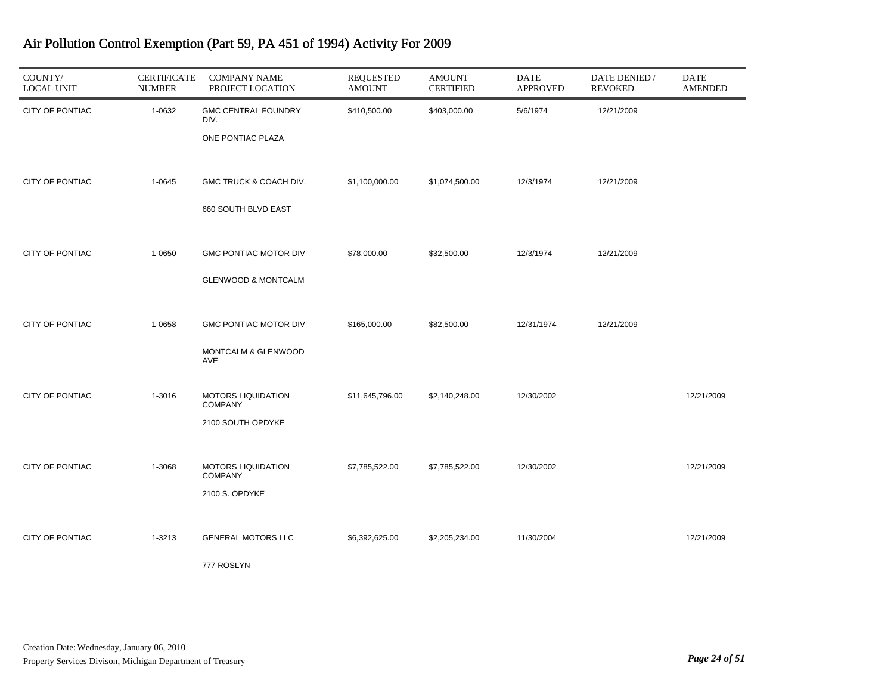| COUNTY/<br><b>LOCAL UNIT</b> | <b>CERTIFICATE</b><br><b>NUMBER</b> | <b>COMPANY NAME</b><br>PROJECT LOCATION                        | <b>REQUESTED</b><br><b>AMOUNT</b> | <b>AMOUNT</b><br><b>CERTIFIED</b> | DATE<br><b>APPROVED</b> | DATE DENIED /<br><b>REVOKED</b> | <b>DATE</b><br><b>AMENDED</b> |
|------------------------------|-------------------------------------|----------------------------------------------------------------|-----------------------------------|-----------------------------------|-------------------------|---------------------------------|-------------------------------|
| CITY OF PONTIAC              | 1-0632                              | <b>GMC CENTRAL FOUNDRY</b><br>DIV.<br>ONE PONTIAC PLAZA        | \$410,500.00                      | \$403,000.00                      | 5/6/1974                | 12/21/2009                      |                               |
| CITY OF PONTIAC              | 1-0645                              | GMC TRUCK & COACH DIV.<br>660 SOUTH BLVD EAST                  | \$1,100,000.00                    | \$1,074,500.00                    | 12/3/1974               | 12/21/2009                      |                               |
| <b>CITY OF PONTIAC</b>       | 1-0650                              | <b>GMC PONTIAC MOTOR DIV</b><br><b>GLENWOOD &amp; MONTCALM</b> | \$78,000.00                       | \$32,500.00                       | 12/3/1974               | 12/21/2009                      |                               |
| CITY OF PONTIAC              | 1-0658                              | <b>GMC PONTIAC MOTOR DIV</b><br>MONTCALM & GLENWOOD<br>AVE     | \$165,000.00                      | \$82,500.00                       | 12/31/1974              | 12/21/2009                      |                               |
| CITY OF PONTIAC              | 1-3016                              | MOTORS LIQUIDATION<br><b>COMPANY</b><br>2100 SOUTH OPDYKE      | \$11,645,796.00                   | \$2,140,248.00                    | 12/30/2002              |                                 | 12/21/2009                    |
| CITY OF PONTIAC              | 1-3068                              | <b>MOTORS LIQUIDATION</b><br><b>COMPANY</b><br>2100 S. OPDYKE  | \$7,785,522.00                    | \$7,785,522.00                    | 12/30/2002              |                                 | 12/21/2009                    |
| CITY OF PONTIAC              | 1-3213                              | <b>GENERAL MOTORS LLC</b><br>777 ROSLYN                        | \$6,392,625.00                    | \$2,205,234.00                    | 11/30/2004              |                                 | 12/21/2009                    |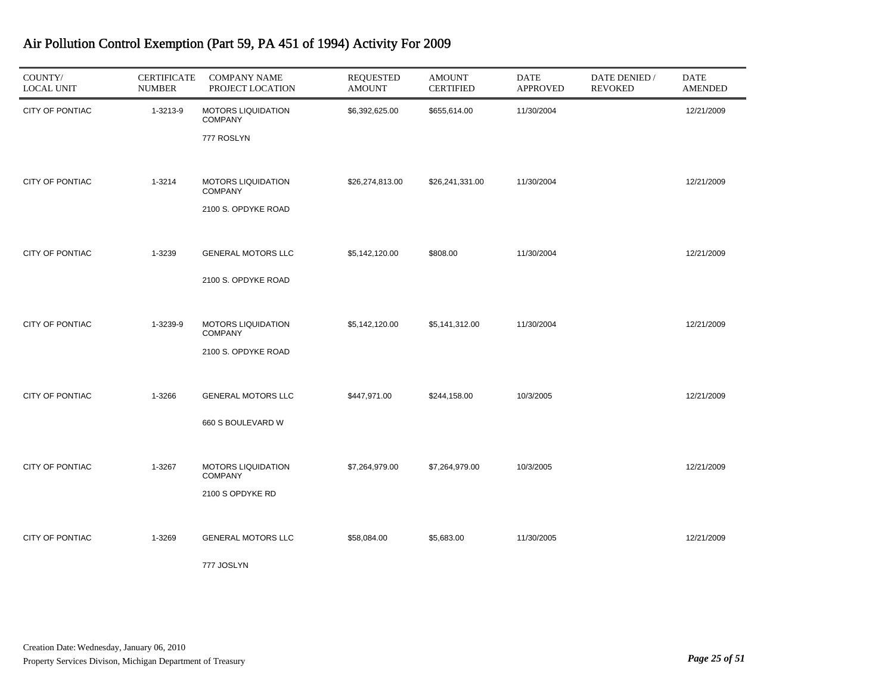| COUNTY/<br><b>LOCAL UNIT</b> | <b>CERTIFICATE</b><br><b>NUMBER</b> | <b>COMPANY NAME</b><br>PROJECT LOCATION                            | <b>REQUESTED</b><br><b>AMOUNT</b> | <b>AMOUNT</b><br><b>CERTIFIED</b> | <b>DATE</b><br><b>APPROVED</b> | DATE DENIED /<br><b>REVOKED</b> | <b>DATE</b><br><b>AMENDED</b> |
|------------------------------|-------------------------------------|--------------------------------------------------------------------|-----------------------------------|-----------------------------------|--------------------------------|---------------------------------|-------------------------------|
| CITY OF PONTIAC              | 1-3213-9                            | <b>MOTORS LIQUIDATION</b><br><b>COMPANY</b><br>777 ROSLYN          | \$6,392,625.00                    | \$655,614.00                      | 11/30/2004                     |                                 | 12/21/2009                    |
| CITY OF PONTIAC              | 1-3214                              | <b>MOTORS LIQUIDATION</b><br><b>COMPANY</b><br>2100 S. OPDYKE ROAD | \$26,274,813.00                   | \$26,241,331.00                   | 11/30/2004                     |                                 | 12/21/2009                    |
| <b>CITY OF PONTIAC</b>       | 1-3239                              | GENERAL MOTORS LLC<br>2100 S. OPDYKE ROAD                          | \$5,142,120.00                    | \$808.00                          | 11/30/2004                     |                                 | 12/21/2009                    |
| CITY OF PONTIAC              | 1-3239-9                            | <b>MOTORS LIQUIDATION</b><br><b>COMPANY</b><br>2100 S. OPDYKE ROAD | \$5,142,120.00                    | \$5,141,312.00                    | 11/30/2004                     |                                 | 12/21/2009                    |
| CITY OF PONTIAC              | 1-3266                              | <b>GENERAL MOTORS LLC</b><br>660 S BOULEVARD W                     | \$447,971.00                      | \$244,158.00                      | 10/3/2005                      |                                 | 12/21/2009                    |
| CITY OF PONTIAC              | 1-3267                              | <b>MOTORS LIQUIDATION</b><br><b>COMPANY</b><br>2100 S OPDYKE RD    | \$7,264,979.00                    | \$7,264,979.00                    | 10/3/2005                      |                                 | 12/21/2009                    |
| CITY OF PONTIAC              | 1-3269                              | <b>GENERAL MOTORS LLC</b><br>777 JOSLYN                            | \$58,084.00                       | \$5,683.00                        | 11/30/2005                     |                                 | 12/21/2009                    |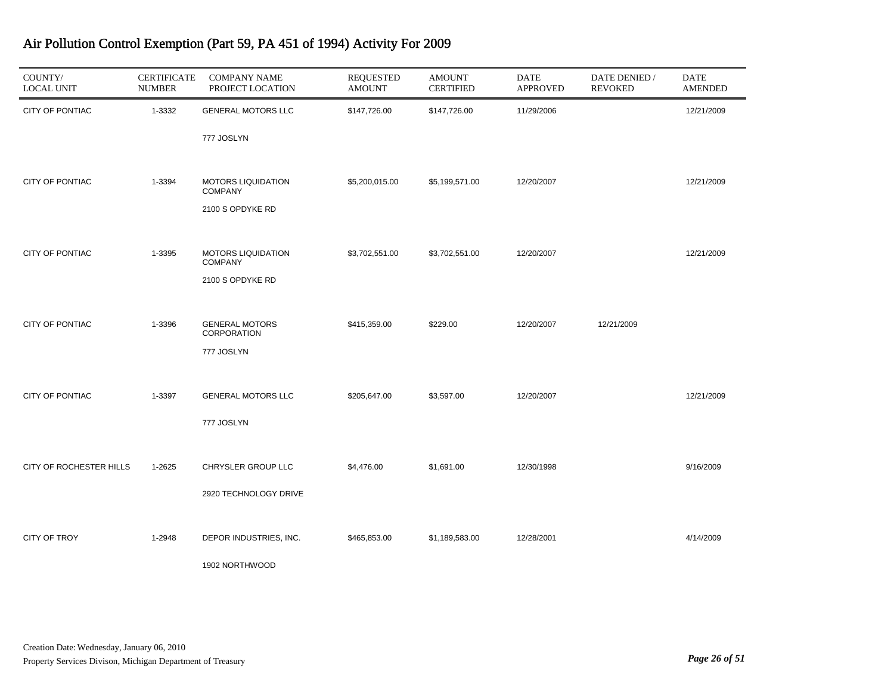| COUNTY/<br><b>LOCAL UNIT</b> | <b>CERTIFICATE</b><br><b>NUMBER</b> | <b>COMPANY NAME</b><br>PROJECT LOCATION     | <b>REQUESTED</b><br><b>AMOUNT</b> | <b>AMOUNT</b><br><b>CERTIFIED</b> | <b>DATE</b><br><b>APPROVED</b> | DATE DENIED /<br><b>REVOKED</b> | <b>DATE</b><br><b>AMENDED</b> |
|------------------------------|-------------------------------------|---------------------------------------------|-----------------------------------|-----------------------------------|--------------------------------|---------------------------------|-------------------------------|
| CITY OF PONTIAC              | 1-3332                              | GENERAL MOTORS LLC                          | \$147,726.00                      | \$147,726.00                      | 11/29/2006                     |                                 | 12/21/2009                    |
|                              |                                     | 777 JOSLYN                                  |                                   |                                   |                                |                                 |                               |
| CITY OF PONTIAC              | 1-3394                              | <b>MOTORS LIQUIDATION</b><br><b>COMPANY</b> | \$5,200,015.00                    | \$5,199,571.00                    | 12/20/2007                     |                                 | 12/21/2009                    |
|                              |                                     | 2100 S OPDYKE RD                            |                                   |                                   |                                |                                 |                               |
|                              |                                     |                                             |                                   |                                   |                                |                                 |                               |
| CITY OF PONTIAC              | 1-3395                              | <b>MOTORS LIQUIDATION</b><br><b>COMPANY</b> | \$3,702,551.00                    | \$3,702,551.00                    | 12/20/2007                     |                                 | 12/21/2009                    |
|                              |                                     | 2100 S OPDYKE RD                            |                                   |                                   |                                |                                 |                               |
| <b>CITY OF PONTIAC</b>       | 1-3396                              | <b>GENERAL MOTORS</b>                       | \$415,359.00                      | \$229.00                          | 12/20/2007                     | 12/21/2009                      |                               |
|                              |                                     | <b>CORPORATION</b>                          |                                   |                                   |                                |                                 |                               |
|                              |                                     | 777 JOSLYN                                  |                                   |                                   |                                |                                 |                               |
| <b>CITY OF PONTIAC</b>       | 1-3397                              | <b>GENERAL MOTORS LLC</b>                   | \$205,647.00                      | \$3,597.00                        | 12/20/2007                     |                                 | 12/21/2009                    |
|                              |                                     | 777 JOSLYN                                  |                                   |                                   |                                |                                 |                               |
|                              |                                     |                                             |                                   |                                   |                                |                                 |                               |
| CITY OF ROCHESTER HILLS      | 1-2625                              | CHRYSLER GROUP LLC                          | \$4,476.00                        | \$1,691.00                        | 12/30/1998                     |                                 | 9/16/2009                     |
|                              |                                     | 2920 TECHNOLOGY DRIVE                       |                                   |                                   |                                |                                 |                               |
|                              |                                     |                                             |                                   |                                   |                                |                                 |                               |
| <b>CITY OF TROY</b>          | 1-2948                              | DEPOR INDUSTRIES, INC.                      | \$465,853.00                      | \$1,189,583.00                    | 12/28/2001                     |                                 | 4/14/2009                     |
|                              |                                     | 1902 NORTHWOOD                              |                                   |                                   |                                |                                 |                               |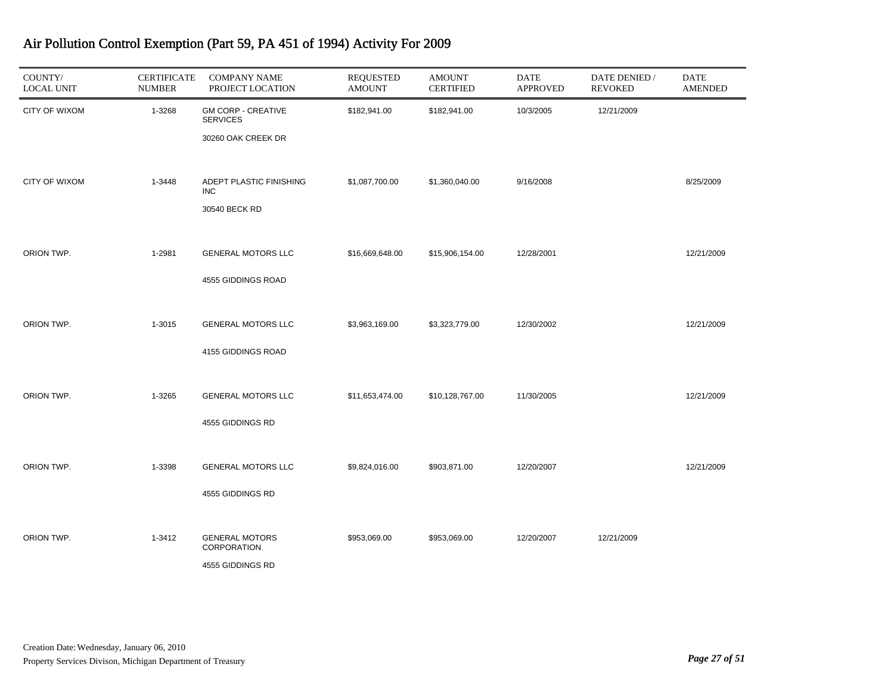| COUNTY/<br><b>LOCAL UNIT</b> | <b>CERTIFICATE</b><br><b>NUMBER</b> | <b>COMPANY NAME</b><br>PROJECT LOCATION                            | <b>REQUESTED</b><br><b>AMOUNT</b> | <b>AMOUNT</b><br><b>CERTIFIED</b> | <b>DATE</b><br><b>APPROVED</b> | DATE DENIED /<br><b>REVOKED</b> | <b>DATE</b><br><b>AMENDED</b> |
|------------------------------|-------------------------------------|--------------------------------------------------------------------|-----------------------------------|-----------------------------------|--------------------------------|---------------------------------|-------------------------------|
| <b>CITY OF WIXOM</b>         | 1-3268                              | <b>GM CORP - CREATIVE</b><br><b>SERVICES</b><br>30260 OAK CREEK DR | \$182,941.00                      | \$182,941.00                      | 10/3/2005                      | 12/21/2009                      |                               |
| <b>CITY OF WIXOM</b>         | 1-3448                              | ADEPT PLASTIC FINISHING<br><b>INC</b><br>30540 BECK RD             | \$1,087,700.00                    | \$1,360,040.00                    | 9/16/2008                      |                                 | 8/25/2009                     |
| ORION TWP.                   | 1-2981                              | GENERAL MOTORS LLC<br>4555 GIDDINGS ROAD                           | \$16,669,648.00                   | \$15,906,154.00                   | 12/28/2001                     |                                 | 12/21/2009                    |
| ORION TWP.                   | 1-3015                              | <b>GENERAL MOTORS LLC</b><br>4155 GIDDINGS ROAD                    | \$3,963,169.00                    | \$3,323,779.00                    | 12/30/2002                     |                                 | 12/21/2009                    |
| ORION TWP.                   | 1-3265                              | <b>GENERAL MOTORS LLC</b><br>4555 GIDDINGS RD                      | \$11,653,474.00                   | \$10,128,767.00                   | 11/30/2005                     |                                 | 12/21/2009                    |
| ORION TWP.                   | 1-3398                              | <b>GENERAL MOTORS LLC</b><br>4555 GIDDINGS RD                      | \$9,824,016.00                    | \$903,871.00                      | 12/20/2007                     |                                 | 12/21/2009                    |
| ORION TWP.                   | 1-3412                              | <b>GENERAL MOTORS</b><br>CORPORATION<br>4555 GIDDINGS RD           | \$953,069.00                      | \$953,069.00                      | 12/20/2007                     | 12/21/2009                      |                               |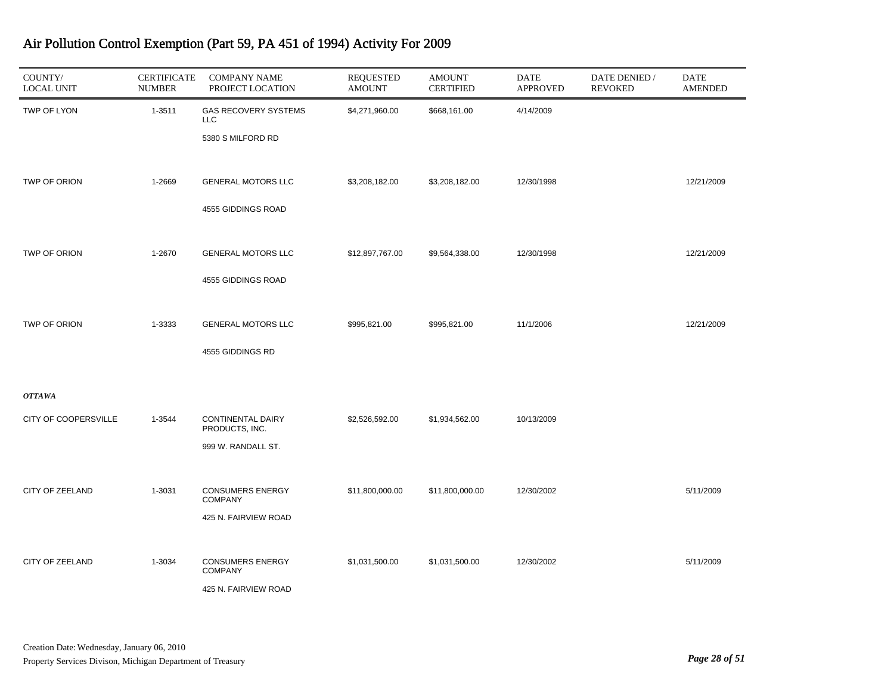| COUNTY/<br><b>LOCAL UNIT</b> | <b>CERTIFICATE</b><br><b>NUMBER</b> | <b>COMPANY NAME</b><br>PROJECT LOCATION    | <b>REQUESTED</b><br><b>AMOUNT</b> | <b>AMOUNT</b><br><b>CERTIFIED</b> | DATE<br><b>APPROVED</b> | DATE DENIED /<br><b>REVOKED</b> | <b>DATE</b><br><b>AMENDED</b> |
|------------------------------|-------------------------------------|--------------------------------------------|-----------------------------------|-----------------------------------|-------------------------|---------------------------------|-------------------------------|
| TWP OF LYON                  | 1-3511                              | <b>GAS RECOVERY SYSTEMS</b><br>LLC         | \$4,271,960.00                    | \$668,161.00                      | 4/14/2009               |                                 |                               |
|                              |                                     | 5380 S MILFORD RD                          |                                   |                                   |                         |                                 |                               |
| TWP OF ORION                 | 1-2669                              | <b>GENERAL MOTORS LLC</b>                  | \$3,208,182.00                    | \$3,208,182.00                    | 12/30/1998              |                                 | 12/21/2009                    |
|                              |                                     | 4555 GIDDINGS ROAD                         |                                   |                                   |                         |                                 |                               |
| TWP OF ORION                 | 1-2670                              | <b>GENERAL MOTORS LLC</b>                  | \$12,897,767.00                   | \$9,564,338.00                    | 12/30/1998              |                                 | 12/21/2009                    |
|                              |                                     | 4555 GIDDINGS ROAD                         |                                   |                                   |                         |                                 |                               |
| TWP OF ORION                 | 1-3333                              | <b>GENERAL MOTORS LLC</b>                  | \$995,821.00                      | \$995,821.00                      | 11/1/2006               |                                 | 12/21/2009                    |
|                              |                                     | 4555 GIDDINGS RD                           |                                   |                                   |                         |                                 |                               |
| <b>OTTAWA</b>                |                                     |                                            |                                   |                                   |                         |                                 |                               |
| CITY OF COOPERSVILLE         | 1-3544                              | <b>CONTINENTAL DAIRY</b><br>PRODUCTS, INC. | \$2,526,592.00                    | \$1,934,562.00                    | 10/13/2009              |                                 |                               |
|                              |                                     | 999 W. RANDALL ST.                         |                                   |                                   |                         |                                 |                               |
| CITY OF ZEELAND              | 1-3031                              | <b>CONSUMERS ENERGY</b><br><b>COMPANY</b>  | \$11,800,000.00                   | \$11,800,000.00                   | 12/30/2002              |                                 | 5/11/2009                     |
|                              |                                     | 425 N. FAIRVIEW ROAD                       |                                   |                                   |                         |                                 |                               |
| CITY OF ZEELAND              | 1-3034                              | <b>CONSUMERS ENERGY</b><br><b>COMPANY</b>  | \$1,031,500.00                    | \$1,031,500.00                    | 12/30/2002              |                                 | 5/11/2009                     |
|                              |                                     | 425 N. FAIRVIEW ROAD                       |                                   |                                   |                         |                                 |                               |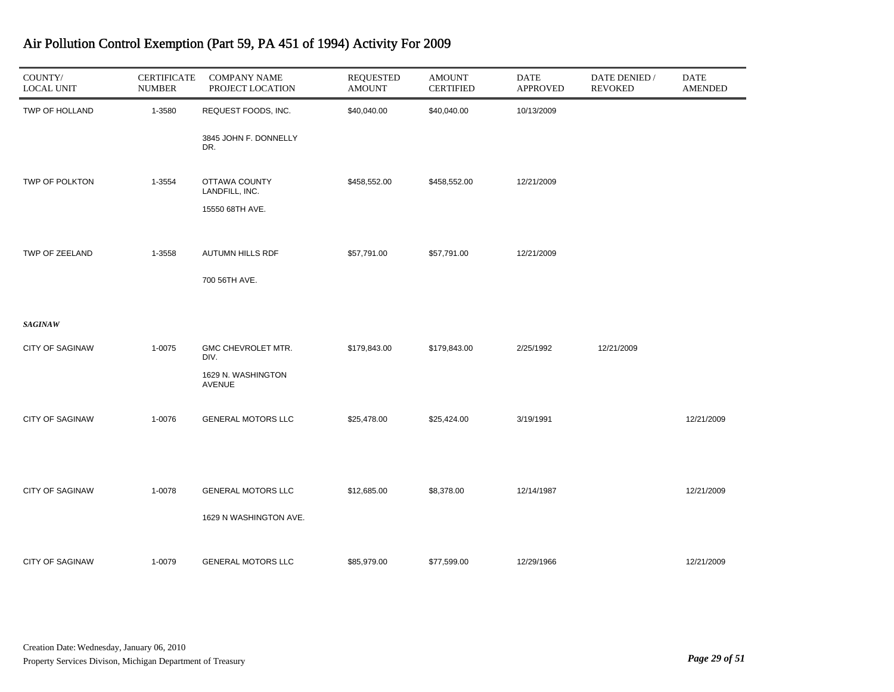| COUNTY/<br><b>LOCAL UNIT</b> | <b>CERTIFICATE</b><br><b>NUMBER</b> | <b>COMPANY NAME</b><br>PROJECT LOCATION | <b>REQUESTED</b><br><b>AMOUNT</b> | <b>AMOUNT</b><br><b>CERTIFIED</b> | <b>DATE</b><br><b>APPROVED</b> | DATE DENIED /<br><b>REVOKED</b> | <b>DATE</b><br><b>AMENDED</b> |
|------------------------------|-------------------------------------|-----------------------------------------|-----------------------------------|-----------------------------------|--------------------------------|---------------------------------|-------------------------------|
| TWP OF HOLLAND               | 1-3580                              | REQUEST FOODS, INC.                     | \$40,040.00                       | \$40,040.00                       | 10/13/2009                     |                                 |                               |
|                              |                                     | 3845 JOHN F. DONNELLY<br>DR.            |                                   |                                   |                                |                                 |                               |
| TWP OF POLKTON               | 1-3554                              | OTTAWA COUNTY<br>LANDFILL, INC.         | \$458,552.00                      | \$458,552.00                      | 12/21/2009                     |                                 |                               |
|                              |                                     | 15550 68TH AVE.                         |                                   |                                   |                                |                                 |                               |
| TWP OF ZEELAND               | 1-3558                              | AUTUMN HILLS RDF                        | \$57,791.00                       | \$57,791.00                       | 12/21/2009                     |                                 |                               |
|                              |                                     | 700 56TH AVE.                           |                                   |                                   |                                |                                 |                               |
| <b>SAGINAW</b>               |                                     |                                         |                                   |                                   |                                |                                 |                               |
| <b>CITY OF SAGINAW</b>       | 1-0075                              | GMC CHEVROLET MTR.<br>DIV.              | \$179,843.00                      | \$179,843.00                      | 2/25/1992                      | 12/21/2009                      |                               |
|                              |                                     | 1629 N. WASHINGTON<br><b>AVENUE</b>     |                                   |                                   |                                |                                 |                               |
| <b>CITY OF SAGINAW</b>       | 1-0076                              | <b>GENERAL MOTORS LLC</b>               | \$25,478.00                       | \$25,424.00                       | 3/19/1991                      |                                 | 12/21/2009                    |
|                              |                                     |                                         |                                   |                                   |                                |                                 |                               |
| <b>CITY OF SAGINAW</b>       | 1-0078                              | <b>GENERAL MOTORS LLC</b>               | \$12,685.00                       | \$8,378.00                        | 12/14/1987                     |                                 | 12/21/2009                    |
|                              |                                     | 1629 N WASHINGTON AVE.                  |                                   |                                   |                                |                                 |                               |
| <b>CITY OF SAGINAW</b>       | 1-0079                              | <b>GENERAL MOTORS LLC</b>               | \$85,979.00                       | \$77,599.00                       | 12/29/1966                     |                                 | 12/21/2009                    |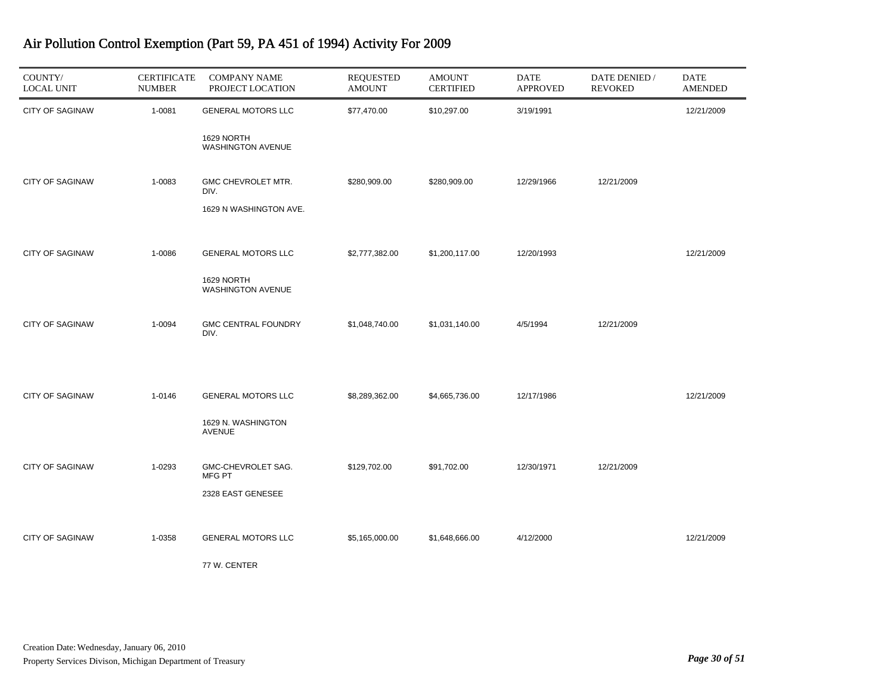| COUNTY/<br><b>LOCAL UNIT</b> | <b>CERTIFICATE</b><br><b>NUMBER</b> | <b>COMPANY NAME</b><br>PROJECT LOCATION              | <b>REQUESTED</b><br><b>AMOUNT</b> | <b>AMOUNT</b><br><b>CERTIFIED</b> | DATE<br><b>APPROVED</b> | DATE DENIED /<br><b>REVOKED</b> | DATE<br><b>AMENDED</b> |
|------------------------------|-------------------------------------|------------------------------------------------------|-----------------------------------|-----------------------------------|-------------------------|---------------------------------|------------------------|
| <b>CITY OF SAGINAW</b>       | 1-0081                              | <b>GENERAL MOTORS LLC</b>                            | \$77,470.00                       | \$10,297.00                       | 3/19/1991               |                                 | 12/21/2009             |
|                              |                                     | 1629 NORTH<br><b>WASHINGTON AVENUE</b>               |                                   |                                   |                         |                                 |                        |
| <b>CITY OF SAGINAW</b>       | 1-0083                              | GMC CHEVROLET MTR.<br>DIV.<br>1629 N WASHINGTON AVE. | \$280,909.00                      | \$280,909.00                      | 12/29/1966              | 12/21/2009                      |                        |
|                              |                                     |                                                      |                                   |                                   |                         |                                 |                        |
| <b>CITY OF SAGINAW</b>       | 1-0086                              | <b>GENERAL MOTORS LLC</b>                            | \$2,777,382.00                    | \$1,200,117.00                    | 12/20/1993              |                                 | 12/21/2009             |
|                              |                                     | 1629 NORTH<br>WASHINGTON AVENUE                      |                                   |                                   |                         |                                 |                        |
| <b>CITY OF SAGINAW</b>       | 1-0094                              | <b>GMC CENTRAL FOUNDRY</b><br>DIV.                   | \$1,048,740.00                    | \$1,031,140.00                    | 4/5/1994                | 12/21/2009                      |                        |
|                              |                                     |                                                      |                                   |                                   |                         |                                 |                        |
| <b>CITY OF SAGINAW</b>       | 1-0146                              | <b>GENERAL MOTORS LLC</b>                            | \$8,289,362.00                    | \$4,665,736.00                    | 12/17/1986              |                                 | 12/21/2009             |
|                              |                                     | 1629 N. WASHINGTON<br><b>AVENUE</b>                  |                                   |                                   |                         |                                 |                        |
| <b>CITY OF SAGINAW</b>       | 1-0293                              | GMC-CHEVROLET SAG.<br>MFG PT                         | \$129,702.00                      | \$91,702.00                       | 12/30/1971              | 12/21/2009                      |                        |
|                              |                                     | 2328 EAST GENESEE                                    |                                   |                                   |                         |                                 |                        |
| <b>CITY OF SAGINAW</b>       | 1-0358                              | <b>GENERAL MOTORS LLC</b>                            | \$5,165,000.00                    | \$1,648,666.00                    | 4/12/2000               |                                 | 12/21/2009             |
|                              |                                     | 77 W. CENTER                                         |                                   |                                   |                         |                                 |                        |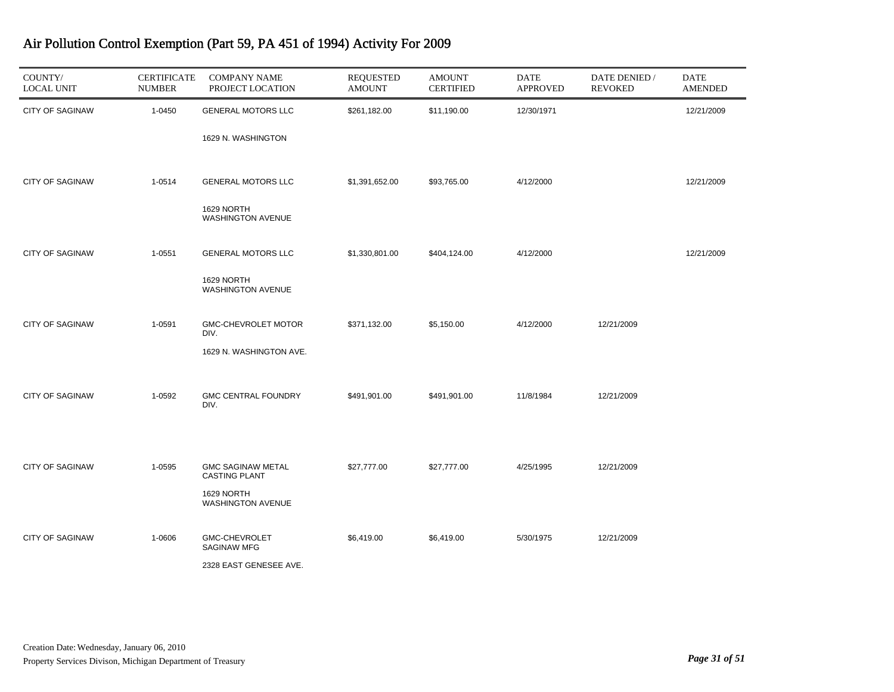| COUNTY/<br><b>LOCAL UNIT</b> | <b>CERTIFICATE</b><br><b>NUMBER</b> | <b>COMPANY NAME</b><br>PROJECT LOCATION          | <b>REQUESTED</b><br><b>AMOUNT</b> | <b>AMOUNT</b><br><b>CERTIFIED</b> | <b>DATE</b><br><b>APPROVED</b> | DATE DENIED /<br><b>REVOKED</b> | DATE<br><b>AMENDED</b> |
|------------------------------|-------------------------------------|--------------------------------------------------|-----------------------------------|-----------------------------------|--------------------------------|---------------------------------|------------------------|
| <b>CITY OF SAGINAW</b>       | 1-0450                              | <b>GENERAL MOTORS LLC</b>                        | \$261,182.00                      | \$11,190.00                       | 12/30/1971                     |                                 | 12/21/2009             |
|                              |                                     | 1629 N. WASHINGTON                               |                                   |                                   |                                |                                 |                        |
| <b>CITY OF SAGINAW</b>       | 1-0514                              | <b>GENERAL MOTORS LLC</b>                        | \$1,391,652.00                    | \$93,765.00                       | 4/12/2000                      |                                 | 12/21/2009             |
|                              |                                     | 1629 NORTH<br><b>WASHINGTON AVENUE</b>           |                                   |                                   |                                |                                 |                        |
| <b>CITY OF SAGINAW</b>       | 1-0551                              | <b>GENERAL MOTORS LLC</b>                        | \$1,330,801.00                    | \$404,124.00                      | 4/12/2000                      |                                 | 12/21/2009             |
|                              |                                     | 1629 NORTH<br><b>WASHINGTON AVENUE</b>           |                                   |                                   |                                |                                 |                        |
| <b>CITY OF SAGINAW</b>       | 1-0591                              | GMC-CHEVROLET MOTOR<br>DIV.                      | \$371,132.00                      | \$5,150.00                        | 4/12/2000                      | 12/21/2009                      |                        |
|                              |                                     | 1629 N. WASHINGTON AVE.                          |                                   |                                   |                                |                                 |                        |
| <b>CITY OF SAGINAW</b>       | 1-0592                              | <b>GMC CENTRAL FOUNDRY</b><br>DIV.               | \$491,901.00                      | \$491,901.00                      | 11/8/1984                      | 12/21/2009                      |                        |
| <b>CITY OF SAGINAW</b>       | 1-0595                              | <b>GMC SAGINAW METAL</b><br><b>CASTING PLANT</b> | \$27,777.00                       | \$27,777.00                       | 4/25/1995                      | 12/21/2009                      |                        |
|                              |                                     | 1629 NORTH<br><b>WASHINGTON AVENUE</b>           |                                   |                                   |                                |                                 |                        |
| <b>CITY OF SAGINAW</b>       | 1-0606                              | GMC-CHEVROLET<br>SAGINAW MFG                     | \$6,419.00                        | \$6,419.00                        | 5/30/1975                      | 12/21/2009                      |                        |
|                              |                                     | 2328 EAST GENESEE AVE.                           |                                   |                                   |                                |                                 |                        |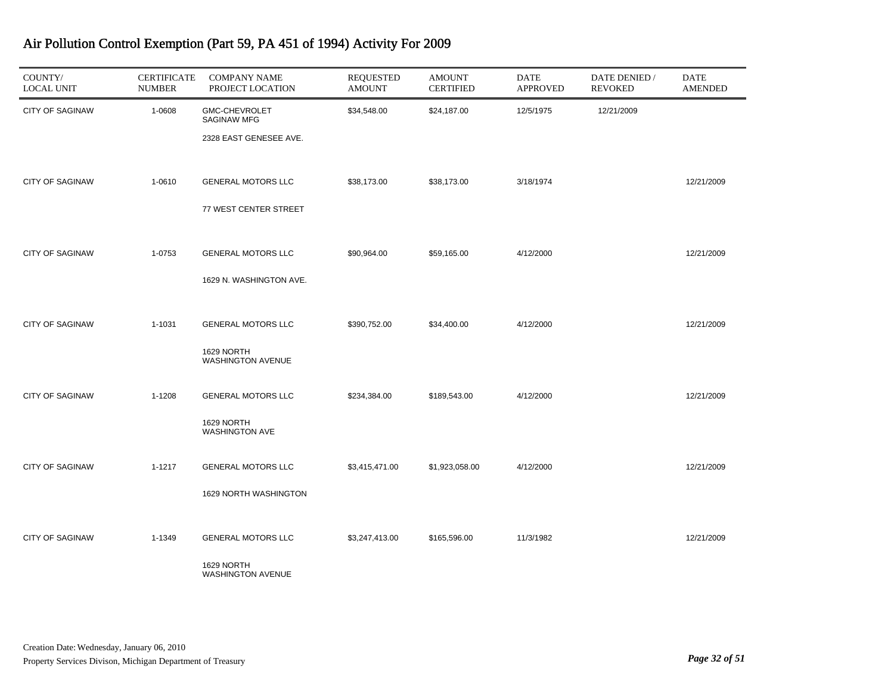| COUNTY/<br><b>LOCAL UNIT</b> | <b>CERTIFICATE</b><br><b>NUMBER</b> | <b>COMPANY NAME</b><br>PROJECT LOCATION                             | <b>REQUESTED</b><br><b>AMOUNT</b> | <b>AMOUNT</b><br><b>CERTIFIED</b> | <b>DATE</b><br><b>APPROVED</b> | DATE DENIED /<br><b>REVOKED</b> | <b>DATE</b><br><b>AMENDED</b> |
|------------------------------|-------------------------------------|---------------------------------------------------------------------|-----------------------------------|-----------------------------------|--------------------------------|---------------------------------|-------------------------------|
| <b>CITY OF SAGINAW</b>       | 1-0608                              | <b>GMC-CHEVROLET</b><br>SAGINAW MFG<br>2328 EAST GENESEE AVE.       | \$34,548.00                       | \$24,187.00                       | 12/5/1975                      | 12/21/2009                      |                               |
| <b>CITY OF SAGINAW</b>       | 1-0610                              | <b>GENERAL MOTORS LLC</b><br>77 WEST CENTER STREET                  | \$38,173.00                       | \$38,173.00                       | 3/18/1974                      |                                 | 12/21/2009                    |
| <b>CITY OF SAGINAW</b>       | 1-0753                              | <b>GENERAL MOTORS LLC</b><br>1629 N. WASHINGTON AVE.                | \$90,964.00                       | \$59,165.00                       | 4/12/2000                      |                                 | 12/21/2009                    |
| <b>CITY OF SAGINAW</b>       | 1-1031                              | <b>GENERAL MOTORS LLC</b><br>1629 NORTH<br><b>WASHINGTON AVENUE</b> | \$390,752.00                      | \$34,400.00                       | 4/12/2000                      |                                 | 12/21/2009                    |
| <b>CITY OF SAGINAW</b>       | 1-1208                              | <b>GENERAL MOTORS LLC</b><br>1629 NORTH<br><b>WASHINGTON AVE</b>    | \$234,384.00                      | \$189,543.00                      | 4/12/2000                      |                                 | 12/21/2009                    |
| <b>CITY OF SAGINAW</b>       | 1-1217                              | <b>GENERAL MOTORS LLC</b><br>1629 NORTH WASHINGTON                  | \$3,415,471.00                    | \$1,923,058.00                    | 4/12/2000                      |                                 | 12/21/2009                    |
| <b>CITY OF SAGINAW</b>       | 1-1349                              | <b>GENERAL MOTORS LLC</b><br>1629 NORTH<br><b>WASHINGTON AVENUE</b> | \$3,247,413.00                    | \$165,596.00                      | 11/3/1982                      |                                 | 12/21/2009                    |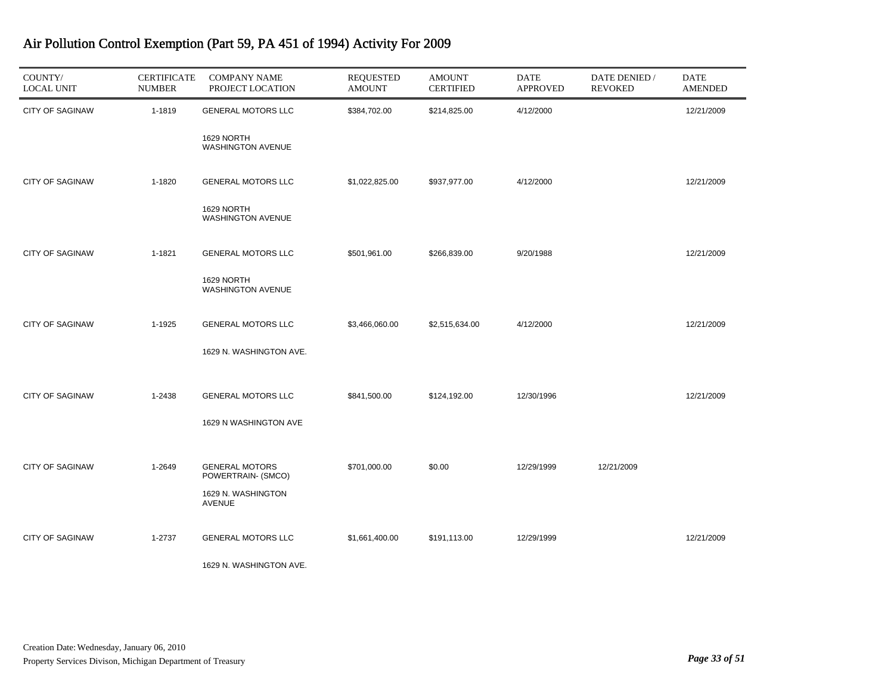| COUNTY/<br><b>LOCAL UNIT</b> | <b>CERTIFICATE</b><br><b>NUMBER</b> | <b>COMPANY NAME</b><br>PROJECT LOCATION     | <b>REQUESTED</b><br><b>AMOUNT</b> | <b>AMOUNT</b><br><b>CERTIFIED</b> | <b>DATE</b><br><b>APPROVED</b> | DATE DENIED /<br><b>REVOKED</b> | <b>DATE</b><br><b>AMENDED</b> |
|------------------------------|-------------------------------------|---------------------------------------------|-----------------------------------|-----------------------------------|--------------------------------|---------------------------------|-------------------------------|
| <b>CITY OF SAGINAW</b>       | 1-1819                              | <b>GENERAL MOTORS LLC</b>                   | \$384,702.00                      | \$214,825.00                      | 4/12/2000                      |                                 | 12/21/2009                    |
|                              |                                     | 1629 NORTH<br><b>WASHINGTON AVENUE</b>      |                                   |                                   |                                |                                 |                               |
| <b>CITY OF SAGINAW</b>       | 1-1820                              | <b>GENERAL MOTORS LLC</b>                   | \$1,022,825.00                    | \$937,977.00                      | 4/12/2000                      |                                 | 12/21/2009                    |
|                              |                                     | 1629 NORTH<br>WASHINGTON AVENUE             |                                   |                                   |                                |                                 |                               |
| <b>CITY OF SAGINAW</b>       | 1-1821                              | <b>GENERAL MOTORS LLC</b>                   | \$501,961.00                      | \$266,839.00                      | 9/20/1988                      |                                 | 12/21/2009                    |
|                              |                                     | 1629 NORTH<br><b>WASHINGTON AVENUE</b>      |                                   |                                   |                                |                                 |                               |
| <b>CITY OF SAGINAW</b>       | 1-1925                              | <b>GENERAL MOTORS LLC</b>                   | \$3,466,060.00                    | \$2,515,634.00                    | 4/12/2000                      |                                 | 12/21/2009                    |
|                              |                                     | 1629 N. WASHINGTON AVE.                     |                                   |                                   |                                |                                 |                               |
| <b>CITY OF SAGINAW</b>       | 1-2438                              | <b>GENERAL MOTORS LLC</b>                   | \$841,500.00                      | \$124,192.00                      | 12/30/1996                     |                                 | 12/21/2009                    |
|                              |                                     | 1629 N WASHINGTON AVE                       |                                   |                                   |                                |                                 |                               |
| <b>CITY OF SAGINAW</b>       | 1-2649                              | <b>GENERAL MOTORS</b><br>POWERTRAIN- (SMCO) | \$701,000.00                      | \$0.00                            | 12/29/1999                     | 12/21/2009                      |                               |
|                              |                                     | 1629 N. WASHINGTON<br><b>AVENUE</b>         |                                   |                                   |                                |                                 |                               |
| <b>CITY OF SAGINAW</b>       | 1-2737                              | <b>GENERAL MOTORS LLC</b>                   | \$1,661,400.00                    | \$191,113.00                      | 12/29/1999                     |                                 | 12/21/2009                    |
|                              |                                     | 1629 N. WASHINGTON AVE.                     |                                   |                                   |                                |                                 |                               |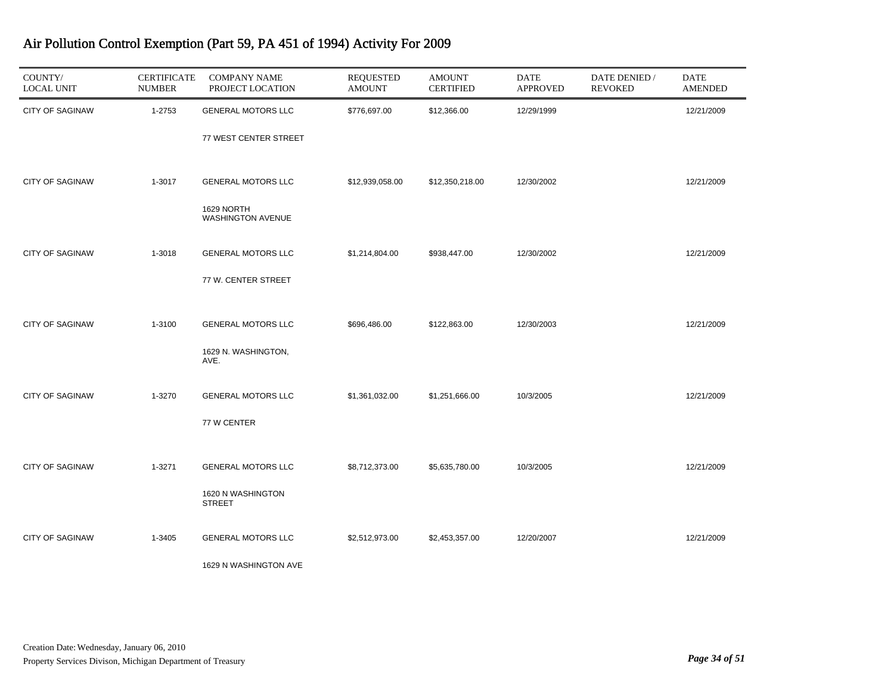| COUNTY/<br><b>LOCAL UNIT</b> | <b>CERTIFICATE</b><br><b>NUMBER</b> | <b>COMPANY NAME</b><br>PROJECT LOCATION | <b>REQUESTED</b><br><b>AMOUNT</b> | <b>AMOUNT</b><br><b>CERTIFIED</b> | <b>DATE</b><br><b>APPROVED</b> | DATE DENIED /<br><b>REVOKED</b> | DATE<br><b>AMENDED</b> |
|------------------------------|-------------------------------------|-----------------------------------------|-----------------------------------|-----------------------------------|--------------------------------|---------------------------------|------------------------|
| <b>CITY OF SAGINAW</b>       | 1-2753                              | <b>GENERAL MOTORS LLC</b>               | \$776,697.00                      | \$12,366.00                       | 12/29/1999                     |                                 | 12/21/2009             |
|                              |                                     | 77 WEST CENTER STREET                   |                                   |                                   |                                |                                 |                        |
| <b>CITY OF SAGINAW</b>       | 1-3017                              | <b>GENERAL MOTORS LLC</b>               | \$12,939,058.00                   | \$12,350,218.00                   | 12/30/2002                     |                                 | 12/21/2009             |
|                              |                                     | 1629 NORTH<br><b>WASHINGTON AVENUE</b>  |                                   |                                   |                                |                                 |                        |
| <b>CITY OF SAGINAW</b>       | 1-3018                              | <b>GENERAL MOTORS LLC</b>               | \$1,214,804.00                    | \$938,447.00                      | 12/30/2002                     |                                 | 12/21/2009             |
|                              |                                     | 77 W. CENTER STREET                     |                                   |                                   |                                |                                 |                        |
| <b>CITY OF SAGINAW</b>       | 1-3100                              | <b>GENERAL MOTORS LLC</b>               | \$696,486.00                      | \$122,863.00                      | 12/30/2003                     |                                 | 12/21/2009             |
|                              |                                     | 1629 N. WASHINGTON,<br>AVE.             |                                   |                                   |                                |                                 |                        |
| <b>CITY OF SAGINAW</b>       | 1-3270                              | <b>GENERAL MOTORS LLC</b>               | \$1,361,032.00                    | \$1,251,666.00                    | 10/3/2005                      |                                 | 12/21/2009             |
|                              |                                     | 77 W CENTER                             |                                   |                                   |                                |                                 |                        |
| <b>CITY OF SAGINAW</b>       | 1-3271                              | <b>GENERAL MOTORS LLC</b>               | \$8,712,373.00                    | \$5,635,780.00                    | 10/3/2005                      |                                 | 12/21/2009             |
|                              |                                     | 1620 N WASHINGTON<br><b>STREET</b>      |                                   |                                   |                                |                                 |                        |
| <b>CITY OF SAGINAW</b>       | 1-3405                              | <b>GENERAL MOTORS LLC</b>               | \$2,512,973.00                    | \$2,453,357.00                    | 12/20/2007                     |                                 | 12/21/2009             |
|                              |                                     | 1629 N WASHINGTON AVE                   |                                   |                                   |                                |                                 |                        |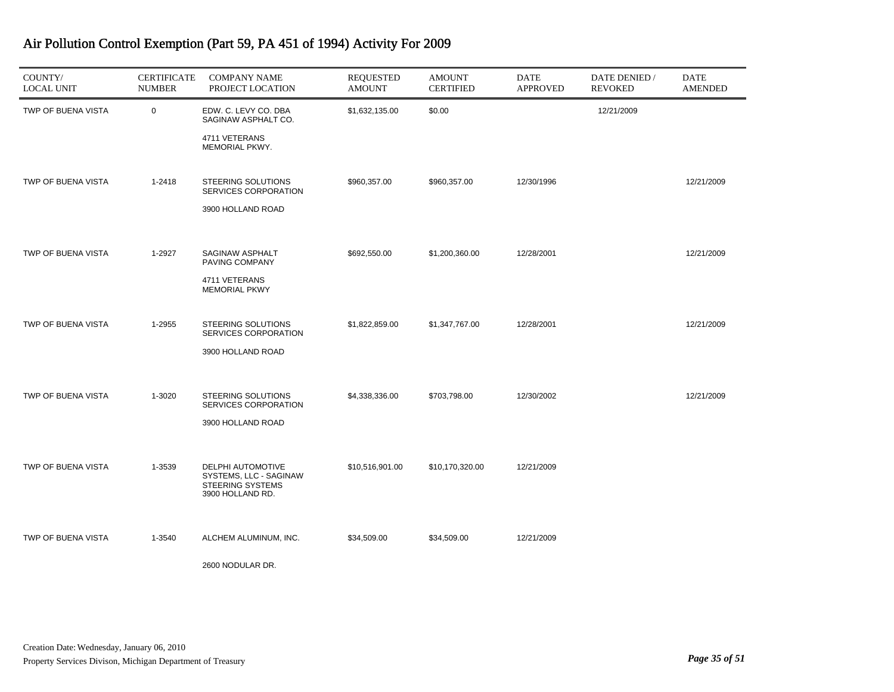| COUNTY/<br><b>LOCAL UNIT</b> | <b>CERTIFICATE</b><br><b>NUMBER</b> | <b>COMPANY NAME</b><br>PROJECT LOCATION                                                    | <b>REQUESTED</b><br><b>AMOUNT</b> | <b>AMOUNT</b><br><b>CERTIFIED</b> | <b>DATE</b><br><b>APPROVED</b> | DATE DENIED /<br><b>REVOKED</b> | <b>DATE</b><br><b>AMENDED</b> |
|------------------------------|-------------------------------------|--------------------------------------------------------------------------------------------|-----------------------------------|-----------------------------------|--------------------------------|---------------------------------|-------------------------------|
| TWP OF BUENA VISTA           | $\mathbf 0$                         | EDW. C. LEVY CO. DBA<br>SAGINAW ASPHALT CO.                                                | \$1,632,135.00                    | \$0.00                            |                                | 12/21/2009                      |                               |
|                              |                                     | 4711 VETERANS<br>MEMORIAL PKWY.                                                            |                                   |                                   |                                |                                 |                               |
| TWP OF BUENA VISTA           | 1-2418                              | STEERING SOLUTIONS<br>SERVICES CORPORATION                                                 | \$960,357.00                      | \$960,357.00                      | 12/30/1996                     |                                 | 12/21/2009                    |
|                              |                                     | 3900 HOLLAND ROAD                                                                          |                                   |                                   |                                |                                 |                               |
| TWP OF BUENA VISTA           | 1-2927                              | SAGINAW ASPHALT<br>PAVING COMPANY                                                          | \$692,550.00                      | \$1,200,360.00                    | 12/28/2001                     |                                 | 12/21/2009                    |
|                              |                                     | 4711 VETERANS<br><b>MEMORIAL PKWY</b>                                                      |                                   |                                   |                                |                                 |                               |
| TWP OF BUENA VISTA           | 1-2955                              | STEERING SOLUTIONS<br>SERVICES CORPORATION                                                 | \$1,822,859.00                    | \$1,347,767.00                    | 12/28/2001                     |                                 | 12/21/2009                    |
|                              |                                     | 3900 HOLLAND ROAD                                                                          |                                   |                                   |                                |                                 |                               |
| TWP OF BUENA VISTA           | 1-3020                              | STEERING SOLUTIONS<br>SERVICES CORPORATION                                                 | \$4,338,336.00                    | \$703,798.00                      | 12/30/2002                     |                                 | 12/21/2009                    |
|                              |                                     | 3900 HOLLAND ROAD                                                                          |                                   |                                   |                                |                                 |                               |
| TWP OF BUENA VISTA           | 1-3539                              | DELPHI AUTOMOTIVE<br>SYSTEMS, LLC - SAGINAW<br><b>STEERING SYSTEMS</b><br>3900 HOLLAND RD. | \$10,516,901.00                   | \$10,170,320.00                   | 12/21/2009                     |                                 |                               |
| TWP OF BUENA VISTA           | 1-3540                              | ALCHEM ALUMINUM, INC.                                                                      | \$34,509.00                       | \$34,509.00                       | 12/21/2009                     |                                 |                               |
|                              |                                     | 2600 NODULAR DR.                                                                           |                                   |                                   |                                |                                 |                               |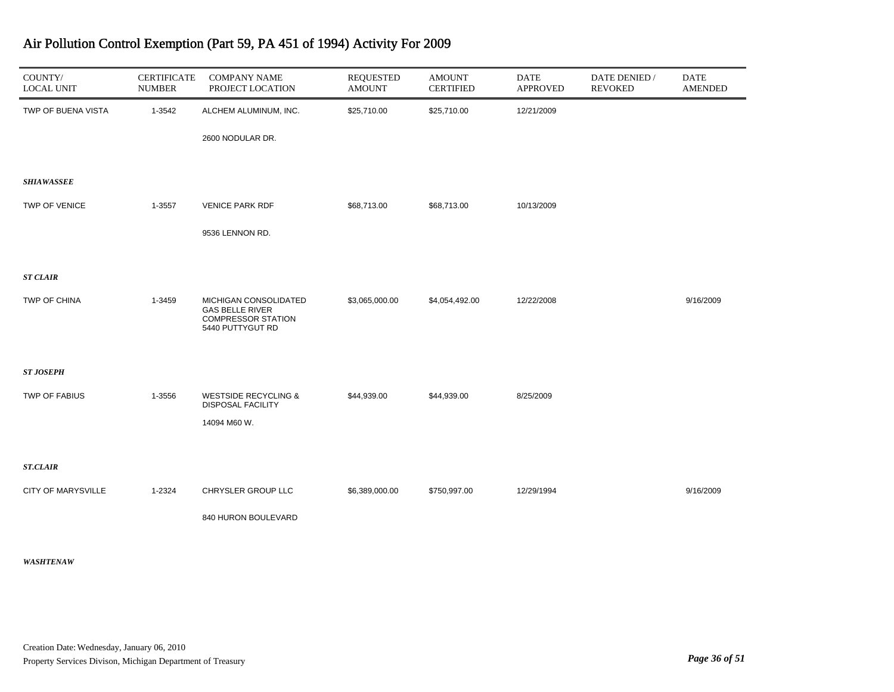| COUNTY/<br><b>LOCAL UNIT</b> | <b>CERTIFICATE</b><br><b>NUMBER</b> | <b>COMPANY NAME</b><br>PROJECT LOCATION                                                          | <b>REQUESTED</b><br><b>AMOUNT</b> | <b>AMOUNT</b><br><b>CERTIFIED</b> | <b>DATE</b><br><b>APPROVED</b> | DATE DENIED /<br><b>REVOKED</b> | <b>DATE</b><br><b>AMENDED</b> |
|------------------------------|-------------------------------------|--------------------------------------------------------------------------------------------------|-----------------------------------|-----------------------------------|--------------------------------|---------------------------------|-------------------------------|
| TWP OF BUENA VISTA           | 1-3542                              | ALCHEM ALUMINUM, INC.                                                                            | \$25,710.00                       | \$25,710.00                       | 12/21/2009                     |                                 |                               |
|                              |                                     | 2600 NODULAR DR.                                                                                 |                                   |                                   |                                |                                 |                               |
| <b>SHIAWASSEE</b>            |                                     |                                                                                                  |                                   |                                   |                                |                                 |                               |
|                              |                                     |                                                                                                  |                                   |                                   |                                |                                 |                               |
| TWP OF VENICE                | 1-3557                              | <b>VENICE PARK RDF</b>                                                                           | \$68,713.00                       | \$68,713.00                       | 10/13/2009                     |                                 |                               |
|                              |                                     | 9536 LENNON RD.                                                                                  |                                   |                                   |                                |                                 |                               |
|                              |                                     |                                                                                                  |                                   |                                   |                                |                                 |                               |
| <b>ST CLAIR</b>              |                                     |                                                                                                  |                                   |                                   |                                |                                 |                               |
| TWP OF CHINA                 | 1-3459                              | MICHIGAN CONSOLIDATED<br><b>GAS BELLE RIVER</b><br><b>COMPRESSOR STATION</b><br>5440 PUTTYGUT RD | \$3,065,000.00                    | \$4,054,492.00                    | 12/22/2008                     |                                 | 9/16/2009                     |
|                              |                                     |                                                                                                  |                                   |                                   |                                |                                 |                               |
| <b>ST JOSEPH</b>             |                                     |                                                                                                  |                                   |                                   |                                |                                 |                               |
| <b>TWP OF FABIUS</b>         | 1-3556                              | <b>WESTSIDE RECYCLING &amp;</b><br><b>DISPOSAL FACILITY</b>                                      | \$44,939.00                       | \$44,939.00                       | 8/25/2009                      |                                 |                               |
|                              |                                     | 14094 M60 W.                                                                                     |                                   |                                   |                                |                                 |                               |
|                              |                                     |                                                                                                  |                                   |                                   |                                |                                 |                               |
| <b>ST.CLAIR</b>              |                                     |                                                                                                  |                                   |                                   |                                |                                 |                               |
| <b>CITY OF MARYSVILLE</b>    | 1-2324                              | CHRYSLER GROUP LLC                                                                               | \$6,389,000.00                    | \$750,997.00                      | 12/29/1994                     |                                 | 9/16/2009                     |
|                              |                                     | 840 HURON BOULEVARD                                                                              |                                   |                                   |                                |                                 |                               |
|                              |                                     |                                                                                                  |                                   |                                   |                                |                                 |                               |

#### *WASHTENAW*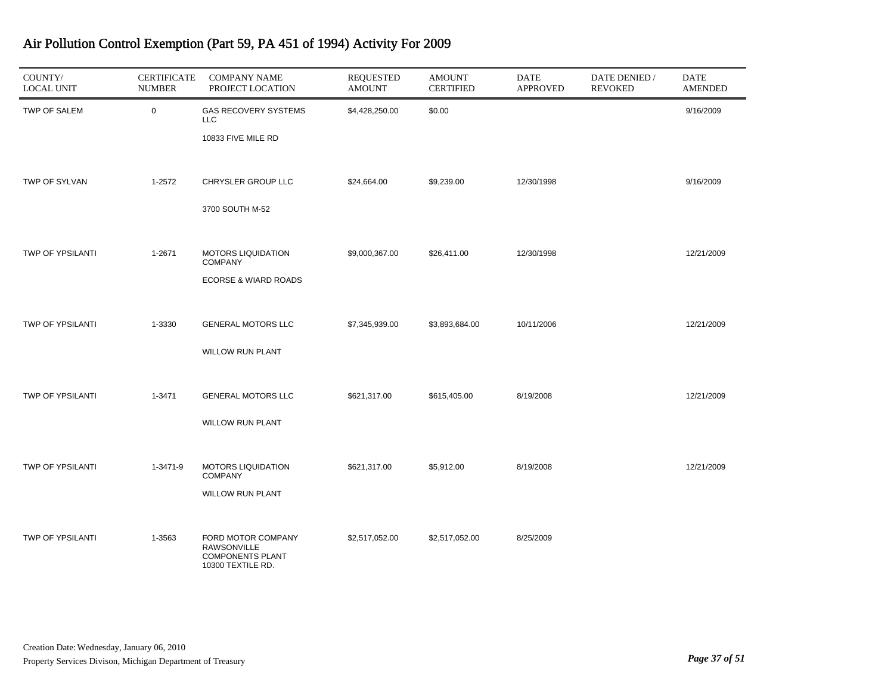| COUNTY/<br><b>LOCAL UNIT</b> | <b>CERTIFICATE</b><br><b>NUMBER</b> | <b>COMPANY NAME</b><br>PROJECT LOCATION                                           | <b>REQUESTED</b><br><b>AMOUNT</b> | <b>AMOUNT</b><br><b>CERTIFIED</b> | <b>DATE</b><br><b>APPROVED</b> | DATE DENIED /<br><b>REVOKED</b> | <b>DATE</b><br><b>AMENDED</b> |
|------------------------------|-------------------------------------|-----------------------------------------------------------------------------------|-----------------------------------|-----------------------------------|--------------------------------|---------------------------------|-------------------------------|
| TWP OF SALEM                 | $\mathbf 0$                         | <b>GAS RECOVERY SYSTEMS</b><br><b>LLC</b><br>10833 FIVE MILE RD                   | \$4,428,250.00                    | \$0.00                            |                                |                                 | 9/16/2009                     |
| TWP OF SYLVAN                | 1-2572                              | CHRYSLER GROUP LLC<br>3700 SOUTH M-52                                             | \$24,664.00                       | \$9,239.00                        | 12/30/1998                     |                                 | 9/16/2009                     |
| <b>TWP OF YPSILANTI</b>      | 1-2671                              | <b>MOTORS LIQUIDATION</b><br><b>COMPANY</b><br><b>ECORSE &amp; WIARD ROADS</b>    | \$9,000,367.00                    | \$26,411.00                       | 12/30/1998                     |                                 | 12/21/2009                    |
| TWP OF YPSILANTI             | 1-3330                              | <b>GENERAL MOTORS LLC</b><br><b>WILLOW RUN PLANT</b>                              | \$7,345,939.00                    | \$3,893,684.00                    | 10/11/2006                     |                                 | 12/21/2009                    |
| TWP OF YPSILANTI             | 1-3471                              | <b>GENERAL MOTORS LLC</b><br><b>WILLOW RUN PLANT</b>                              | \$621,317.00                      | \$615,405.00                      | 8/19/2008                      |                                 | 12/21/2009                    |
| TWP OF YPSILANTI             | 1-3471-9                            | <b>MOTORS LIQUIDATION</b><br><b>COMPANY</b><br><b>WILLOW RUN PLANT</b>            | \$621,317.00                      | \$5,912.00                        | 8/19/2008                      |                                 | 12/21/2009                    |
| <b>TWP OF YPSILANTI</b>      | 1-3563                              | FORD MOTOR COMPANY<br>RAWSONVILLE<br><b>COMPONENTS PLANT</b><br>10300 TEXTILE RD. | \$2,517,052.00                    | \$2,517,052.00                    | 8/25/2009                      |                                 |                               |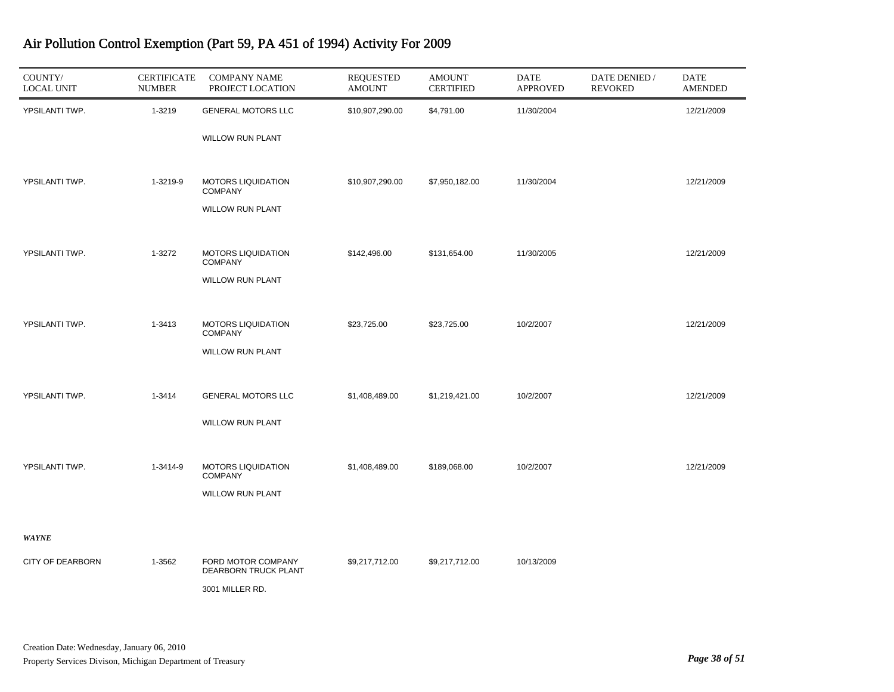| COUNTY/<br><b>LOCAL UNIT</b> | <b>CERTIFICATE</b><br><b>NUMBER</b> | <b>COMPANY NAME</b><br>PROJECT LOCATION     | <b>REQUESTED</b><br><b>AMOUNT</b> | <b>AMOUNT</b><br><b>CERTIFIED</b> | DATE<br><b>APPROVED</b> | DATE DENIED /<br><b>REVOKED</b> | <b>DATE</b><br><b>AMENDED</b> |
|------------------------------|-------------------------------------|---------------------------------------------|-----------------------------------|-----------------------------------|-------------------------|---------------------------------|-------------------------------|
| YPSILANTI TWP.               | 1-3219                              | <b>GENERAL MOTORS LLC</b>                   | \$10,907,290.00                   | \$4,791.00                        | 11/30/2004              |                                 | 12/21/2009                    |
|                              |                                     | WILLOW RUN PLANT                            |                                   |                                   |                         |                                 |                               |
| YPSILANTI TWP.               | 1-3219-9                            | <b>MOTORS LIQUIDATION</b><br><b>COMPANY</b> | \$10,907,290.00                   | \$7,950,182.00                    | 11/30/2004              |                                 | 12/21/2009                    |
|                              |                                     | <b>WILLOW RUN PLANT</b>                     |                                   |                                   |                         |                                 |                               |
| YPSILANTI TWP.               | 1-3272                              | <b>MOTORS LIQUIDATION</b><br><b>COMPANY</b> | \$142,496.00                      | \$131,654.00                      | 11/30/2005              |                                 | 12/21/2009                    |
|                              |                                     | <b>WILLOW RUN PLANT</b>                     |                                   |                                   |                         |                                 |                               |
| YPSILANTI TWP.               | 1-3413                              | <b>MOTORS LIQUIDATION</b><br><b>COMPANY</b> | \$23,725.00                       | \$23,725.00                       | 10/2/2007               |                                 | 12/21/2009                    |
|                              |                                     | <b>WILLOW RUN PLANT</b>                     |                                   |                                   |                         |                                 |                               |
| YPSILANTI TWP.               | 1-3414                              | <b>GENERAL MOTORS LLC</b>                   | \$1,408,489.00                    | \$1,219,421.00                    | 10/2/2007               |                                 | 12/21/2009                    |
|                              |                                     | <b>WILLOW RUN PLANT</b>                     |                                   |                                   |                         |                                 |                               |
| YPSILANTI TWP.               | 1-3414-9                            | <b>MOTORS LIQUIDATION</b><br><b>COMPANY</b> | \$1,408,489.00                    | \$189,068.00                      | 10/2/2007               |                                 | 12/21/2009                    |
|                              |                                     | <b>WILLOW RUN PLANT</b>                     |                                   |                                   |                         |                                 |                               |
| <b>WAYNE</b>                 |                                     |                                             |                                   |                                   |                         |                                 |                               |
| <b>CITY OF DEARBORN</b>      | 1-3562                              | FORD MOTOR COMPANY                          | \$9,217,712.00                    | \$9,217,712.00                    | 10/13/2009              |                                 |                               |
|                              |                                     | DEARBORN TRUCK PLANT                        |                                   |                                   |                         |                                 |                               |
|                              |                                     | 3001 MILLER RD.                             |                                   |                                   |                         |                                 |                               |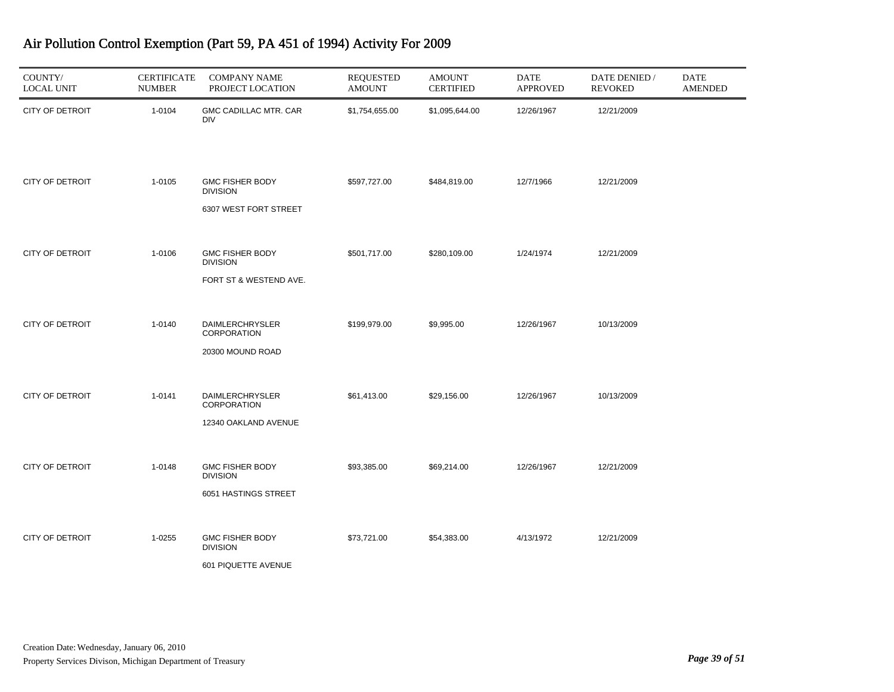| COUNTY/<br><b>LOCAL UNIT</b> | <b>CERTIFICATE</b><br><b>NUMBER</b> | <b>COMPANY NAME</b><br>PROJECT LOCATION                             | <b>REQUESTED</b><br><b>AMOUNT</b> | <b>AMOUNT</b><br><b>CERTIFIED</b> | <b>DATE</b><br><b>APPROVED</b> | DATE DENIED /<br><b>REVOKED</b> | DATE<br><b>AMENDED</b> |
|------------------------------|-------------------------------------|---------------------------------------------------------------------|-----------------------------------|-----------------------------------|--------------------------------|---------------------------------|------------------------|
| <b>CITY OF DETROIT</b>       | 1-0104                              | GMC CADILLAC MTR. CAR<br><b>DIV</b>                                 | \$1,754,655.00                    | \$1,095,644.00                    | 12/26/1967                     | 12/21/2009                      |                        |
| <b>CITY OF DETROIT</b>       | 1-0105                              | <b>GMC FISHER BODY</b><br><b>DIVISION</b><br>6307 WEST FORT STREET  | \$597,727.00                      | \$484,819.00                      | 12/7/1966                      | 12/21/2009                      |                        |
| <b>CITY OF DETROIT</b>       | 1-0106                              | <b>GMC FISHER BODY</b><br><b>DIVISION</b><br>FORT ST & WESTEND AVE. | \$501,717.00                      | \$280,109.00                      | 1/24/1974                      | 12/21/2009                      |                        |
| <b>CITY OF DETROIT</b>       | 1-0140                              | <b>DAIMLERCHRYSLER</b><br>CORPORATION<br>20300 MOUND ROAD           | \$199,979.00                      | \$9,995.00                        | 12/26/1967                     | 10/13/2009                      |                        |
| <b>CITY OF DETROIT</b>       | 1-0141                              | DAIMLERCHRYSLER<br>CORPORATION<br>12340 OAKLAND AVENUE              | \$61,413.00                       | \$29,156.00                       | 12/26/1967                     | 10/13/2009                      |                        |
| <b>CITY OF DETROIT</b>       | 1-0148                              | <b>GMC FISHER BODY</b><br><b>DIVISION</b><br>6051 HASTINGS STREET   | \$93,385.00                       | \$69,214.00                       | 12/26/1967                     | 12/21/2009                      |                        |
| <b>CITY OF DETROIT</b>       | 1-0255                              | <b>GMC FISHER BODY</b><br><b>DIVISION</b><br>601 PIQUETTE AVENUE    | \$73,721.00                       | \$54,383.00                       | 4/13/1972                      | 12/21/2009                      |                        |

J.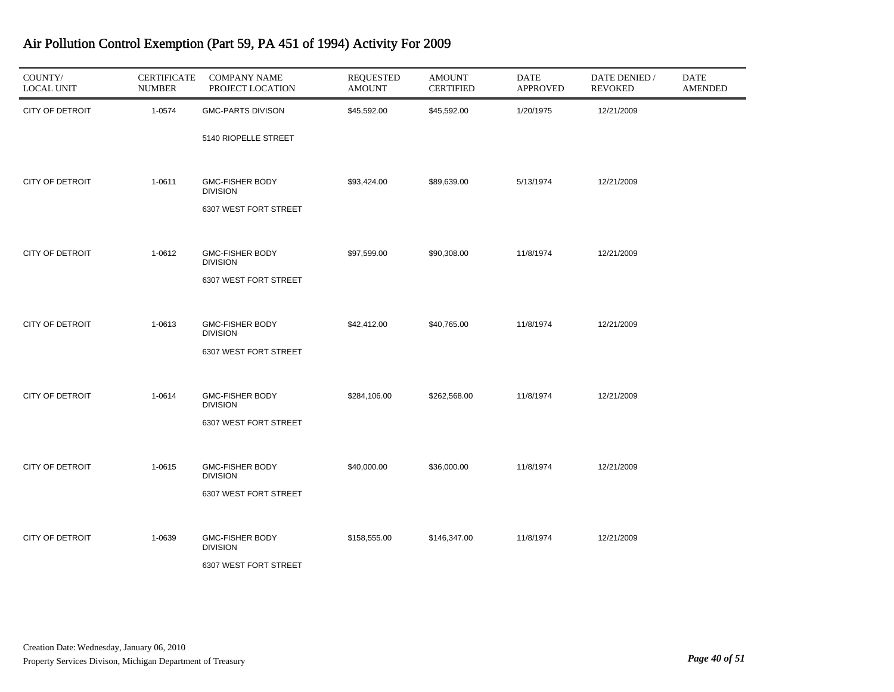| COUNTY/<br><b>LOCAL UNIT</b> | <b>CERTIFICATE</b><br><b>NUMBER</b> | <b>COMPANY NAME</b><br>PROJECT LOCATION   | <b>REQUESTED</b><br><b>AMOUNT</b> | <b>AMOUNT</b><br><b>CERTIFIED</b> | <b>DATE</b><br><b>APPROVED</b> | DATE DENIED /<br><b>REVOKED</b> | DATE<br><b>AMENDED</b> |
|------------------------------|-------------------------------------|-------------------------------------------|-----------------------------------|-----------------------------------|--------------------------------|---------------------------------|------------------------|
| <b>CITY OF DETROIT</b>       | 1-0574                              | <b>GMC-PARTS DIVISON</b>                  | \$45,592.00                       | \$45,592.00                       | 1/20/1975                      | 12/21/2009                      |                        |
|                              |                                     | 5140 RIOPELLE STREET                      |                                   |                                   |                                |                                 |                        |
| <b>CITY OF DETROIT</b>       | 1-0611                              | <b>GMC-FISHER BODY</b><br><b>DIVISION</b> | \$93,424.00                       | \$89,639.00                       | 5/13/1974                      | 12/21/2009                      |                        |
|                              |                                     | 6307 WEST FORT STREET                     |                                   |                                   |                                |                                 |                        |
| <b>CITY OF DETROIT</b>       | 1-0612                              | <b>GMC-FISHER BODY</b><br><b>DIVISION</b> | \$97,599.00                       | \$90,308.00                       | 11/8/1974                      | 12/21/2009                      |                        |
|                              |                                     | 6307 WEST FORT STREET                     |                                   |                                   |                                |                                 |                        |
| <b>CITY OF DETROIT</b>       | 1-0613                              | <b>GMC-FISHER BODY</b>                    | \$42,412.00                       | \$40,765.00                       | 11/8/1974                      | 12/21/2009                      |                        |
|                              |                                     | <b>DIVISION</b><br>6307 WEST FORT STREET  |                                   |                                   |                                |                                 |                        |
|                              |                                     |                                           |                                   |                                   |                                |                                 |                        |
| <b>CITY OF DETROIT</b>       | 1-0614                              | <b>GMC-FISHER BODY</b><br><b>DIVISION</b> | \$284,106.00                      | \$262,568.00                      | 11/8/1974                      | 12/21/2009                      |                        |
|                              |                                     | 6307 WEST FORT STREET                     |                                   |                                   |                                |                                 |                        |
| <b>CITY OF DETROIT</b>       | 1-0615                              | <b>GMC-FISHER BODY</b><br><b>DIVISION</b> | \$40,000.00                       | \$36,000.00                       | 11/8/1974                      | 12/21/2009                      |                        |
|                              |                                     | 6307 WEST FORT STREET                     |                                   |                                   |                                |                                 |                        |
| <b>CITY OF DETROIT</b>       | 1-0639                              | <b>GMC-FISHER BODY</b>                    | \$158,555.00                      | \$146,347.00                      | 11/8/1974                      | 12/21/2009                      |                        |
|                              |                                     | <b>DIVISION</b><br>6307 WEST FORT STREET  |                                   |                                   |                                |                                 |                        |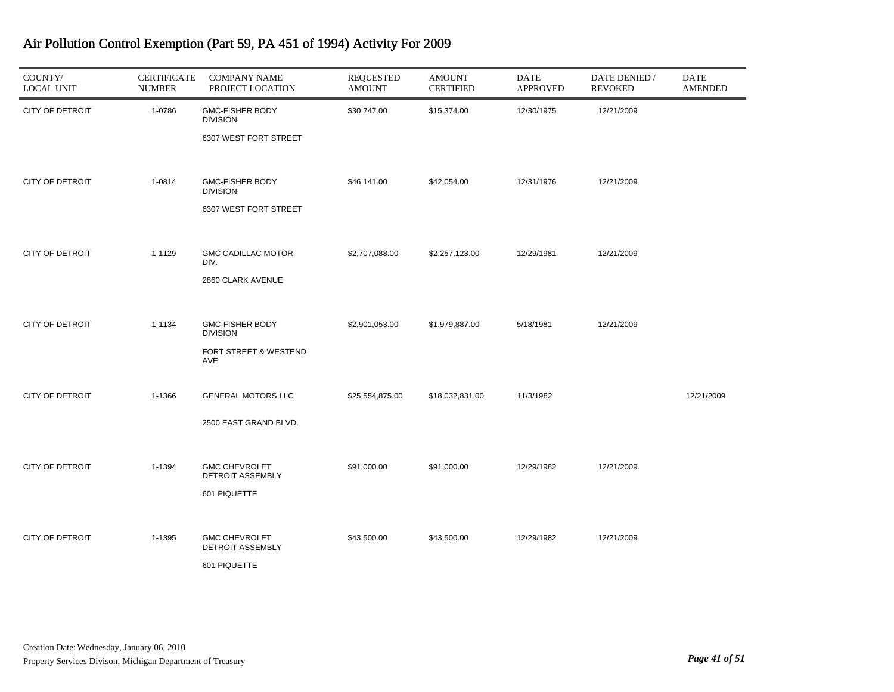| COUNTY/<br><b>LOCAL UNIT</b> | <b>CERTIFICATE</b><br><b>NUMBER</b> | <b>COMPANY NAME</b><br>PROJECT LOCATION                                   | <b>REQUESTED</b><br><b>AMOUNT</b> | <b>AMOUNT</b><br><b>CERTIFIED</b> | <b>DATE</b><br><b>APPROVED</b> | DATE DENIED /<br><b>REVOKED</b> | <b>DATE</b><br><b>AMENDED</b> |
|------------------------------|-------------------------------------|---------------------------------------------------------------------------|-----------------------------------|-----------------------------------|--------------------------------|---------------------------------|-------------------------------|
| CITY OF DETROIT              | 1-0786                              | <b>GMC-FISHER BODY</b><br><b>DIVISION</b><br>6307 WEST FORT STREET        | \$30,747.00                       | \$15,374.00                       | 12/30/1975                     | 12/21/2009                      |                               |
| <b>CITY OF DETROIT</b>       | 1-0814                              | <b>GMC-FISHER BODY</b><br><b>DIVISION</b><br>6307 WEST FORT STREET        | \$46,141.00                       | \$42,054.00                       | 12/31/1976                     | 12/21/2009                      |                               |
| <b>CITY OF DETROIT</b>       | 1-1129                              | <b>GMC CADILLAC MOTOR</b><br>DIV.<br>2860 CLARK AVENUE                    | \$2,707,088.00                    | \$2,257,123.00                    | 12/29/1981                     | 12/21/2009                      |                               |
| <b>CITY OF DETROIT</b>       | 1-1134                              | <b>GMC-FISHER BODY</b><br><b>DIVISION</b><br>FORT STREET & WESTEND<br>AVE | \$2,901,053.00                    | \$1,979,887.00                    | 5/18/1981                      | 12/21/2009                      |                               |
| <b>CITY OF DETROIT</b>       | 1-1366                              | <b>GENERAL MOTORS LLC</b><br>2500 EAST GRAND BLVD.                        | \$25,554,875.00                   | \$18,032,831.00                   | 11/3/1982                      |                                 | 12/21/2009                    |
| <b>CITY OF DETROIT</b>       | 1-1394                              | <b>GMC CHEVROLET</b><br><b>DETROIT ASSEMBLY</b><br>601 PIQUETTE           | \$91,000.00                       | \$91,000.00                       | 12/29/1982                     | 12/21/2009                      |                               |
| <b>CITY OF DETROIT</b>       | 1-1395                              | <b>GMC CHEVROLET</b><br><b>DETROIT ASSEMBLY</b><br>601 PIQUETTE           | \$43,500.00                       | \$43,500.00                       | 12/29/1982                     | 12/21/2009                      |                               |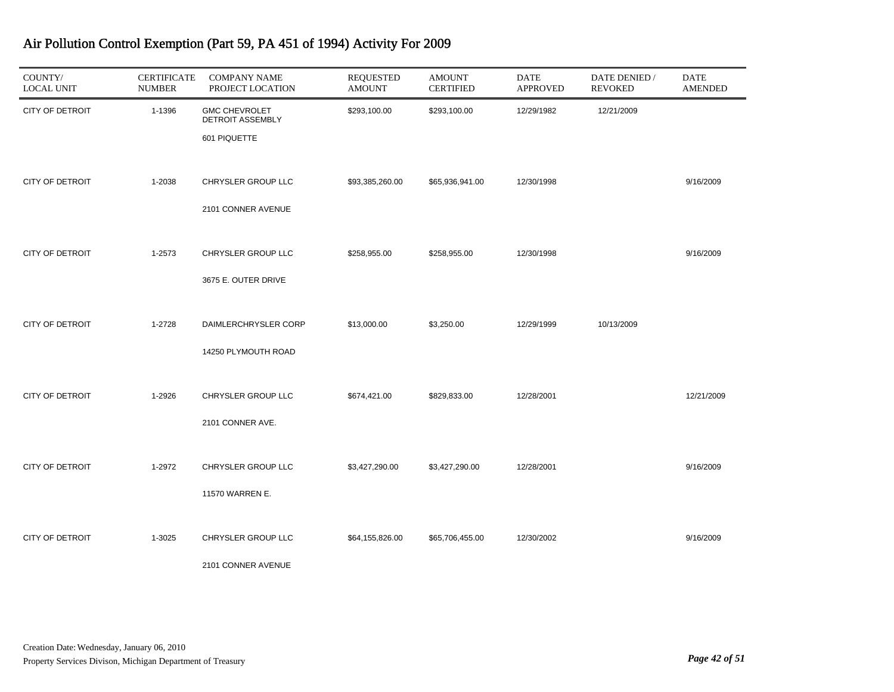| COUNTY/<br><b>LOCAL UNIT</b> | <b>CERTIFICATE</b><br><b>NUMBER</b> | <b>COMPANY NAME</b><br>PROJECT LOCATION                  | <b>REQUESTED</b><br><b>AMOUNT</b> | <b>AMOUNT</b><br><b>CERTIFIED</b> | DATE<br><b>APPROVED</b> | DATE DENIED /<br><b>REVOKED</b> | DATE<br><b>AMENDED</b> |
|------------------------------|-------------------------------------|----------------------------------------------------------|-----------------------------------|-----------------------------------|-------------------------|---------------------------------|------------------------|
| <b>CITY OF DETROIT</b>       | 1-1396                              | <b>GMC CHEVROLET</b><br>DETROIT ASSEMBLY<br>601 PIQUETTE | \$293,100.00                      | \$293,100.00                      | 12/29/1982              | 12/21/2009                      |                        |
| <b>CITY OF DETROIT</b>       | 1-2038                              | CHRYSLER GROUP LLC<br>2101 CONNER AVENUE                 | \$93,385,260.00                   | \$65,936,941.00                   | 12/30/1998              |                                 | 9/16/2009              |
| CITY OF DETROIT              | 1-2573                              | CHRYSLER GROUP LLC<br>3675 E. OUTER DRIVE                | \$258,955.00                      | \$258,955.00                      | 12/30/1998              |                                 | 9/16/2009              |
| <b>CITY OF DETROIT</b>       | 1-2728                              | DAIMLERCHRYSLER CORP<br>14250 PLYMOUTH ROAD              | \$13,000.00                       | \$3,250.00                        | 12/29/1999              | 10/13/2009                      |                        |
| <b>CITY OF DETROIT</b>       | 1-2926                              | CHRYSLER GROUP LLC<br>2101 CONNER AVE.                   | \$674,421.00                      | \$829,833.00                      | 12/28/2001              |                                 | 12/21/2009             |
| CITY OF DETROIT              | 1-2972                              | CHRYSLER GROUP LLC<br>11570 WARREN E.                    | \$3,427,290.00                    | \$3,427,290.00                    | 12/28/2001              |                                 | 9/16/2009              |
| <b>CITY OF DETROIT</b>       | 1-3025                              | CHRYSLER GROUP LLC<br>2101 CONNER AVENUE                 | \$64,155,826.00                   | \$65,706,455.00                   | 12/30/2002              |                                 | 9/16/2009              |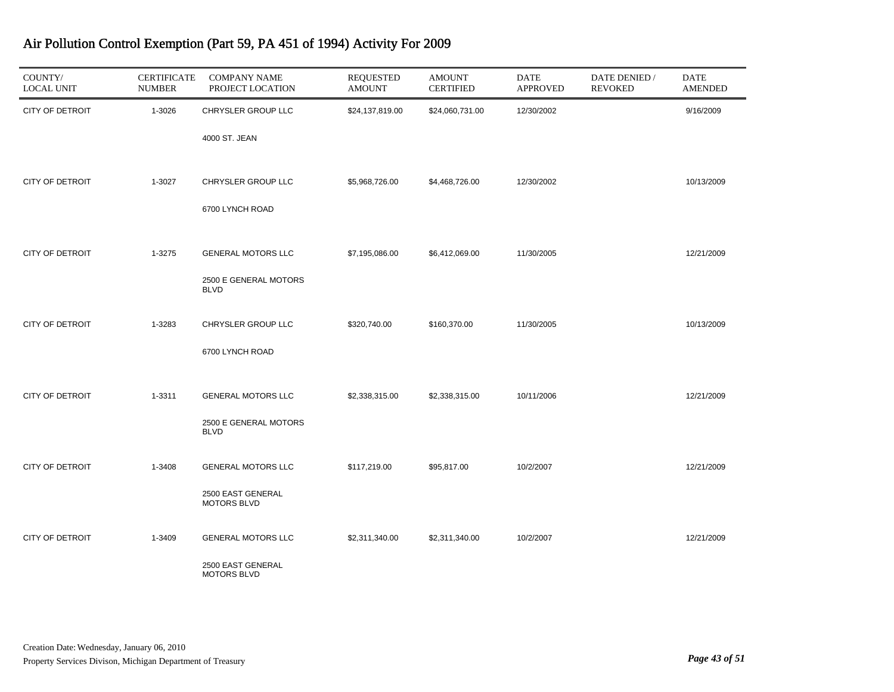| COUNTY/<br><b>LOCAL UNIT</b> | <b>CERTIFICATE</b><br><b>NUMBER</b> | <b>COMPANY NAME</b><br>PROJECT LOCATION | <b>REQUESTED</b><br><b>AMOUNT</b> | <b>AMOUNT</b><br><b>CERTIFIED</b> | <b>DATE</b><br><b>APPROVED</b> | DATE DENIED /<br><b>REVOKED</b> | <b>DATE</b><br><b>AMENDED</b> |
|------------------------------|-------------------------------------|-----------------------------------------|-----------------------------------|-----------------------------------|--------------------------------|---------------------------------|-------------------------------|
| <b>CITY OF DETROIT</b>       | 1-3026                              | CHRYSLER GROUP LLC                      | \$24,137,819.00                   | \$24,060,731.00                   | 12/30/2002                     |                                 | 9/16/2009                     |
|                              |                                     | 4000 ST. JEAN                           |                                   |                                   |                                |                                 |                               |
| <b>CITY OF DETROIT</b>       | 1-3027                              | CHRYSLER GROUP LLC                      | \$5,968,726.00                    | \$4,468,726.00                    | 12/30/2002                     |                                 | 10/13/2009                    |
|                              |                                     | 6700 LYNCH ROAD                         |                                   |                                   |                                |                                 |                               |
| CITY OF DETROIT              | 1-3275                              | <b>GENERAL MOTORS LLC</b>               | \$7,195,086.00                    | \$6,412,069.00                    | 11/30/2005                     |                                 | 12/21/2009                    |
|                              |                                     | 2500 E GENERAL MOTORS<br><b>BLVD</b>    |                                   |                                   |                                |                                 |                               |
| <b>CITY OF DETROIT</b>       | 1-3283                              | CHRYSLER GROUP LLC                      | \$320,740.00                      | \$160,370.00                      | 11/30/2005                     |                                 | 10/13/2009                    |
|                              |                                     | 6700 LYNCH ROAD                         |                                   |                                   |                                |                                 |                               |
| <b>CITY OF DETROIT</b>       | 1-3311                              | <b>GENERAL MOTORS LLC</b>               | \$2,338,315.00                    | \$2,338,315.00                    | 10/11/2006                     |                                 | 12/21/2009                    |
|                              |                                     | 2500 E GENERAL MOTORS<br><b>BLVD</b>    |                                   |                                   |                                |                                 |                               |
| <b>CITY OF DETROIT</b>       | 1-3408                              | <b>GENERAL MOTORS LLC</b>               | \$117,219.00                      | \$95,817.00                       | 10/2/2007                      |                                 | 12/21/2009                    |
|                              |                                     | 2500 EAST GENERAL<br>MOTORS BLVD        |                                   |                                   |                                |                                 |                               |
| <b>CITY OF DETROIT</b>       | 1-3409                              | <b>GENERAL MOTORS LLC</b>               | \$2,311,340.00                    | \$2,311,340.00                    | 10/2/2007                      |                                 | 12/21/2009                    |
|                              |                                     | 2500 EAST GENERAL<br><b>MOTORS BLVD</b> |                                   |                                   |                                |                                 |                               |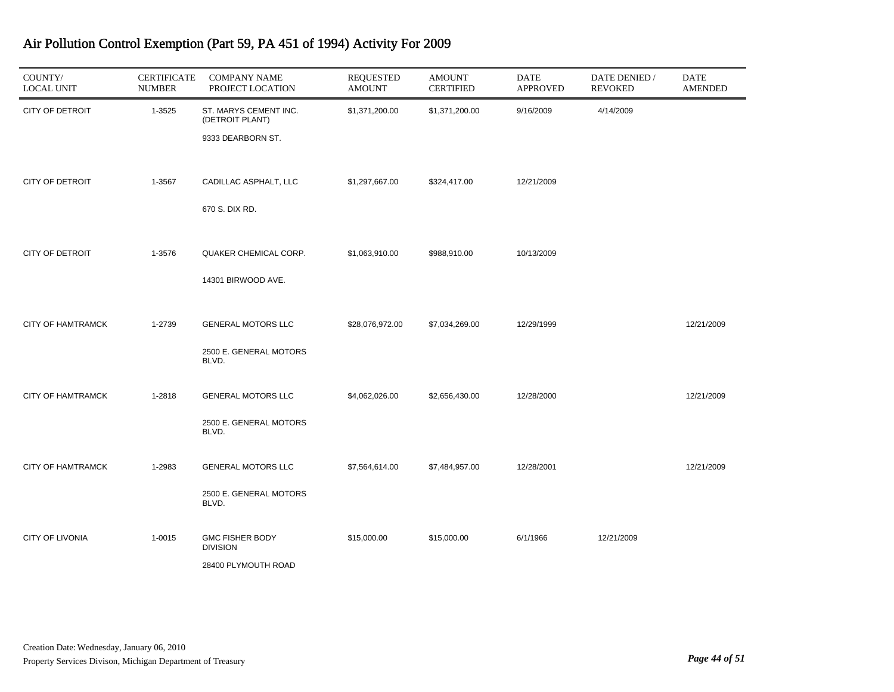| COUNTY/<br><b>LOCAL UNIT</b> | <b>CERTIFICATE</b><br><b>NUMBER</b> | <b>COMPANY NAME</b><br>PROJECT LOCATION                          | <b>REQUESTED</b><br><b>AMOUNT</b> | <b>AMOUNT</b><br><b>CERTIFIED</b> | <b>DATE</b><br><b>APPROVED</b> | DATE DENIED /<br><b>REVOKED</b> | <b>DATE</b><br><b>AMENDED</b> |
|------------------------------|-------------------------------------|------------------------------------------------------------------|-----------------------------------|-----------------------------------|--------------------------------|---------------------------------|-------------------------------|
| <b>CITY OF DETROIT</b>       | 1-3525                              | ST. MARYS CEMENT INC.<br>(DETROIT PLANT)<br>9333 DEARBORN ST.    | \$1,371,200.00                    | \$1,371,200.00                    | 9/16/2009                      | 4/14/2009                       |                               |
| <b>CITY OF DETROIT</b>       | 1-3567                              | CADILLAC ASPHALT, LLC<br>670 S. DIX RD.                          | \$1,297,667.00                    | \$324,417.00                      | 12/21/2009                     |                                 |                               |
| <b>CITY OF DETROIT</b>       | 1-3576                              | QUAKER CHEMICAL CORP.<br>14301 BIRWOOD AVE.                      | \$1,063,910.00                    | \$988,910.00                      | 10/13/2009                     |                                 |                               |
| <b>CITY OF HAMTRAMCK</b>     | 1-2739                              | <b>GENERAL MOTORS LLC</b><br>2500 E. GENERAL MOTORS<br>BLVD.     | \$28,076,972.00                   | \$7,034,269.00                    | 12/29/1999                     |                                 | 12/21/2009                    |
| <b>CITY OF HAMTRAMCK</b>     | 1-2818                              | <b>GENERAL MOTORS LLC</b><br>2500 E. GENERAL MOTORS<br>BLVD.     | \$4,062,026.00                    | \$2,656,430.00                    | 12/28/2000                     |                                 | 12/21/2009                    |
| <b>CITY OF HAMTRAMCK</b>     | 1-2983                              | <b>GENERAL MOTORS LLC</b><br>2500 E. GENERAL MOTORS<br>BLVD.     | \$7,564,614.00                    | \$7,484,957.00                    | 12/28/2001                     |                                 | 12/21/2009                    |
| CITY OF LIVONIA              | $1 - 0015$                          | <b>GMC FISHER BODY</b><br><b>DIVISION</b><br>28400 PLYMOUTH ROAD | \$15,000.00                       | \$15,000.00                       | 6/1/1966                       | 12/21/2009                      |                               |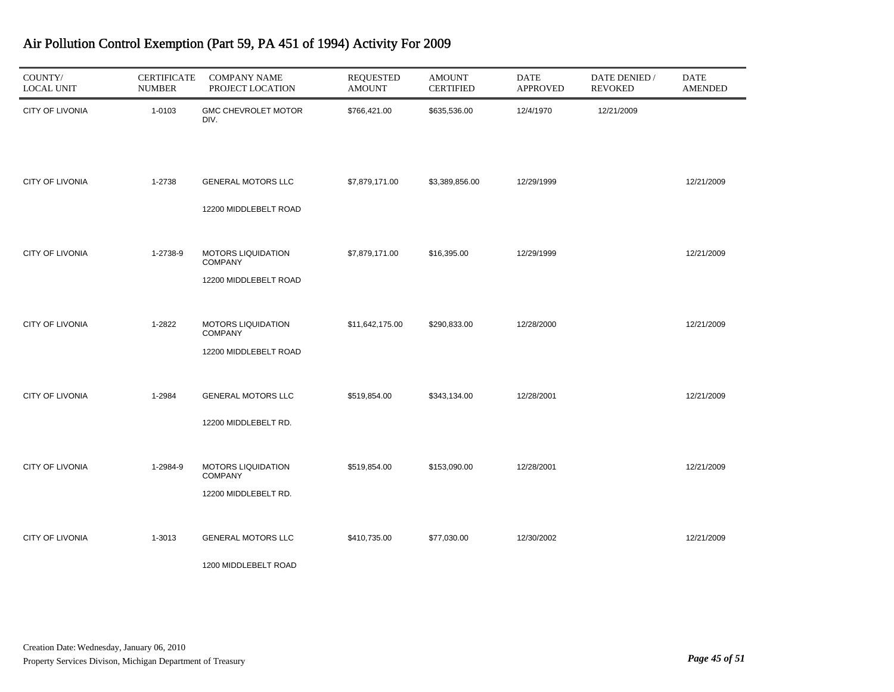| COUNTY/<br><b>LOCAL UNIT</b> | <b>CERTIFICATE</b><br><b>NUMBER</b> | <b>COMPANY NAME</b><br>PROJECT LOCATION                              | <b>REQUESTED</b><br><b>AMOUNT</b> | <b>AMOUNT</b><br><b>CERTIFIED</b> | DATE<br><b>APPROVED</b> | DATE DENIED /<br><b>REVOKED</b> | <b>DATE</b><br><b>AMENDED</b> |
|------------------------------|-------------------------------------|----------------------------------------------------------------------|-----------------------------------|-----------------------------------|-------------------------|---------------------------------|-------------------------------|
| <b>CITY OF LIVONIA</b>       | 1-0103                              | GMC CHEVROLET MOTOR<br>DIV.                                          | \$766,421.00                      | \$635,536.00                      | 12/4/1970               | 12/21/2009                      |                               |
| CITY OF LIVONIA              | 1-2738                              | <b>GENERAL MOTORS LLC</b><br>12200 MIDDLEBELT ROAD                   | \$7,879,171.00                    | \$3,389,856.00                    | 12/29/1999              |                                 | 12/21/2009                    |
| <b>CITY OF LIVONIA</b>       | 1-2738-9                            | <b>MOTORS LIQUIDATION</b><br><b>COMPANY</b><br>12200 MIDDLEBELT ROAD | \$7,879,171.00                    | \$16,395.00                       | 12/29/1999              |                                 | 12/21/2009                    |
| <b>CITY OF LIVONIA</b>       | 1-2822                              | <b>MOTORS LIQUIDATION</b><br><b>COMPANY</b><br>12200 MIDDLEBELT ROAD | \$11,642,175.00                   | \$290,833.00                      | 12/28/2000              |                                 | 12/21/2009                    |
| <b>CITY OF LIVONIA</b>       | 1-2984                              | <b>GENERAL MOTORS LLC</b><br>12200 MIDDLEBELT RD.                    | \$519,854.00                      | \$343,134.00                      | 12/28/2001              |                                 | 12/21/2009                    |
| <b>CITY OF LIVONIA</b>       | 1-2984-9                            | MOTORS LIQUIDATION<br><b>COMPANY</b><br>12200 MIDDLEBELT RD.         | \$519,854.00                      | \$153,090.00                      | 12/28/2001              |                                 | 12/21/2009                    |
| <b>CITY OF LIVONIA</b>       | 1-3013                              | <b>GENERAL MOTORS LLC</b><br>1200 MIDDLEBELT ROAD                    | \$410,735.00                      | \$77,030.00                       | 12/30/2002              |                                 | 12/21/2009                    |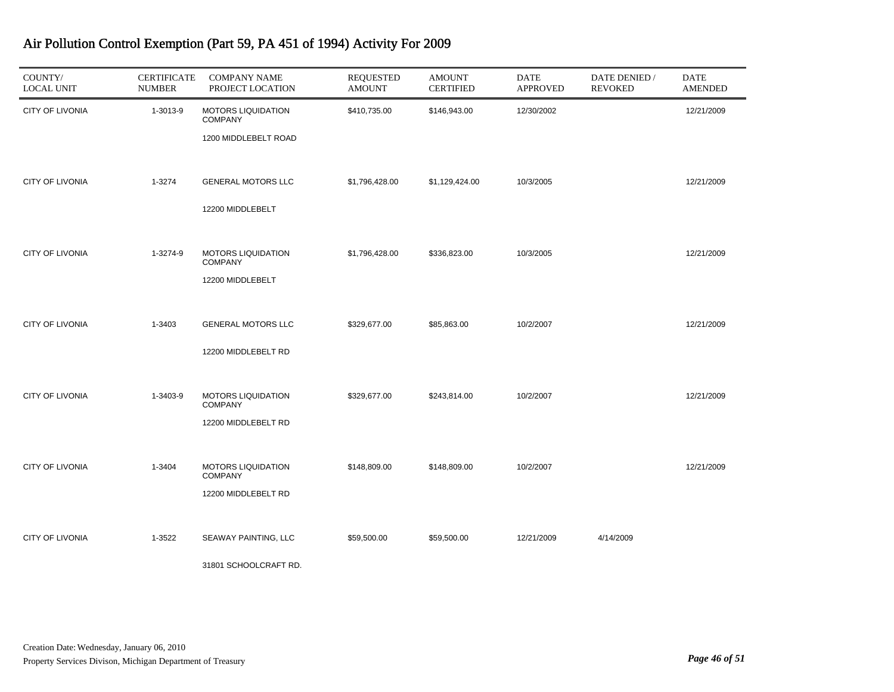| COUNTY/<br><b>LOCAL UNIT</b> | <b>CERTIFICATE</b><br><b>NUMBER</b> | <b>COMPANY NAME</b><br>PROJECT LOCATION                             | <b>REQUESTED</b><br><b>AMOUNT</b> | <b>AMOUNT</b><br><b>CERTIFIED</b> | <b>DATE</b><br><b>APPROVED</b> | DATE DENIED /<br><b>REVOKED</b> | <b>DATE</b><br><b>AMENDED</b> |
|------------------------------|-------------------------------------|---------------------------------------------------------------------|-----------------------------------|-----------------------------------|--------------------------------|---------------------------------|-------------------------------|
| <b>CITY OF LIVONIA</b>       | 1-3013-9                            | <b>MOTORS LIQUIDATION</b><br><b>COMPANY</b><br>1200 MIDDLEBELT ROAD | \$410,735.00                      | \$146,943.00                      | 12/30/2002                     |                                 | 12/21/2009                    |
| <b>CITY OF LIVONIA</b>       | 1-3274                              | <b>GENERAL MOTORS LLC</b><br>12200 MIDDLEBELT                       | \$1,796,428.00                    | \$1,129,424.00                    | 10/3/2005                      |                                 | 12/21/2009                    |
| CITY OF LIVONIA              | 1-3274-9                            | <b>MOTORS LIQUIDATION</b><br><b>COMPANY</b><br>12200 MIDDLEBELT     | \$1,796,428.00                    | \$336,823.00                      | 10/3/2005                      |                                 | 12/21/2009                    |
| <b>CITY OF LIVONIA</b>       | 1-3403                              | <b>GENERAL MOTORS LLC</b><br>12200 MIDDLEBELT RD                    | \$329,677.00                      | \$85,863.00                       | 10/2/2007                      |                                 | 12/21/2009                    |
| <b>CITY OF LIVONIA</b>       | 1-3403-9                            | <b>MOTORS LIQUIDATION</b><br><b>COMPANY</b><br>12200 MIDDLEBELT RD  | \$329,677.00                      | \$243,814.00                      | 10/2/2007                      |                                 | 12/21/2009                    |
| <b>CITY OF LIVONIA</b>       | 1-3404                              | <b>MOTORS LIQUIDATION</b><br><b>COMPANY</b><br>12200 MIDDLEBELT RD  | \$148,809.00                      | \$148,809.00                      | 10/2/2007                      |                                 | 12/21/2009                    |
| <b>CITY OF LIVONIA</b>       | 1-3522                              | SEAWAY PAINTING, LLC<br>31801 SCHOOLCRAFT RD.                       | \$59,500.00                       | \$59,500.00                       | 12/21/2009                     | 4/14/2009                       |                               |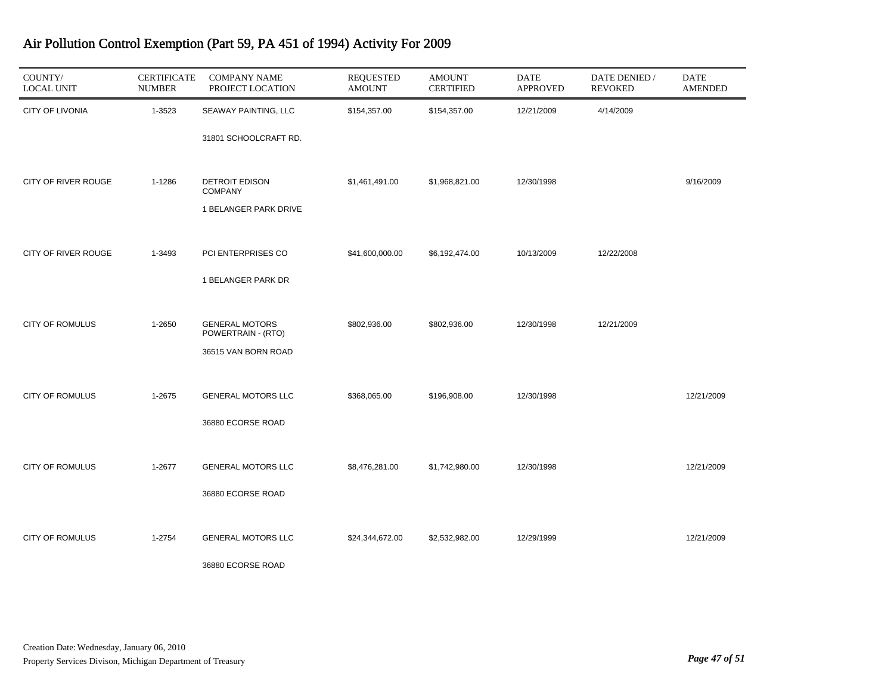| COUNTY/<br><b>LOCAL UNIT</b> | <b>CERTIFICATE</b><br><b>NUMBER</b> | <b>COMPANY NAME</b><br>PROJECT LOCATION   | <b>REQUESTED</b><br><b>AMOUNT</b> | <b>AMOUNT</b><br><b>CERTIFIED</b> | <b>DATE</b><br><b>APPROVED</b> | DATE DENIED /<br><b>REVOKED</b> | <b>DATE</b><br><b>AMENDED</b> |
|------------------------------|-------------------------------------|-------------------------------------------|-----------------------------------|-----------------------------------|--------------------------------|---------------------------------|-------------------------------|
| CITY OF LIVONIA              | 1-3523                              | SEAWAY PAINTING, LLC                      | \$154,357.00                      | \$154,357.00                      | 12/21/2009                     | 4/14/2009                       |                               |
|                              |                                     | 31801 SCHOOLCRAFT RD.                     |                                   |                                   |                                |                                 |                               |
| CITY OF RIVER ROUGE          | 1-1286                              | <b>DETROIT EDISON</b><br><b>COMPANY</b>   | \$1,461,491.00                    | \$1,968,821.00                    | 12/30/1998                     |                                 | 9/16/2009                     |
|                              |                                     | 1 BELANGER PARK DRIVE                     |                                   |                                   |                                |                                 |                               |
| CITY OF RIVER ROUGE          | 1-3493                              | PCI ENTERPRISES CO                        | \$41,600,000.00                   | \$6,192,474.00                    | 10/13/2009                     | 12/22/2008                      |                               |
|                              |                                     | 1 BELANGER PARK DR                        |                                   |                                   |                                |                                 |                               |
| <b>CITY OF ROMULUS</b>       | 1-2650                              | <b>GENERAL MOTORS</b>                     | \$802,936.00                      | \$802,936.00                      | 12/30/1998                     | 12/21/2009                      |                               |
|                              |                                     | POWERTRAIN - (RTO)<br>36515 VAN BORN ROAD |                                   |                                   |                                |                                 |                               |
|                              |                                     |                                           |                                   |                                   |                                |                                 |                               |
| <b>CITY OF ROMULUS</b>       | 1-2675                              | <b>GENERAL MOTORS LLC</b>                 | \$368,065.00                      | \$196,908.00                      | 12/30/1998                     |                                 | 12/21/2009                    |
|                              |                                     | 36880 ECORSE ROAD                         |                                   |                                   |                                |                                 |                               |
| <b>CITY OF ROMULUS</b>       | 1-2677                              | <b>GENERAL MOTORS LLC</b>                 | \$8,476,281.00                    | \$1,742,980.00                    | 12/30/1998                     |                                 | 12/21/2009                    |
|                              |                                     | 36880 ECORSE ROAD                         |                                   |                                   |                                |                                 |                               |
| <b>CITY OF ROMULUS</b>       | 1-2754                              | <b>GENERAL MOTORS LLC</b>                 | \$24,344,672.00                   | \$2,532,982.00                    | 12/29/1999                     |                                 | 12/21/2009                    |
|                              |                                     | 36880 ECORSE ROAD                         |                                   |                                   |                                |                                 |                               |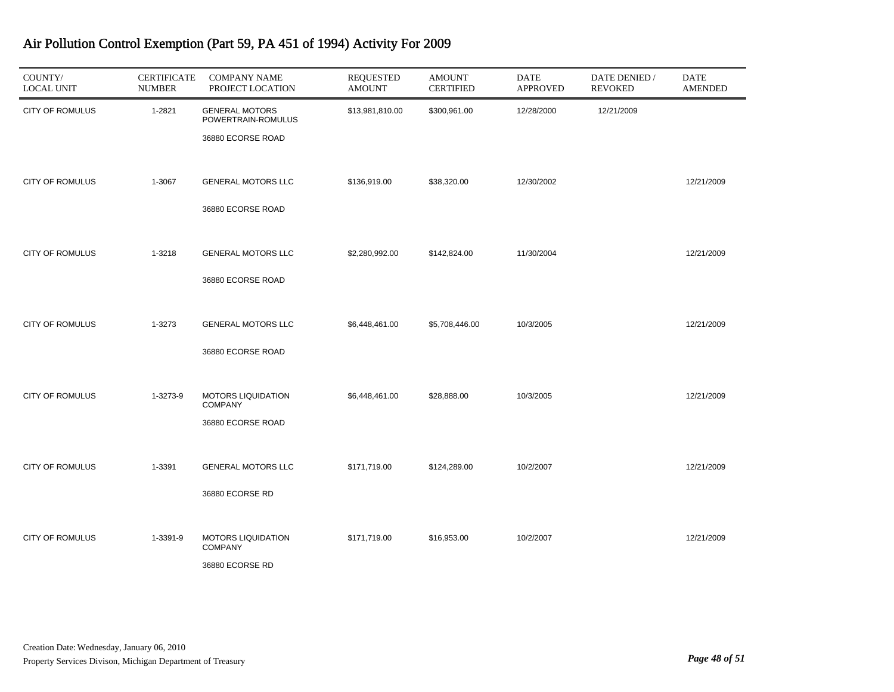| COUNTY/<br><b>LOCAL UNIT</b> | <b>CERTIFICATE</b><br><b>NUMBER</b> | <b>COMPANY NAME</b><br>PROJECT LOCATION                          | <b>REQUESTED</b><br><b>AMOUNT</b> | <b>AMOUNT</b><br><b>CERTIFIED</b> | <b>DATE</b><br><b>APPROVED</b> | DATE DENIED /<br><b>REVOKED</b> | <b>DATE</b><br><b>AMENDED</b> |
|------------------------------|-------------------------------------|------------------------------------------------------------------|-----------------------------------|-----------------------------------|--------------------------------|---------------------------------|-------------------------------|
| CITY OF ROMULUS              | 1-2821                              | <b>GENERAL MOTORS</b><br>POWERTRAIN-ROMULUS<br>36880 ECORSE ROAD | \$13,981,810.00                   | \$300,961.00                      | 12/28/2000                     | 12/21/2009                      |                               |
| CITY OF ROMULUS              | 1-3067                              | <b>GENERAL MOTORS LLC</b><br>36880 ECORSE ROAD                   | \$136,919.00                      | \$38,320.00                       | 12/30/2002                     |                                 | 12/21/2009                    |
| <b>CITY OF ROMULUS</b>       | 1-3218                              | <b>GENERAL MOTORS LLC</b><br>36880 ECORSE ROAD                   | \$2,280,992.00                    | \$142,824.00                      | 11/30/2004                     |                                 | 12/21/2009                    |
| <b>CITY OF ROMULUS</b>       | 1-3273                              | <b>GENERAL MOTORS LLC</b><br>36880 ECORSE ROAD                   | \$6,448,461.00                    | \$5,708,446.00                    | 10/3/2005                      |                                 | 12/21/2009                    |
| <b>CITY OF ROMULUS</b>       | 1-3273-9                            | <b>MOTORS LIQUIDATION</b><br><b>COMPANY</b><br>36880 ECORSE ROAD | \$6,448,461.00                    | \$28,888.00                       | 10/3/2005                      |                                 | 12/21/2009                    |
| <b>CITY OF ROMULUS</b>       | 1-3391                              | <b>GENERAL MOTORS LLC</b><br>36880 ECORSE RD                     | \$171,719.00                      | \$124,289.00                      | 10/2/2007                      |                                 | 12/21/2009                    |
| CITY OF ROMULUS              | 1-3391-9                            | <b>MOTORS LIQUIDATION</b><br><b>COMPANY</b><br>36880 ECORSE RD   | \$171,719.00                      | \$16,953.00                       | 10/2/2007                      |                                 | 12/21/2009                    |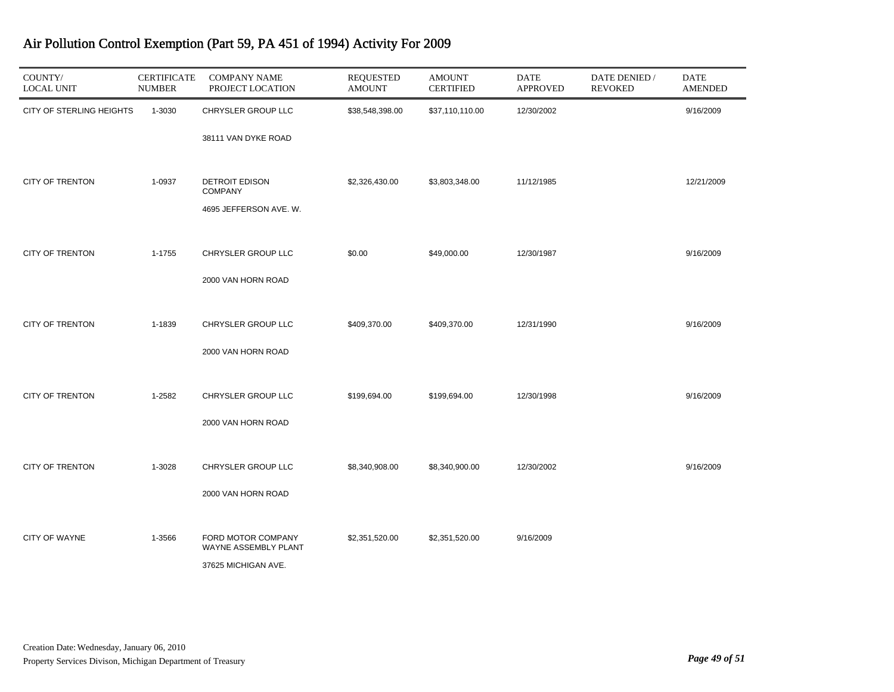| COUNTY/<br><b>LOCAL UNIT</b> | <b>CERTIFICATE</b><br><b>NUMBER</b> | <b>COMPANY NAME</b><br>PROJECT LOCATION    | <b>REQUESTED</b><br><b>AMOUNT</b> | <b>AMOUNT</b><br><b>CERTIFIED</b> | DATE<br><b>APPROVED</b> | DATE DENIED /<br><b>REVOKED</b> | DATE<br><b>AMENDED</b> |
|------------------------------|-------------------------------------|--------------------------------------------|-----------------------------------|-----------------------------------|-------------------------|---------------------------------|------------------------|
| CITY OF STERLING HEIGHTS     | 1-3030                              | CHRYSLER GROUP LLC                         | \$38,548,398.00                   | \$37,110,110.00                   | 12/30/2002              |                                 | 9/16/2009              |
|                              |                                     | 38111 VAN DYKE ROAD                        |                                   |                                   |                         |                                 |                        |
| <b>CITY OF TRENTON</b>       | 1-0937                              | <b>DETROIT EDISON</b><br><b>COMPANY</b>    | \$2,326,430.00                    | \$3,803,348.00                    | 11/12/1985              |                                 | 12/21/2009             |
|                              |                                     | 4695 JEFFERSON AVE. W.                     |                                   |                                   |                         |                                 |                        |
| <b>CITY OF TRENTON</b>       | 1-1755                              | CHRYSLER GROUP LLC                         | \$0.00                            | \$49,000.00                       | 12/30/1987              |                                 | 9/16/2009              |
|                              |                                     | 2000 VAN HORN ROAD                         |                                   |                                   |                         |                                 |                        |
| <b>CITY OF TRENTON</b>       | 1-1839                              | CHRYSLER GROUP LLC                         | \$409,370.00                      | \$409,370.00                      | 12/31/1990              |                                 | 9/16/2009              |
|                              |                                     | 2000 VAN HORN ROAD                         |                                   |                                   |                         |                                 |                        |
| <b>CITY OF TRENTON</b>       | 1-2582                              | CHRYSLER GROUP LLC                         | \$199,694.00                      | \$199,694.00                      | 12/30/1998              |                                 | 9/16/2009              |
|                              |                                     | 2000 VAN HORN ROAD                         |                                   |                                   |                         |                                 |                        |
|                              |                                     |                                            |                                   |                                   |                         |                                 |                        |
| <b>CITY OF TRENTON</b>       | 1-3028                              | CHRYSLER GROUP LLC                         | \$8,340,908.00                    | \$8,340,900.00                    | 12/30/2002              |                                 | 9/16/2009              |
|                              |                                     | 2000 VAN HORN ROAD                         |                                   |                                   |                         |                                 |                        |
| <b>CITY OF WAYNE</b>         | 1-3566                              | FORD MOTOR COMPANY<br>WAYNE ASSEMBLY PLANT | \$2,351,520.00                    | \$2,351,520.00                    | 9/16/2009               |                                 |                        |
|                              |                                     | 37625 MICHIGAN AVE.                        |                                   |                                   |                         |                                 |                        |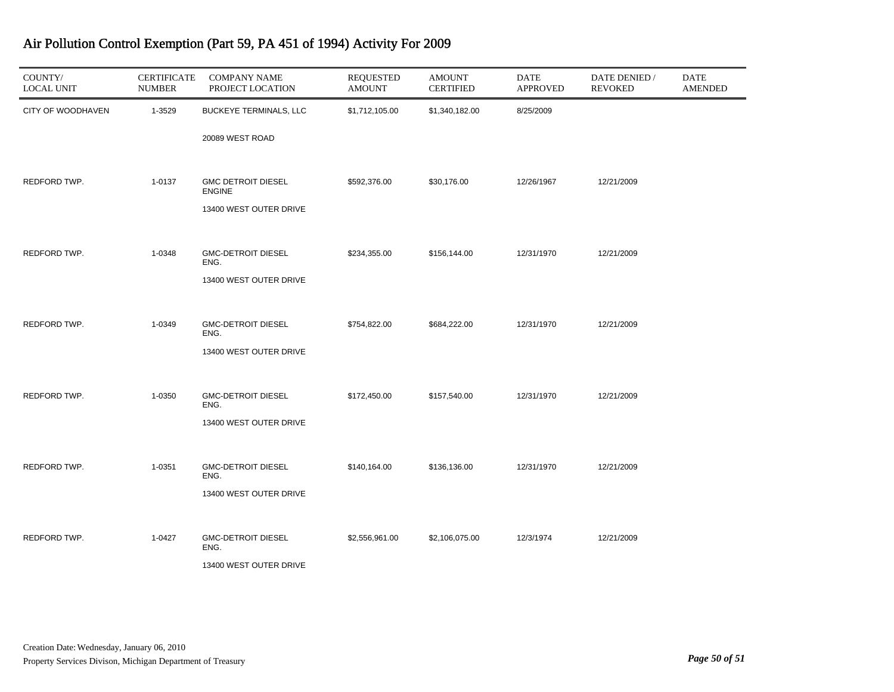| COUNTY/<br><b>LOCAL UNIT</b> | <b>CERTIFICATE</b><br><b>NUMBER</b> | <b>COMPANY NAME</b><br>PROJECT LOCATION    | <b>REQUESTED</b><br><b>AMOUNT</b> | <b>AMOUNT</b><br><b>CERTIFIED</b> | DATE<br><b>APPROVED</b> | DATE DENIED /<br><b>REVOKED</b> | <b>DATE</b><br><b>AMENDED</b> |
|------------------------------|-------------------------------------|--------------------------------------------|-----------------------------------|-----------------------------------|-------------------------|---------------------------------|-------------------------------|
| CITY OF WOODHAVEN            | 1-3529                              | <b>BUCKEYE TERMINALS, LLC</b>              | \$1,712,105.00                    | \$1,340,182.00                    | 8/25/2009               |                                 |                               |
|                              |                                     | 20089 WEST ROAD                            |                                   |                                   |                         |                                 |                               |
| REDFORD TWP.                 | 1-0137                              | <b>GMC DETROIT DIESEL</b><br><b>ENGINE</b> | \$592,376.00                      | \$30,176.00                       | 12/26/1967              | 12/21/2009                      |                               |
|                              |                                     | 13400 WEST OUTER DRIVE                     |                                   |                                   |                         |                                 |                               |
| REDFORD TWP.                 | 1-0348                              | <b>GMC-DETROIT DIESEL</b><br>ENG.          | \$234,355.00                      | \$156,144.00                      | 12/31/1970              | 12/21/2009                      |                               |
|                              |                                     | 13400 WEST OUTER DRIVE                     |                                   |                                   |                         |                                 |                               |
| REDFORD TWP.                 | 1-0349                              | <b>GMC-DETROIT DIESEL</b>                  | \$754,822.00                      | \$684,222.00                      | 12/31/1970              | 12/21/2009                      |                               |
|                              |                                     | ENG.<br>13400 WEST OUTER DRIVE             |                                   |                                   |                         |                                 |                               |
|                              |                                     |                                            |                                   |                                   |                         |                                 |                               |
| REDFORD TWP.                 | 1-0350                              | <b>GMC-DETROIT DIESEL</b><br>ENG.          | \$172,450.00                      | \$157,540.00                      | 12/31/1970              | 12/21/2009                      |                               |
|                              |                                     | 13400 WEST OUTER DRIVE                     |                                   |                                   |                         |                                 |                               |
|                              |                                     |                                            |                                   |                                   |                         |                                 |                               |
| REDFORD TWP.                 | 1-0351                              | <b>GMC-DETROIT DIESEL</b><br>ENG.          | \$140,164.00                      | \$136,136.00                      | 12/31/1970              | 12/21/2009                      |                               |
|                              |                                     | 13400 WEST OUTER DRIVE                     |                                   |                                   |                         |                                 |                               |
| REDFORD TWP.                 | 1-0427                              | <b>GMC-DETROIT DIESEL</b>                  | \$2,556,961.00                    | \$2,106,075.00                    | 12/3/1974               | 12/21/2009                      |                               |
|                              |                                     | ENG.                                       |                                   |                                   |                         |                                 |                               |
|                              |                                     | 13400 WEST OUTER DRIVE                     |                                   |                                   |                         |                                 |                               |

J.